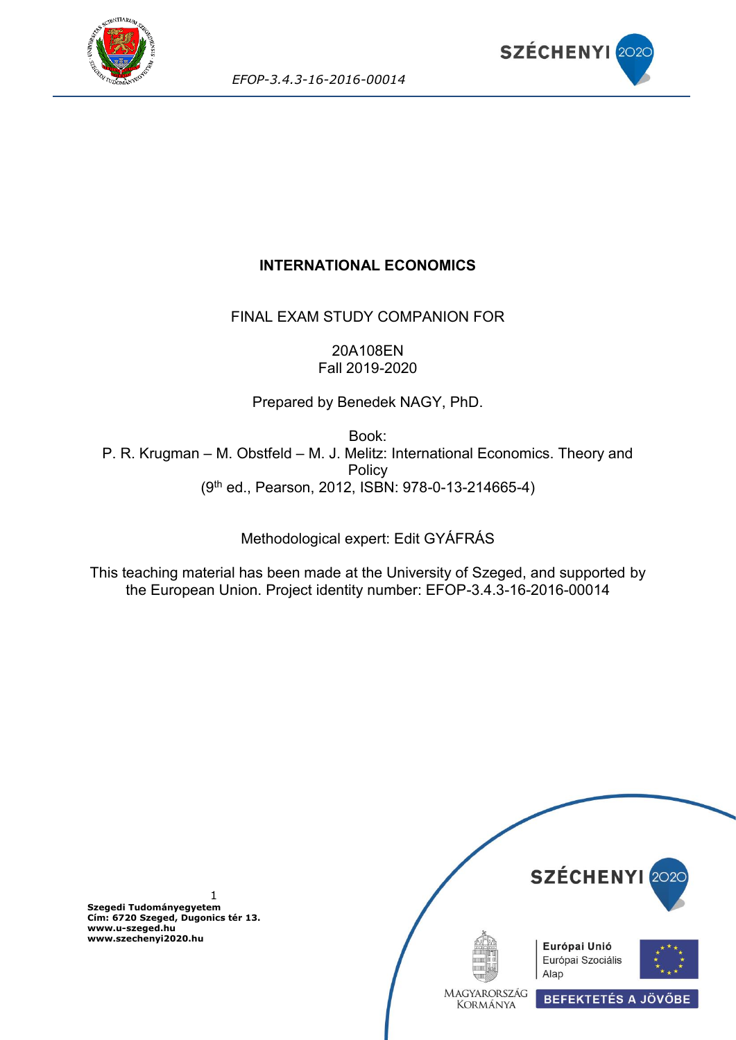



# **INTERNATIONAL ECONOMICS**

FINAL EXAM STUDY COMPANION FOR

20A108EN Fall 2019-2020

Prepared by Benedek NAGY, PhD.

Book: P. R. Krugman – M. Obstfeld – M. J. Melitz: International Economics. Theory and **Policy** (9th ed., Pearson, 2012, ISBN: 978-0-13-214665-4)

Methodological expert: Edit GYÁFRÁS

This teaching material has been made at the University of Szeged, and supported by the European Union. Project identity number: EFOP-3.4.3-16-2016-00014

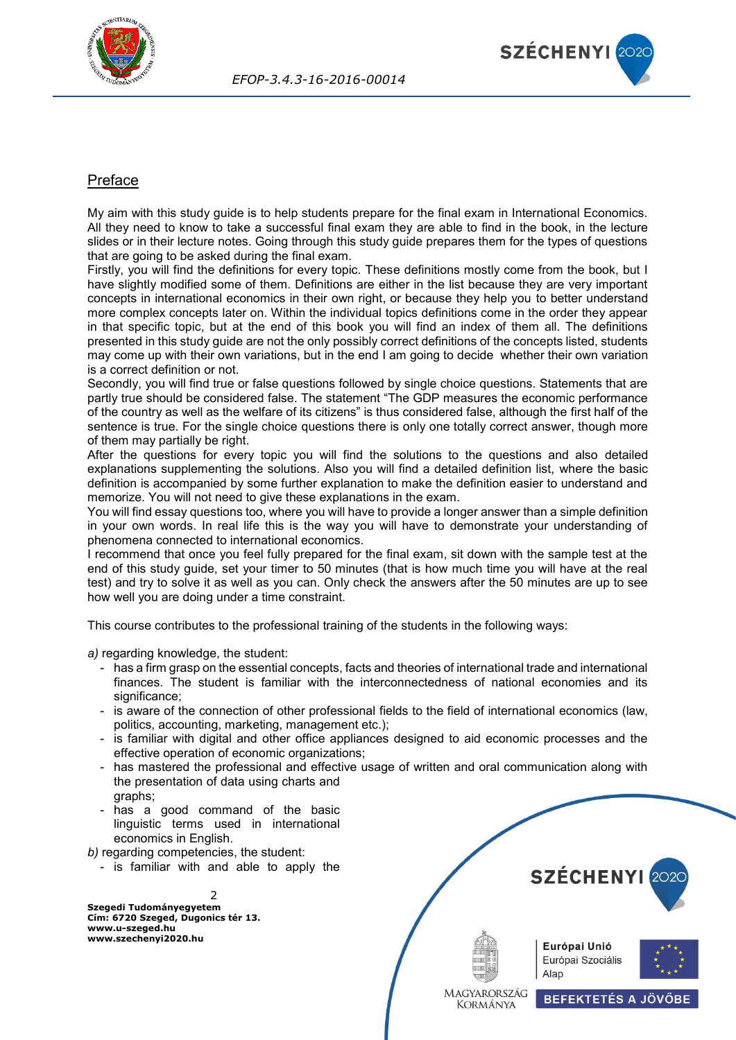



## Preface

My aim with this study guide is to help students prepare for the final exam in International Economics. All they need to know to take a successful final exam they are able to find in the book, in the lecture slides or in their lecture notes. Going through this study guide prepares them for the types of questions that are going to be asked during the final exam.

Firstly, you will find the definitions for every topic. These definitions mostly come from the book, but I have slightly modified some of them. Definitions are either in the list because they are very important concepts in international economics in their own right, or because they help you to better understand more complex concepts later on. Within the individual topics definitions come in the order they appear in that specific topic, but at the end of this book you will find an index of them all. The definitions presented in this study guide are not the only possibly correct definitions of the concepts listed, students may come up with their own variations, but in the end I am going to decide whether their own variation is a correct definition or not.

Secondly, you will find true or false questions followed by single choice questions. Statements that are partly true should be considered false. The statement "The GDP measures the economic performance of the country as well as the welfare of its citizens" is thus considered false, although the first half of the sentence is true. For the single choice questions there is only one totally correct answer, though more of them may partially be right.

After the questions for every topic you will find the solutions to the questions and also detailed explanations supplementing the solutions. Also you will find a detailed definition list, where the basic definition is accompanied by some further explanation to make the definition easier to understand and memorize. You will not need to give these explanations in the exam.

You will find essay questions too, where you will have to provide a longer answer than a simple definition in your own words. In real life this is the way you will have to demonstrate your understanding of phenomena connected to international economics.

I recommend that once you feel fully prepared for the final exam, sit down with the sample test at the end of this study guide, set your timer to 50 minutes (that is how much time you will have at the real test) and try to solve it as well as you can. Only check the answers after the 50 minutes are up to see how well you are doing under a time constraint.

This course contributes to the professional training of the students in the following ways:

*a)* regarding knowledge, the student:

- has a firm grasp on the essential concepts, facts and theories of international trade and international finances. The student is familiar with the interconnectedness of national economies and its significance;
- is aware of the connection of other professional fields to the field of international economics (law, politics, accounting, marketing, management etc.);
- is familiar with digital and other office appliances designed to aid economic processes and the effective operation of economic organizations;
- has mastered the professional and effective usage of written and oral communication along with the presentation of data using charts and graphs;
- has a good command of the basic linguistic terms used in international economics in English.

*b)* regarding competencies, the student:

- is familiar with and able to apply the

 $\overline{2}$ 

**Szegedi Tudományegyetem Cím: 6720 Szeged, Dugonics tér 13. www.u-szeged.hu www.szechenyi2020.hu**



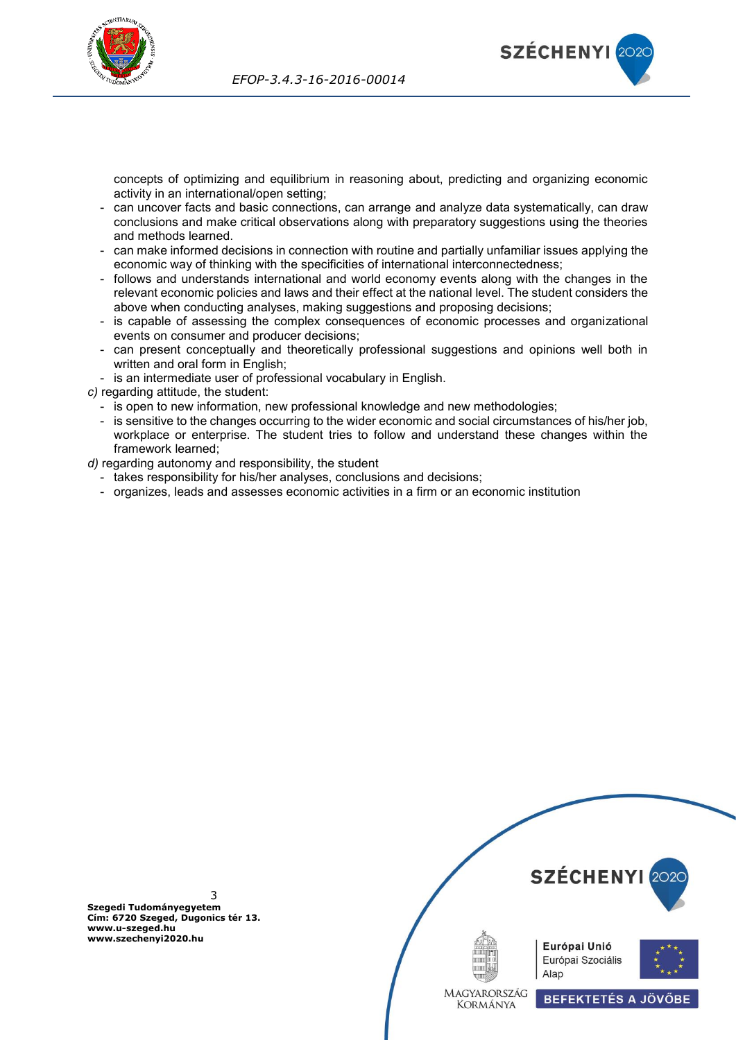



concepts of optimizing and equilibrium in reasoning about, predicting and organizing economic activity in an international/open setting;

- can uncover facts and basic connections, can arrange and analyze data systematically, can draw conclusions and make critical observations along with preparatory suggestions using the theories and methods learned.
- can make informed decisions in connection with routine and partially unfamiliar issues applying the economic way of thinking with the specificities of international interconnectedness;
- follows and understands international and world economy events along with the changes in the relevant economic policies and laws and their effect at the national level. The student considers the above when conducting analyses, making suggestions and proposing decisions;
- is capable of assessing the complex consequences of economic processes and organizational events on consumer and producer decisions;
- can present conceptually and theoretically professional suggestions and opinions well both in written and oral form in English;
- is an intermediate user of professional vocabulary in English.

*c)* regarding attitude, the student:

- is open to new information, new professional knowledge and new methodologies;
- is sensitive to the changes occurring to the wider economic and social circumstances of his/her job, workplace or enterprise. The student tries to follow and understand these changes within the framework learned;

*d)* regarding autonomy and responsibility, the student

- takes responsibility for his/her analyses, conclusions and decisions;
- organizes, leads and assesses economic activities in a firm or an economic institution

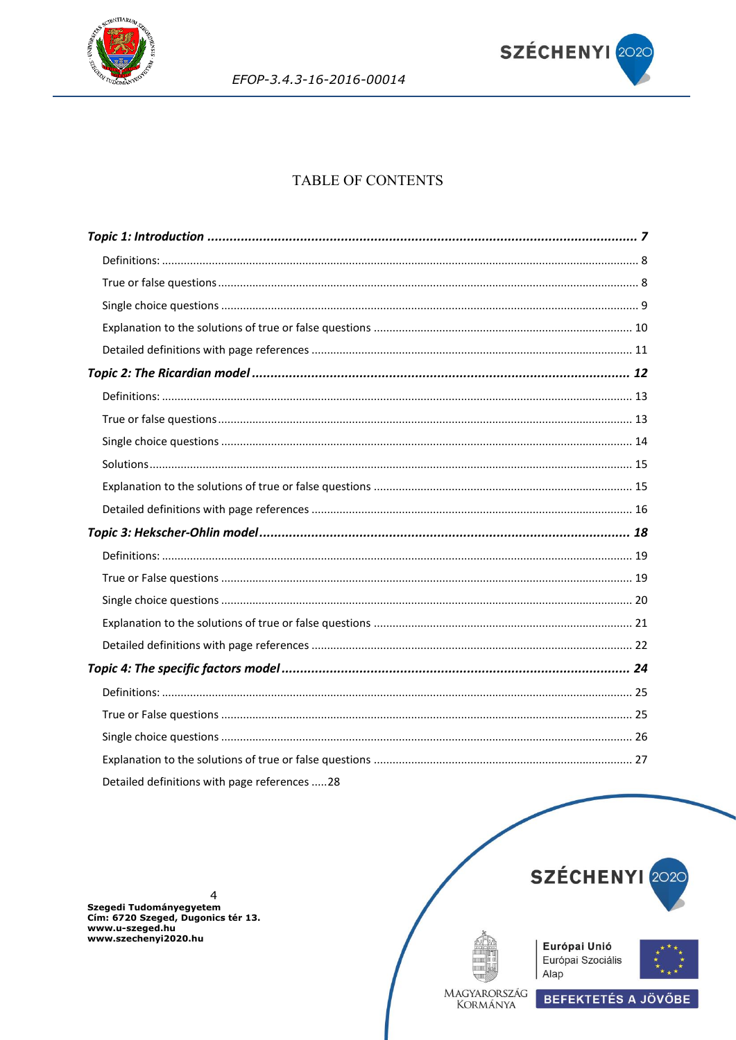



# **TABLE OF CONTENTS**

Detailed definitions with page references .....28

 $\overline{4}$ Szegedi Tudományegyetem<br>Cím: 6720 Szeged, Dugonics tér 13. www.u-szeged.hu www.szechenyi2020.hu



**BEFEKTETÉS A JÖVŐBE** 





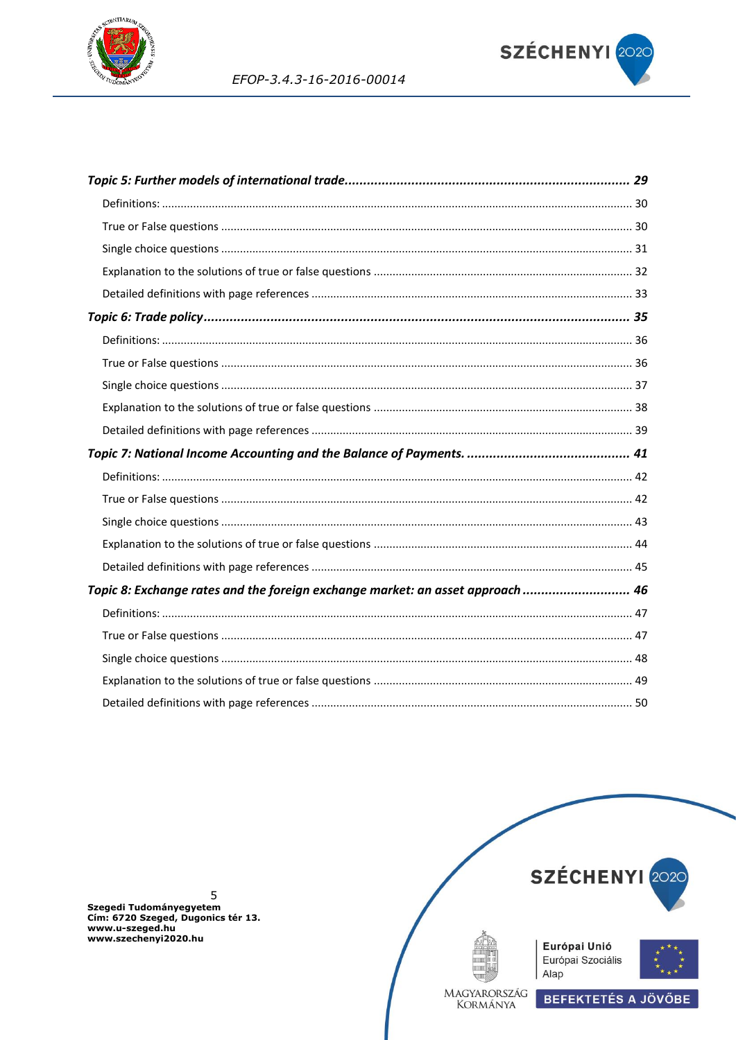



EFOP-3.4.3-16-2016-00014

| Topic 8: Exchange rates and the foreign exchange market: an asset approach  46 |  |
|--------------------------------------------------------------------------------|--|
|                                                                                |  |
|                                                                                |  |
|                                                                                |  |
|                                                                                |  |
|                                                                                |  |

5 Szegedi Tudományegyetem<br>Cím: 6720 Szeged, Dugonics tér 13. www.u-szeged.hu<br>www.u-szeged.hu<br>www.szechenyi2020.hu

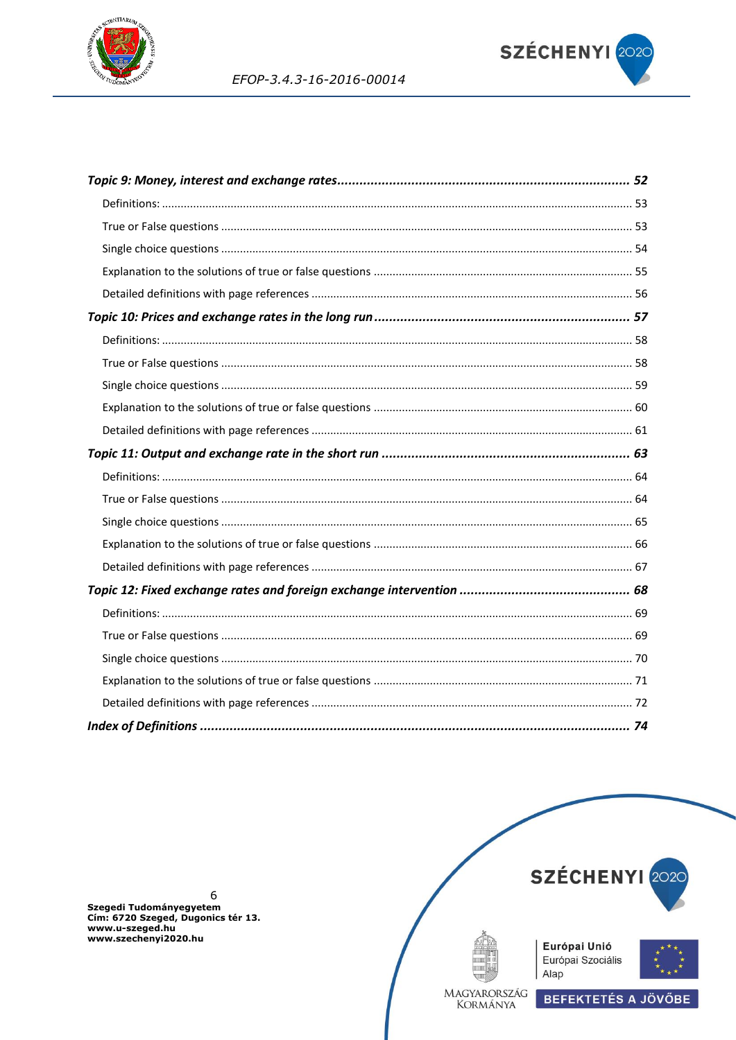



EFOP-3.4.3-16-2016-00014

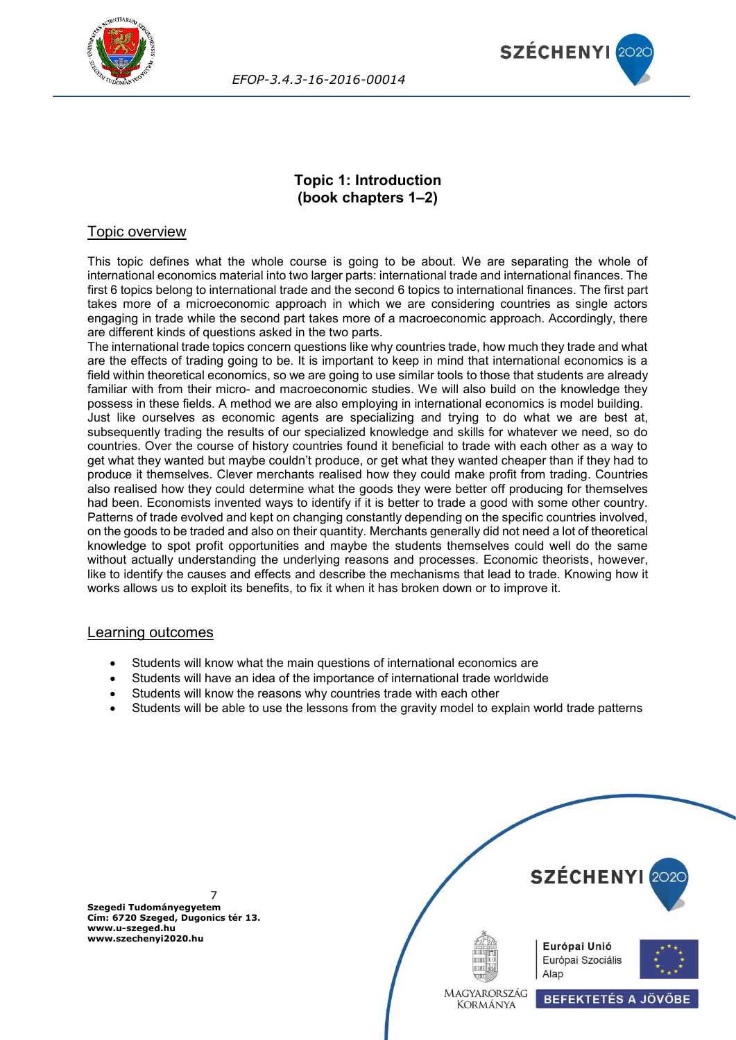



## **Topic 1: Introduction (book chapters 1–2)**

## <span id="page-6-0"></span>Topic overview

This topic defines what the whole course is going to be about. We are separating the whole of international economics material into two larger parts: international trade and international finances. The first 6 topics belong to international trade and the second 6 topics to international finances. The first part takes more of a microeconomic approach in which we are considering countries as single actors engaging in trade while the second part takes more of a macroeconomic approach. Accordingly, there are different kinds of questions asked in the two parts.

The international trade topics concern questions like why countries trade, how much they trade and what are the effects of trading going to be. It is important to keep in mind that international economics is a field within theoretical economics, so we are going to use similar tools to those that students are already familiar with from their micro- and macroeconomic studies. We will also build on the knowledge they possess in these fields. A method we are also employing in international economics is model building. Just like ourselves as economic agents are specializing and trying to do what we are best at, subsequently trading the results of our specialized knowledge and skills for whatever we need, so do countries. Over the course of history countries found it beneficial to trade with each other as a way to get what they wanted but maybe couldn't produce, or get what they wanted cheaper than if they had to produce it themselves. Clever merchants realised how they could make profit from trading. Countries also realised how they could determine what the goods they were better off producing for themselves had been. Economists invented ways to identify if it is better to trade a good with some other country. Patterns of trade evolved and kept on changing constantly depending on the specific countries involved, on the goods to be traded and also on their quantity. Merchants generally did not need a lot of theoretical knowledge to spot profit opportunities and maybe the students themselves could well do the same without actually understanding the underlying reasons and processes. Economic theorists, however, like to identify the causes and effects and describe the mechanisms that lead to trade. Knowing how it works allows us to exploit its benefits, to fix it when it has broken down or to improve it.

## Learning outcomes

- Students will know what the main questions of international economics are
- Students will have an idea of the importance of international trade worldwide
- Students will know the reasons why countries trade with each other
- Students will be able to use the lessons from the gravity model to explain world trade patterns

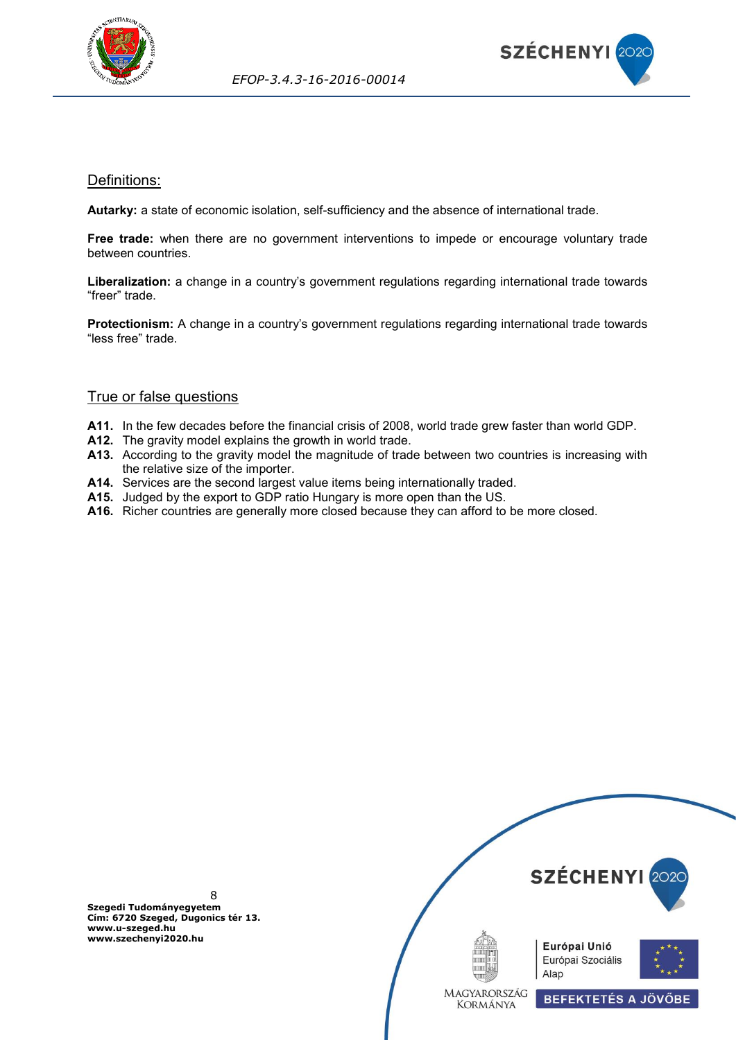



## <span id="page-7-0"></span>Definitions:

**Autarky:** a state of economic isolation, self-sufficiency and the absence of international trade.

**Free trade:** when there are no government interventions to impede or encourage voluntary trade between countries.

**Liberalization:** a change in a country's government regulations regarding international trade towards "freer" trade.

**Protectionism:** A change in a country's government regulations regarding international trade towards "less free" trade.

## <span id="page-7-1"></span>True or false questions

- **A11.** In the few decades before the financial crisis of 2008, world trade grew faster than world GDP.
- **A12.** The gravity model explains the growth in world trade.
- **A13.** According to the gravity model the magnitude of trade between two countries is increasing with the relative size of the importer.
- **A14.** Services are the second largest value items being internationally traded.
- **A15.** Judged by the export to GDP ratio Hungary is more open than the US.
- **A16.** Richer countries are generally more closed because they can afford to be more closed.

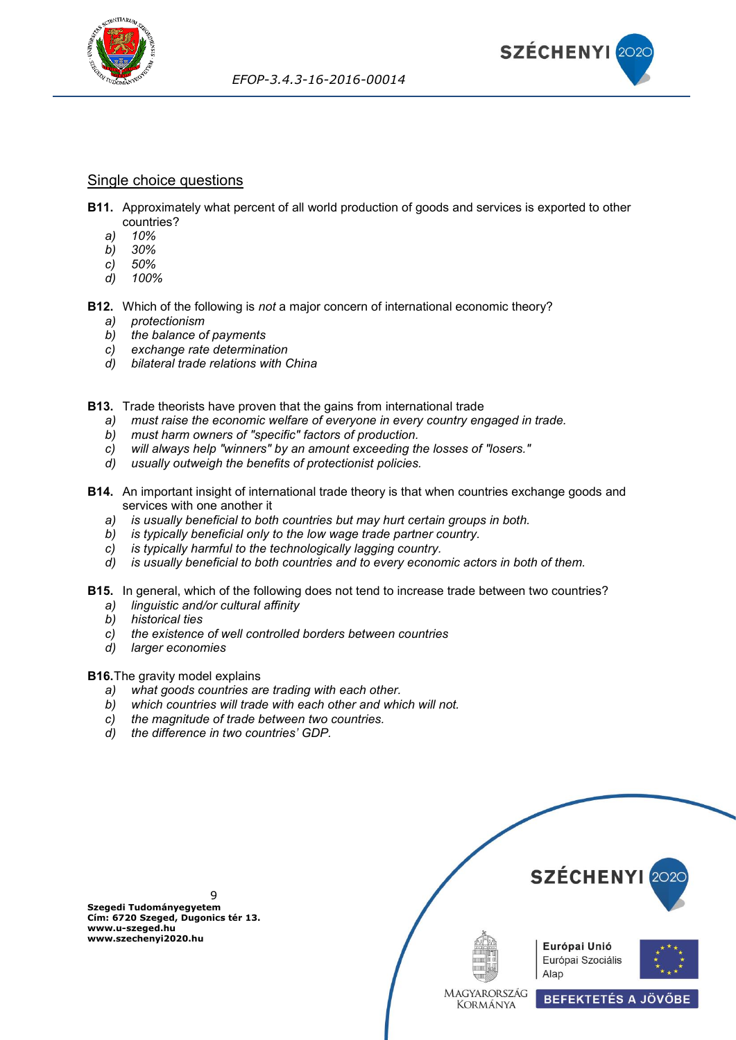

#### <span id="page-8-0"></span>Single choice questions

- **B11.** Approximately what percent of all world production of goods and services is exported to other countries?
	- *a) 10%*
	- *b) 30%*
	- *c) 50%*
	- *d) 100%*
- **B12.** Which of the following is *not* a major concern of international economic theory?
	- *a) protectionism*
	- *b) the balance of payments*
	- *c) exchange rate determination*
	- *d) bilateral trade relations with China*
- **B13.** Trade theorists have proven that the gains from international trade
	- *a) must raise the economic welfare of everyone in every country engaged in trade.*
	- *b) must harm owners of "specific" factors of production.*
	- *c) will always help "winners" by an amount exceeding the losses of "losers."*
	- *d) usually outweigh the benefits of protectionist policies.*
- **B14.** An important insight of international trade theory is that when countries exchange goods and services with one another it
	- *a) is usually beneficial to both countries but may hurt certain groups in both.*
	- *b) is typically beneficial only to the low wage trade partner country.*
	- *c) is typically harmful to the technologically lagging country.*
	- *d) is usually beneficial to both countries and to every economic actors in both of them.*
- **B15.** In general, which of the following does not tend to increase trade between two countries?
	- *a) linguistic and/or cultural affinity*
	- *b) historical ties*
	- *c) the existence of well controlled borders between countries*
	- *d) larger economies*

#### **B16.**The gravity model explains

- *a) what goods countries are trading with each other.*
- *b) which countries will trade with each other and which will not.*
- *c) the magnitude of trade between two countries.*
- *d) the difference in two countries' GDP.*



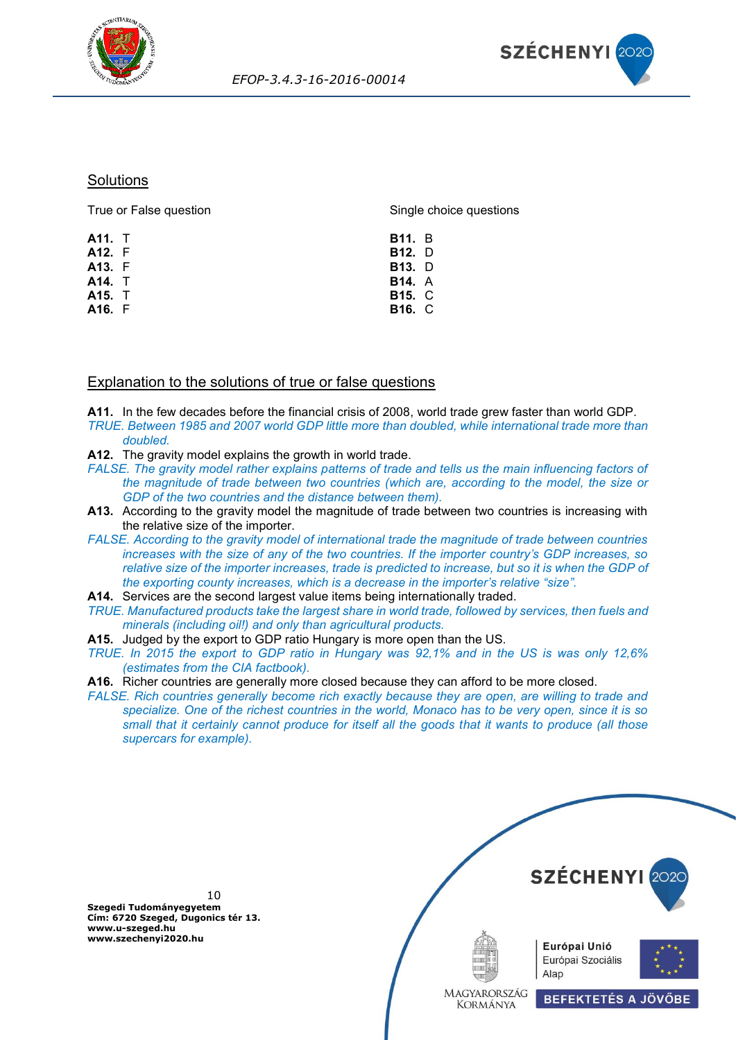



#### **Solutions**

True or False question **A11.** T **A12.** F **A13.** F **A14.** T **A15.** T **A16.** F Single choice questions **B11.** B **B12.** D **B13.** D **B14.** A **B15.** C **B16.** C

## <span id="page-9-0"></span>Explanation to the solutions of true or false questions

**A11.** In the few decades before the financial crisis of 2008, world trade grew faster than world GDP. *TRUE. Between 1985 and 2007 world GDP little more than doubled, while international trade more than doubled.*

- **A12.** The gravity model explains the growth in world trade.
- *FALSE. The gravity model rather explains patterns of trade and tells us the main influencing factors of the magnitude of trade between two countries (which are, according to the model, the size or GDP of the two countries and the distance between them).*
- **A13.** According to the gravity model the magnitude of trade between two countries is increasing with the relative size of the importer.
- *FALSE. According to the gravity model of international trade the magnitude of trade between countries increases with the size of any of the two countries. If the importer country's GDP increases, so relative size of the importer increases, trade is predicted to increase, but so it is when the GDP of the exporting county increases, which is a decrease in the importer's relative "size".*
- **A14.** Services are the second largest value items being internationally traded.
- *TRUE. Manufactured products take the largest share in world trade, followed by services, then fuels and minerals (including oil!) and only than agricultural products.*
- **A15.** Judged by the export to GDP ratio Hungary is more open than the US.
- *TRUE. In 2015 the export to GDP ratio in Hungary was 92,1% and in the US is was only 12,6% (estimates from the CIA factbook).*
- **A16.** Richer countries are generally more closed because they can afford to be more closed.
- *FALSE. Rich countries generally become rich exactly because they are open, are willing to trade and specialize. One of the richest countries in the world, Monaco has to be very open, since it is so small that it certainly cannot produce for itself all the goods that it wants to produce (all those supercars for example).*

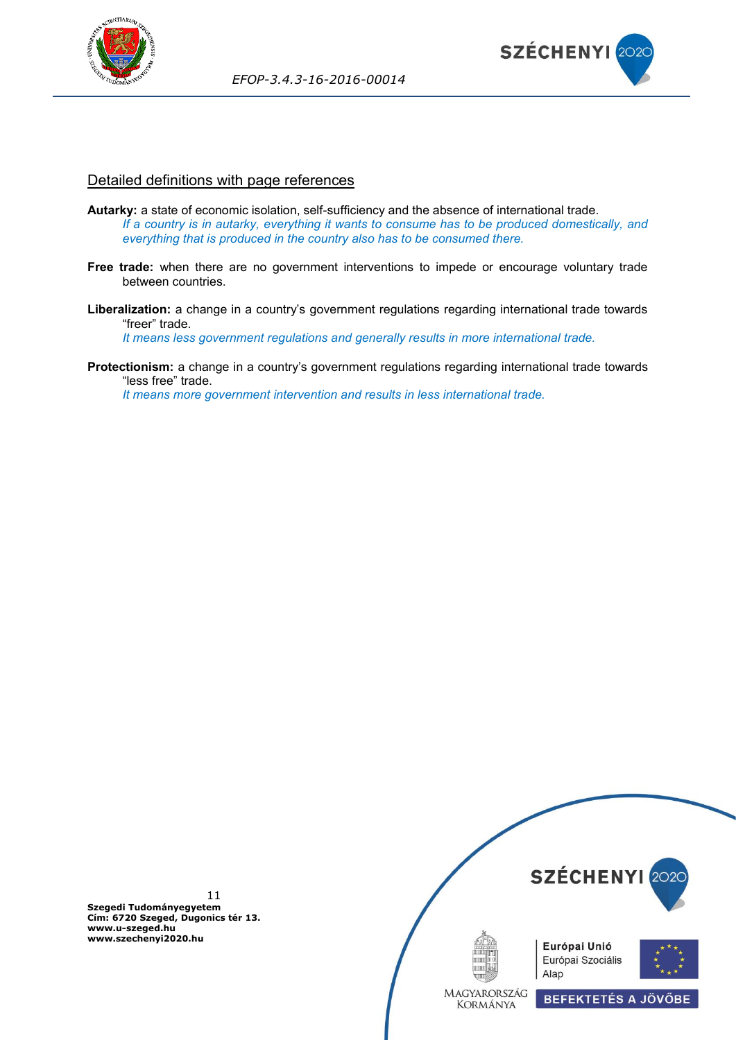



#### <span id="page-10-0"></span>Detailed definitions with page references

- **Autarky:** a state of economic isolation, self-sufficiency and the absence of international trade. *If a country is in autarky, everything it wants to consume has to be produced domestically, and everything that is produced in the country also has to be consumed there.*
- **Free trade:** when there are no government interventions to impede or encourage voluntary trade between countries.
- **Liberalization:** a change in a country's government regulations regarding international trade towards "freer" trade.

*It means less government regulations and generally results in more international trade.*

**Protectionism:** a change in a country's government regulations regarding international trade towards "less free" trade.

*It means more government intervention and results in less international trade.*

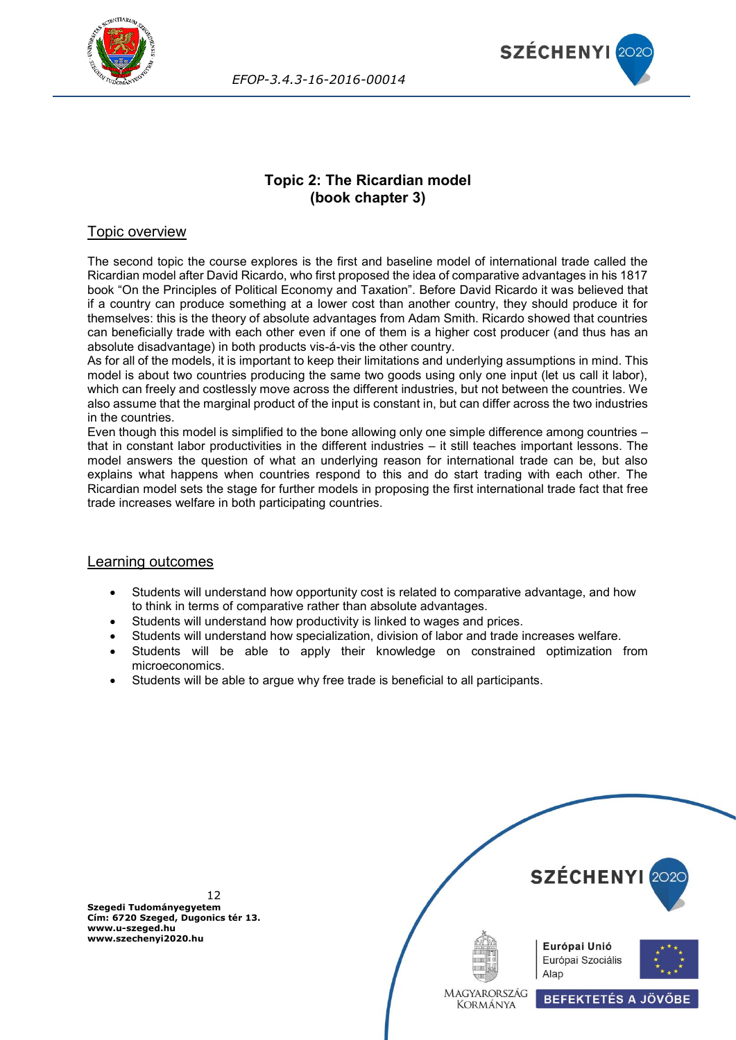



## **Topic 2: The Ricardian model (book chapter 3)**

## <span id="page-11-0"></span>Topic overview

The second topic the course explores is the first and baseline model of international trade called the Ricardian model after David Ricardo, who first proposed the idea of comparative advantages in his 1817 book "On the Principles of Political Economy and Taxation". Before David Ricardo it was believed that if a country can produce something at a lower cost than another country, they should produce it for themselves: this is the theory of absolute advantages from Adam Smith. Ricardo showed that countries can beneficially trade with each other even if one of them is a higher cost producer (and thus has an absolute disadvantage) in both products vis-á-vis the other country.

As for all of the models, it is important to keep their limitations and underlying assumptions in mind. This model is about two countries producing the same two goods using only one input (let us call it labor), which can freely and costlessly move across the different industries, but not between the countries. We also assume that the marginal product of the input is constant in, but can differ across the two industries in the countries.

Even though this model is simplified to the bone allowing only one simple difference among countries – that in constant labor productivities in the different industries – it still teaches important lessons. The model answers the question of what an underlying reason for international trade can be, but also explains what happens when countries respond to this and do start trading with each other. The Ricardian model sets the stage for further models in proposing the first international trade fact that free trade increases welfare in both participating countries.

#### Learning outcomes

- Students will understand how opportunity cost is related to comparative advantage, and how to think in terms of comparative rather than absolute advantages.
- Students will understand how productivity is linked to wages and prices.
- Students will understand how specialization, division of labor and trade increases welfare.
- Students will be able to apply their knowledge on constrained optimization from microeconomics.
- Students will be able to argue why free trade is beneficial to all participants.



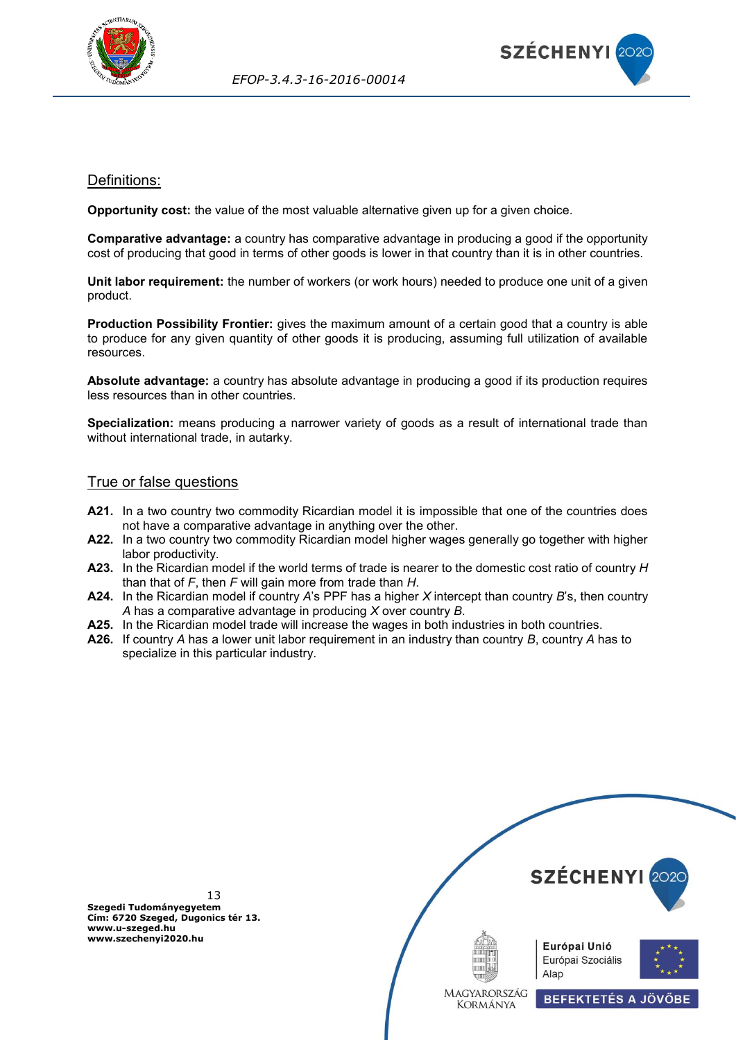



## <span id="page-12-0"></span>Definitions:

**Opportunity cost:** the value of the most valuable alternative given up for a given choice.

**Comparative advantage:** a country has comparative advantage in producing a good if the opportunity cost of producing that good in terms of other goods is lower in that country than it is in other countries.

**Unit labor requirement:** the number of workers (or work hours) needed to produce one unit of a given product.

**Production Possibility Frontier:** gives the maximum amount of a certain good that a country is able to produce for any given quantity of other goods it is producing, assuming full utilization of available resources.

**Absolute advantage:** a country has absolute advantage in producing a good if its production requires less resources than in other countries.

**Specialization:** means producing a narrower variety of goods as a result of international trade than without international trade, in autarky.

## <span id="page-12-1"></span>True or false questions

- A21. In a two country two commodity Ricardian model it is impossible that one of the countries does not have a comparative advantage in anything over the other.
- **A22.** In a two country two commodity Ricardian model higher wages generally go together with higher labor productivity.
- **A23.** In the Ricardian model if the world terms of trade is nearer to the domestic cost ratio of country *H* than that of *F*, then *F* will gain more from trade than *H*.
- **A24.** In the Ricardian model if country *A*'s PPF has a higher *X* intercept than country *B*'s, then country *A* has a comparative advantage in producing *X* over country *B*.
- **A25.** In the Ricardian model trade will increase the wages in both industries in both countries.
- **A26.** If country *A* has a lower unit labor requirement in an industry than country *B*, country *A* has to specialize in this particular industry.

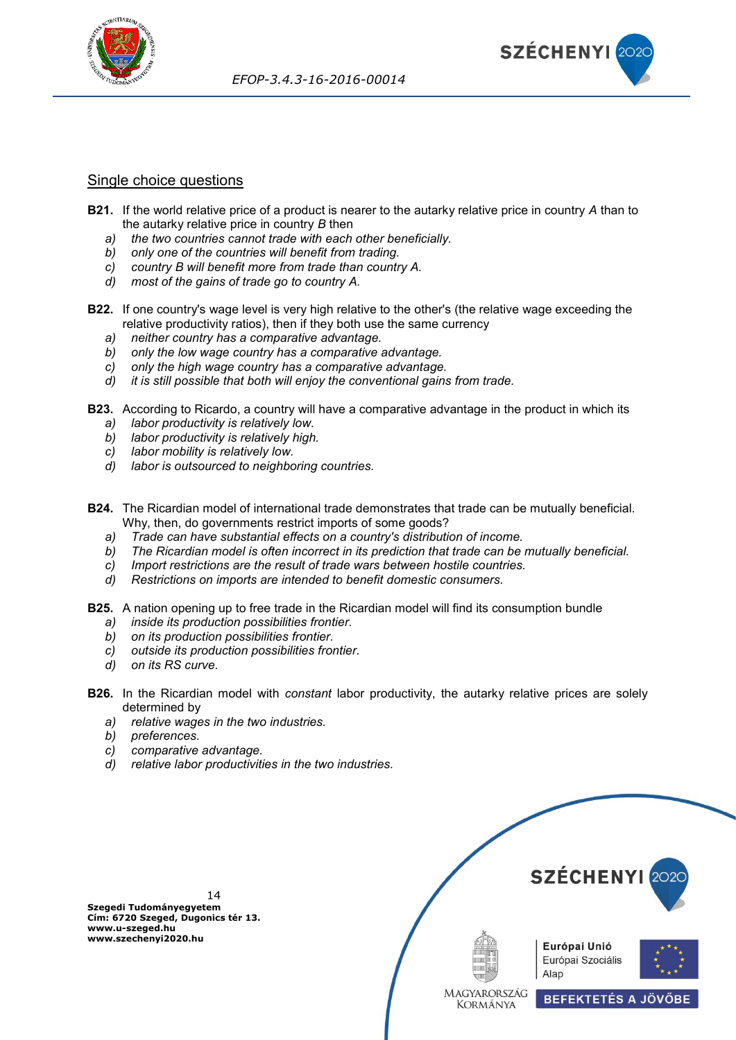



#### <span id="page-13-0"></span>Single choice questions

- **B21.** If the world relative price of a product is nearer to the autarky relative price in country *A* than to the autarky relative price in country *B* then
	- *a) the two countries cannot trade with each other beneficially.*
	- *b) only one of the countries will benefit from trading.*
	- *c) country B will benefit more from trade than country A.*
	- *d) most of the gains of trade go to country A.*
- **B22.** If one country's wage level is very high relative to the other's (the relative wage exceeding the relative productivity ratios), then if they both use the same currency
	- *a) neither country has a comparative advantage.*
	- *b) only the low wage country has a comparative advantage.*
	- *c) only the high wage country has a comparative advantage.*
	- *d) it is still possible that both will enjoy the conventional gains from trade.*
- **B23.** According to Ricardo, a country will have a comparative advantage in the product in which its
	- *a) labor productivity is relatively low.*
	- *b) labor productivity is relatively high.*
	- *c) labor mobility is relatively low.*
	- *d) labor is outsourced to neighboring countries.*
- **B24.** The Ricardian model of international trade demonstrates that trade can be mutually beneficial. Why, then, do governments restrict imports of some goods?
	- *a) Trade can have substantial effects on a country's distribution of income.*
	- *b) The Ricardian model is often incorrect in its prediction that trade can be mutually beneficial.*
	- *c) Import restrictions are the result of trade wars between hostile countries.*
	- *d) Restrictions on imports are intended to benefit domestic consumers.*
- **B25.** A nation opening up to free trade in the Ricardian model will find its consumption bundle
	- *a) inside its production possibilities frontier.*
	- *b) on its production possibilities frontier.*
	- *c) outside its production possibilities frontier.*
	- *d) on its RS curve.*
- **B26.** In the Ricardian model with *constant* labor productivity, the autarky relative prices are solely determined by
	- *a) relative wages in the two industries.*
	- *b) preferences.*
	- *c) comparative advantage.*
	- *d) relative labor productivities in the two industries.*



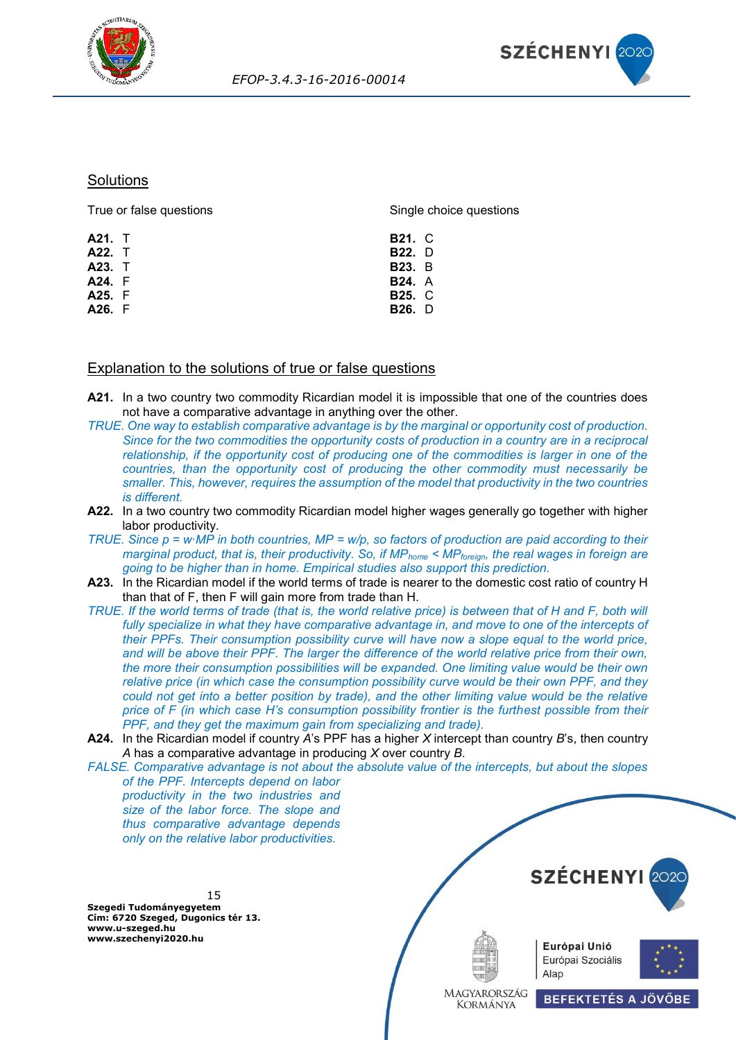



## <span id="page-14-0"></span>**Solutions**

| True or false questions | Single choice questions |  |
|-------------------------|-------------------------|--|
| <b>A21.</b> T           | <b>B21. C</b>           |  |
| <b>A22.</b> T           | <b>B22.</b> D           |  |
| A23. T                  | <b>B23.</b> B           |  |
| A24. F                  | <b>B24.</b> A           |  |
| A25. F                  | <b>B25. C</b>           |  |
| A26. F                  | <b>B26.</b> D           |  |
|                         |                         |  |

## <span id="page-14-1"></span>Explanation to the solutions of true or false questions

- **A21.** In a two country two commodity Ricardian model it is impossible that one of the countries does not have a comparative advantage in anything over the other.
- *TRUE. One way to establish comparative advantage is by the marginal or opportunity cost of production. Since for the two commodities the opportunity costs of production in a country are in a reciprocal relationship, if the opportunity cost of producing one of the commodities is larger in one of the countries, than the opportunity cost of producing the other commodity must necessarily be smaller. This, however, requires the assumption of the model that productivity in the two countries is different.*
- **A22.** In a two country two commodity Ricardian model higher wages generally go together with higher labor productivity.
- *TRUE. Since p = w∙MP in both countries, MP = w/p, so factors of production are paid according to their marginal product, that is, their productivity. So, if MPhome < MPforeign, the real wages in foreign are going to be higher than in home. Empirical studies also support this prediction.*
- **A23.** In the Ricardian model if the world terms of trade is nearer to the domestic cost ratio of country H than that of F, then F will gain more from trade than H.
- *TRUE. If the world terms of trade (that is, the world relative price) is between that of H and F, both will* fully specialize in what they have comparative advantage in, and move to one of the intercepts of *their PPFs. Their consumption possibility curve will have now a slope equal to the world price, and will be above their PPF. The larger the difference of the world relative price from their own, the more their consumption possibilities will be expanded. One limiting value would be their own relative price (in which case the consumption possibility curve would be their own PPF, and they could not get into a better position by trade), and the other limiting value would be the relative price of F (in which case H's consumption possibility frontier is the furthest possible from their PPF, and they get the maximum gain from specializing and trade).*
- **A24.** In the Ricardian model if country *A*'s PPF has a higher *X* intercept than country *B*'s, then country *A* has a comparative advantage in producing *X* over country *B*.

*FALSE. Comparative advantage is not about the absolute value of the intercepts, but about the slopes of the PPF. Intercepts depend on labor* 

*productivity in the two industries and size of the labor force. The slope and thus comparative advantage depends only on the relative labor productivities.*

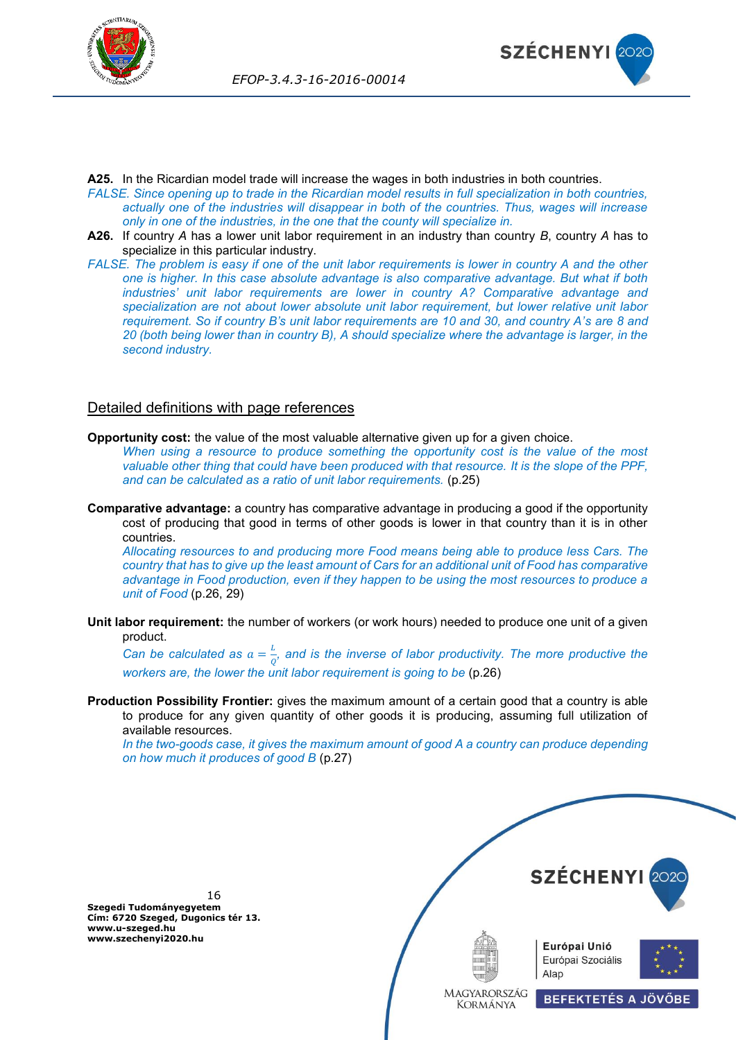



**A25.** In the Ricardian model trade will increase the wages in both industries in both countries.

- *FALSE. Since opening up to trade in the Ricardian model results in full specialization in both countries, actually one of the industries will disappear in both of the countries. Thus, wages will increase only in one of the industries, in the one that the county will specialize in.*
- **A26.** If country *A* has a lower unit labor requirement in an industry than country *B*, country *A* has to specialize in this particular industry.
- *FALSE. The problem is easy if one of the unit labor requirements is lower in country A and the other one is higher. In this case absolute advantage is also comparative advantage. But what if both industries' unit labor requirements are lower in country A? Comparative advantage and specialization are not about lower absolute unit labor requirement, but lower relative unit labor requirement. So if country B's unit labor requirements are 10 and 30, and country A's are 8 and 20 (both being lower than in country B), A should specialize where the advantage is larger, in the second industry.*

## <span id="page-15-0"></span>Detailed definitions with page references

**Opportunity cost:** the value of the most valuable alternative given up for a given choice.

*When using a resource to produce something the opportunity cost is the value of the most valuable other thing that could have been produced with that resource. It is the slope of the PPF, and can be calculated as a ratio of unit labor requirements.* (p.25)

**Comparative advantage:** a country has comparative advantage in producing a good if the opportunity cost of producing that good in terms of other goods is lower in that country than it is in other countries.

*Allocating resources to and producing more Food means being able to produce less Cars. The country that has to give up the least amount of Cars for an additional unit of Food has comparative advantage in Food production, even if they happen to be using the most resources to produce a unit of Food* (p.26, 29)

**Unit labor requirement:** the number of workers (or work hours) needed to produce one unit of a given product.

*Can be calculated as*  $a = \frac{L}{a}$  $\frac{2}{Q}$ , and is the inverse of labor productivity. The more productive the *workers are, the lower the unit labor requirement is going to be* (p.26)

**Production Possibility Frontier:** gives the maximum amount of a certain good that a country is able to produce for any given quantity of other goods it is producing, assuming full utilization of available resources.

*In the two-goods case, it gives the maximum amount of good A a country can produce depending on how much it produces of good B* (p.27)

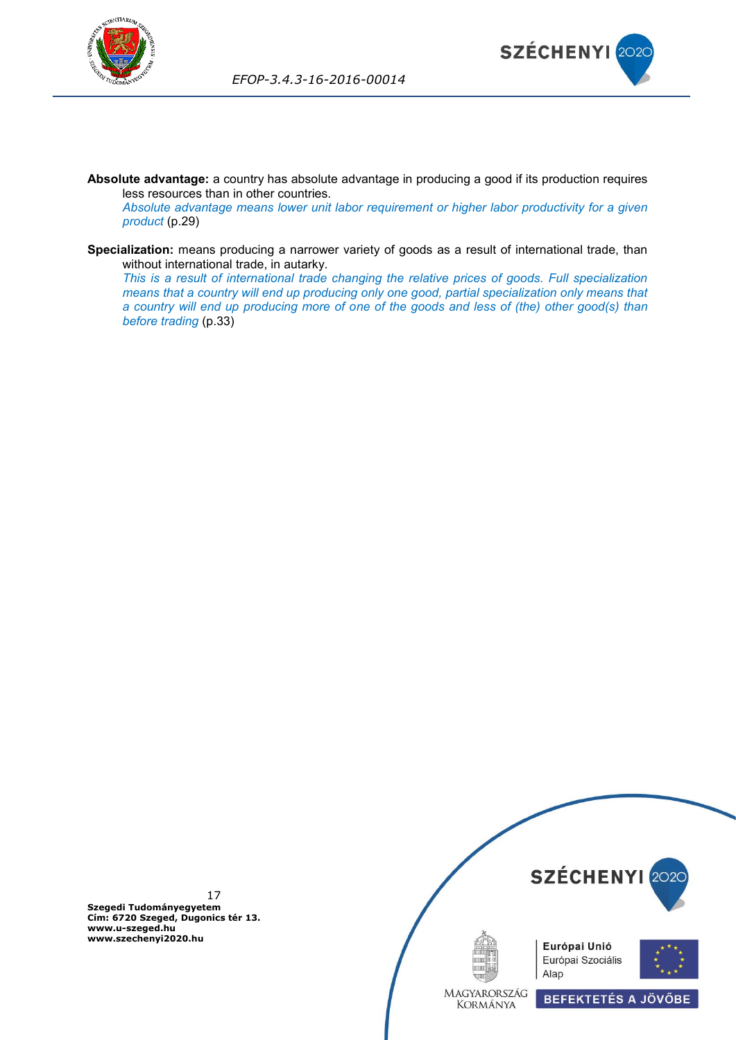



**Absolute advantage:** a country has absolute advantage in producing a good if its production requires less resources than in other countries.

*Absolute advantage means lower unit labor requirement or higher labor productivity for a given product* (p.29)

**Specialization:** means producing a narrower variety of goods as a result of international trade, than without international trade, in autarky.

*This is a result of international trade changing the relative prices of goods. Full specialization means that a country will end up producing only one good, partial specialization only means that a country will end up producing more of one of the goods and less of (the) other good(s) than before trading* (p.33)

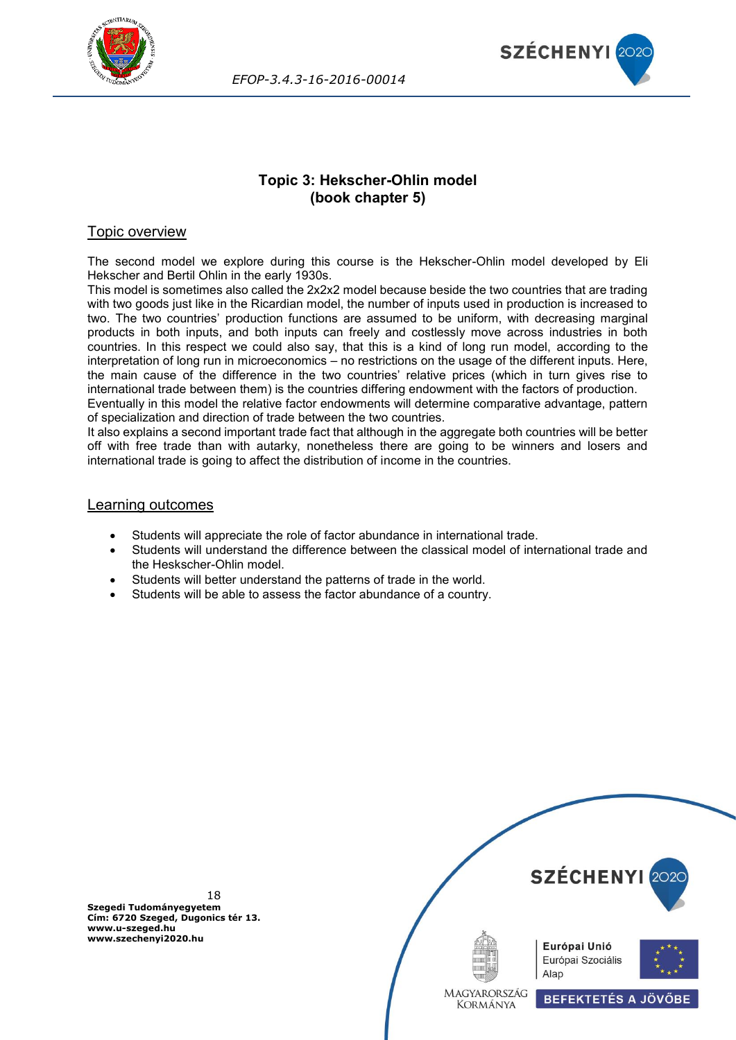



## **Topic 3: Hekscher-Ohlin model (book chapter 5)**

## <span id="page-17-0"></span>Topic overview

The second model we explore during this course is the Hekscher-Ohlin model developed by Eli Hekscher and Bertil Ohlin in the early 1930s.

This model is sometimes also called the 2x2x2 model because beside the two countries that are trading with two goods just like in the Ricardian model, the number of inputs used in production is increased to two. The two countries' production functions are assumed to be uniform, with decreasing marginal products in both inputs, and both inputs can freely and costlessly move across industries in both countries. In this respect we could also say, that this is a kind of long run model, according to the interpretation of long run in microeconomics – no restrictions on the usage of the different inputs. Here, the main cause of the difference in the two countries' relative prices (which in turn gives rise to international trade between them) is the countries differing endowment with the factors of production. Eventually in this model the relative factor endowments will determine comparative advantage, pattern

of specialization and direction of trade between the two countries.

It also explains a second important trade fact that although in the aggregate both countries will be better off with free trade than with autarky, nonetheless there are going to be winners and losers and international trade is going to affect the distribution of income in the countries.

#### Learning outcomes

- Students will appreciate the role of factor abundance in international trade.
- Students will understand the difference between the classical model of international trade and the Heskscher-Ohlin model.
- Students will better understand the patterns of trade in the world.
- Students will be able to assess the factor abundance of a country.

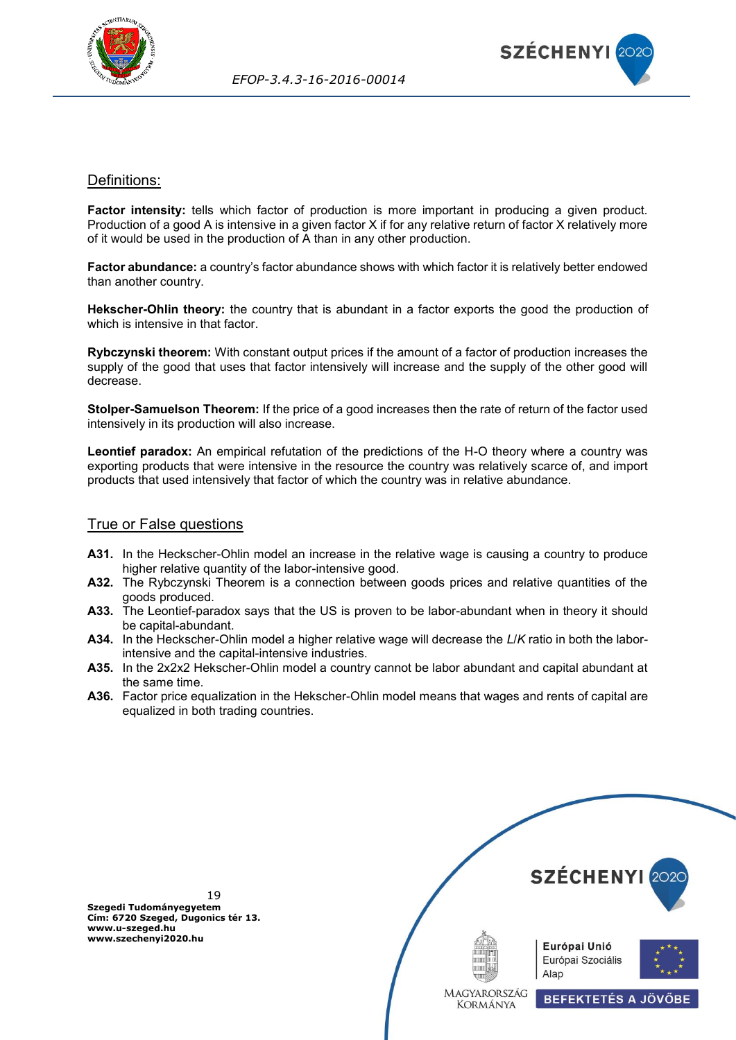



## <span id="page-18-0"></span>Definitions:

**Factor intensity:** tells which factor of production is more important in producing a given product. Production of a good A is intensive in a given factor X if for any relative return of factor X relatively more of it would be used in the production of A than in any other production.

**Factor abundance:** a country's factor abundance shows with which factor it is relatively better endowed than another country.

**Hekscher-Ohlin theory:** the country that is abundant in a factor exports the good the production of which is intensive in that factor.

**Rybczynski theorem:** With constant output prices if the amount of a factor of production increases the supply of the good that uses that factor intensively will increase and the supply of the other good will decrease.

**Stolper-Samuelson Theorem:** If the price of a good increases then the rate of return of the factor used intensively in its production will also increase.

**Leontief paradox:** An empirical refutation of the predictions of the H-O theory where a country was exporting products that were intensive in the resource the country was relatively scarce of, and import products that used intensively that factor of which the country was in relative abundance.

#### <span id="page-18-1"></span>True or False questions

- **A31.** In the Heckscher-Ohlin model an increase in the relative wage is causing a country to produce higher relative quantity of the labor-intensive good.
- **A32.** The Rybczynski Theorem is a connection between goods prices and relative quantities of the goods produced.
- **A33.** The Leontief-paradox says that the US is proven to be labor-abundant when in theory it should be capital-abundant.
- **A34.** In the Heckscher-Ohlin model a higher relative wage will decrease the *L*/*K* ratio in both the laborintensive and the capital-intensive industries.
- **A35.** In the 2x2x2 Hekscher-Ohlin model a country cannot be labor abundant and capital abundant at the same time.
- **A36.** Factor price equalization in the Hekscher-Ohlin model means that wages and rents of capital are equalized in both trading countries.

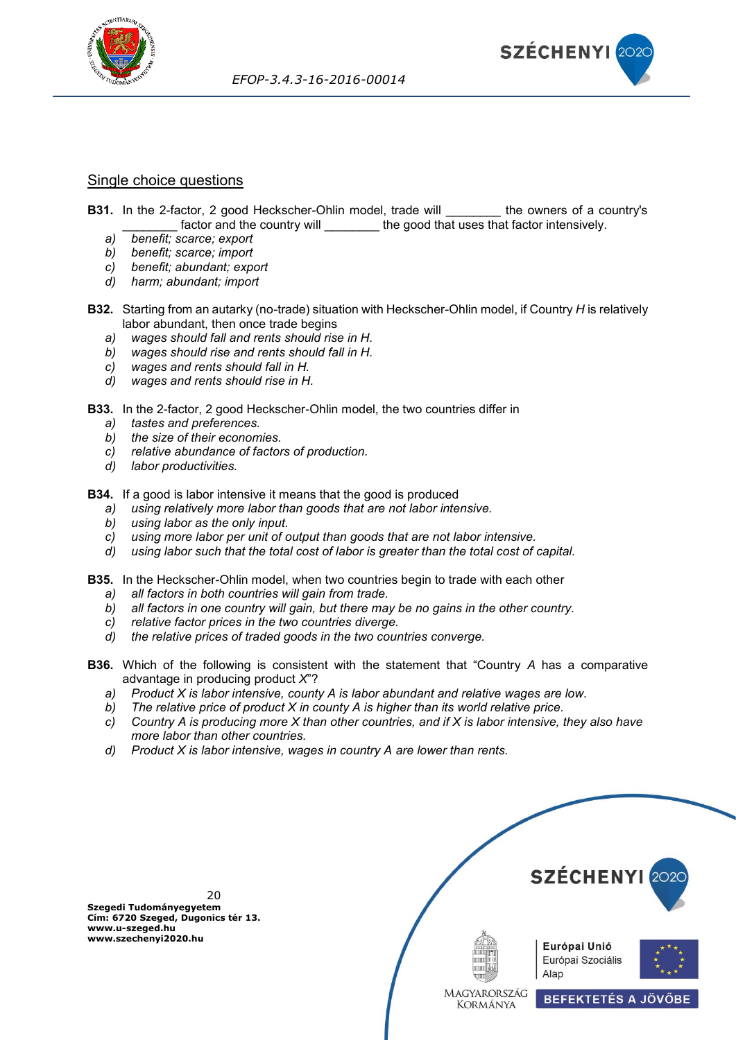



## <span id="page-19-0"></span>Single choice questions

- **B31.** In the 2-factor, 2 good Heckscher-Ohlin model, trade will the owners of a country's factor and the country will **the good that uses that factor intensively.** 
	- *a) benefit; scarce; export*
	- *b) benefit; scarce; import*
	- *c) benefit; abundant; export*
	- *d) harm; abundant; import*
- **B32.** Starting from an autarky (no-trade) situation with Heckscher-Ohlin model, if Country *H* is relatively labor abundant, then once trade begins
	- *a) wages should fall and rents should rise in H.*
	- *b) wages should rise and rents should fall in H.*
	- *c) wages and rents should fall in H.*
	- *d) wages and rents should rise in H.*
- **B33.** In the 2-factor, 2 good Heckscher-Ohlin model, the two countries differ in
	- *a) tastes and preferences.*
	- *b) the size of their economies.*
	- *c) relative abundance of factors of production.*
	- *d) labor productivities.*

**B34.** If a good is labor intensive it means that the good is produced

- *a) using relatively more labor than goods that are not labor intensive.*
- *b) using labor as the only input.*
- *c) using more labor per unit of output than goods that are not labor intensive.*
- *d) using labor such that the total cost of labor is greater than the total cost of capital.*
- **B35.** In the Heckscher-Ohlin model, when two countries begin to trade with each other
	- *a) all factors in both countries will gain from trade.*
	- *b) all factors in one country will gain, but there may be no gains in the other country.*
	- *c) relative factor prices in the two countries diverge.*
	- *d) the relative prices of traded goods in the two countries converge.*
- **B36.** Which of the following is consistent with the statement that "Country *A* has a comparative advantage in producing product *X*"?
	- *a) Product X is labor intensive, county A is labor abundant and relative wages are low.*
	- *b) The relative price of product X in county A is higher than its world relative price.*
	- *c) Country A is producing more X than other countries, and if X is labor intensive, they also have more labor than other countries.*
	- *d) Product X is labor intensive, wages in country A are lower than rents.*



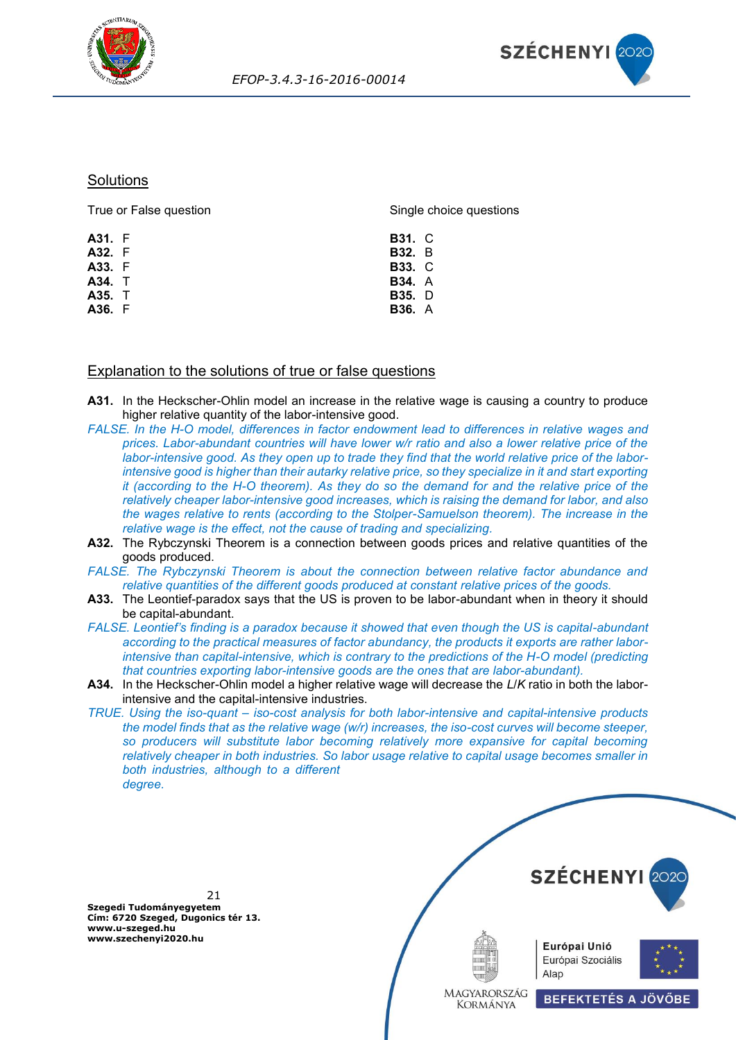



#### **Solutions**

| True or False question | Single choice questions |  |
|------------------------|-------------------------|--|
| A31. F                 | <b>B31. C</b>           |  |
| A32. F                 | <b>B32.</b> B           |  |
| A33. F                 | <b>B33. C</b>           |  |
| A34. T                 | <b>B34.</b> A           |  |
| A35. T                 | <b>B35.</b> D           |  |
| A36. F                 | <b>B36.</b> A           |  |
|                        |                         |  |

#### <span id="page-20-0"></span>Explanation to the solutions of true or false questions

- **A31.** In the Heckscher-Ohlin model an increase in the relative wage is causing a country to produce higher relative quantity of the labor-intensive good.
- *FALSE. In the H-O model, differences in factor endowment lead to differences in relative wages and prices. Labor-abundant countries will have lower w/r ratio and also a lower relative price of the labor-intensive good. As they open up to trade they find that the world relative price of the laborintensive good is higher than their autarky relative price, so they specialize in it and start exporting it (according to the H-O theorem). As they do so the demand for and the relative price of the relatively cheaper labor-intensive good increases, which is raising the demand for labor, and also the wages relative to rents (according to the Stolper-Samuelson theorem). The increase in the relative wage is the effect, not the cause of trading and specializing.*
- **A32.** The Rybczynski Theorem is a connection between goods prices and relative quantities of the goods produced.
- *FALSE. The Rybczynski Theorem is about the connection between relative factor abundance and relative quantities of the different goods produced at constant relative prices of the goods.*
- **A33.** The Leontief-paradox says that the US is proven to be labor-abundant when in theory it should be capital-abundant.
- *FALSE. Leontief's finding is a paradox because it showed that even though the US is capital-abundant according to the practical measures of factor abundancy, the products it exports are rather laborintensive than capital-intensive, which is contrary to the predictions of the H-O model (predicting that countries exporting labor-intensive goods are the ones that are labor-abundant).*
- **A34.** In the Heckscher-Ohlin model a higher relative wage will decrease the *L*/*K* ratio in both the laborintensive and the capital-intensive industries.
- *TRUE. Using the iso-quant – iso-cost analysis for both labor-intensive and capital-intensive products the model finds that as the relative wage (w/r) increases, the iso-cost curves will become steeper, so producers will substitute labor becoming relatively more expansive for capital becoming relatively cheaper in both industries. So labor usage relative to capital usage becomes smaller in both industries, although to a different degree.*

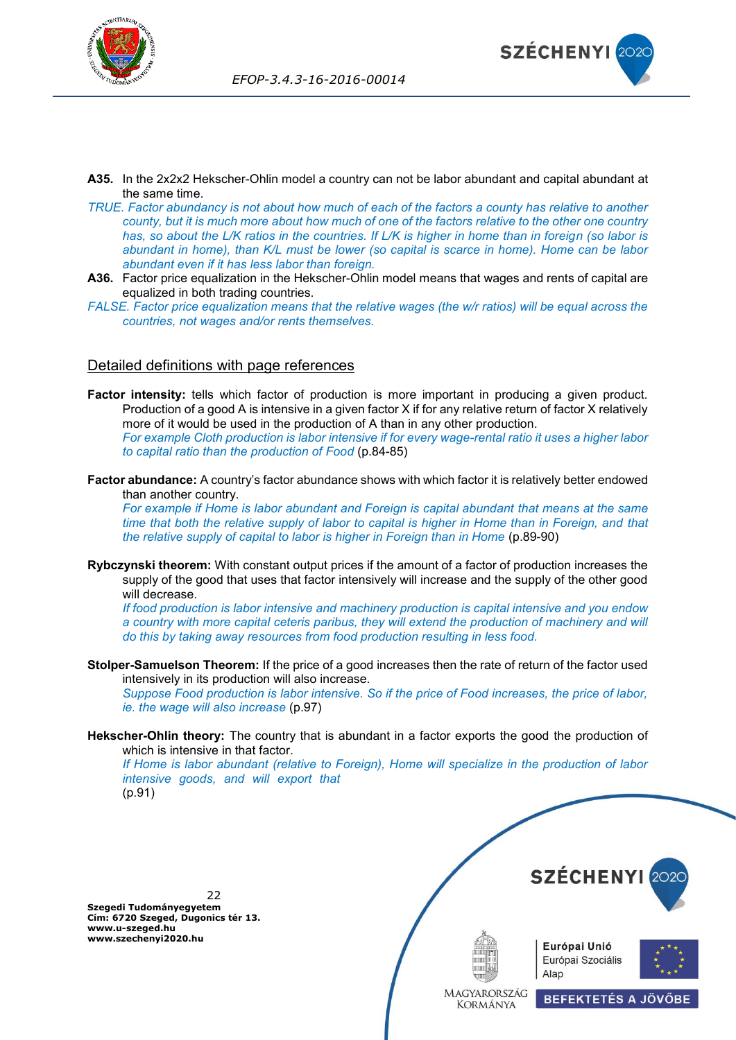



- **A35.** In the 2x2x2 Hekscher-Ohlin model a country can not be labor abundant and capital abundant at the same time.
- *TRUE. Factor abundancy is not about how much of each of the factors a county has relative to another county, but it is much more about how much of one of the factors relative to the other one country has, so about the L/K ratios in the countries. If L/K is higher in home than in foreign (so labor is abundant in home), than K/L must be lower (so capital is scarce in home). Home can be labor abundant even if it has less labor than foreign.*
- **A36.** Factor price equalization in the Hekscher-Ohlin model means that wages and rents of capital are equalized in both trading countries.
- *FALSE. Factor price equalization means that the relative wages (the w/r ratios) will be equal across the countries, not wages and/or rents themselves.*

#### <span id="page-21-0"></span>Detailed definitions with page references

- **Factor intensity:** tells which factor of production is more important in producing a given product. Production of a good A is intensive in a given factor X if for any relative return of factor X relatively more of it would be used in the production of A than in any other production. *For example Cloth production is labor intensive if for every wage-rental ratio it uses a higher labor to capital ratio than the production of Food* (p.84-85)
- **Factor abundance:** A country's factor abundance shows with which factor it is relatively better endowed than another country.

*For example if Home is labor abundant and Foreign is capital abundant that means at the same time that both the relative supply of labor to capital is higher in Home than in Foreign, and that the relative supply of capital to labor is higher in Foreign than in Home* (p.89-90)

**Rybczynski theorem:** With constant output prices if the amount of a factor of production increases the supply of the good that uses that factor intensively will increase and the supply of the other good will decrease.

*If food production is labor intensive and machinery production is capital intensive and you endow*  a country with more capital ceteris paribus, they will extend the production of machinery and will *do this by taking away resources from food production resulting in less food.*

**Stolper-Samuelson Theorem:** If the price of a good increases then the rate of return of the factor used intensively in its production will also increase.

*Suppose Food production is labor intensive. So if the price of Food increases, the price of labor, ie. the wage will also increase* (p.97)

**Hekscher-Ohlin theory:** The country that is abundant in a factor exports the good the production of which is intensive in that factor.

*If Home is labor abundant (relative to Foreign), Home will specialize in the production of labor intensive goods, and will export that* (p.91)

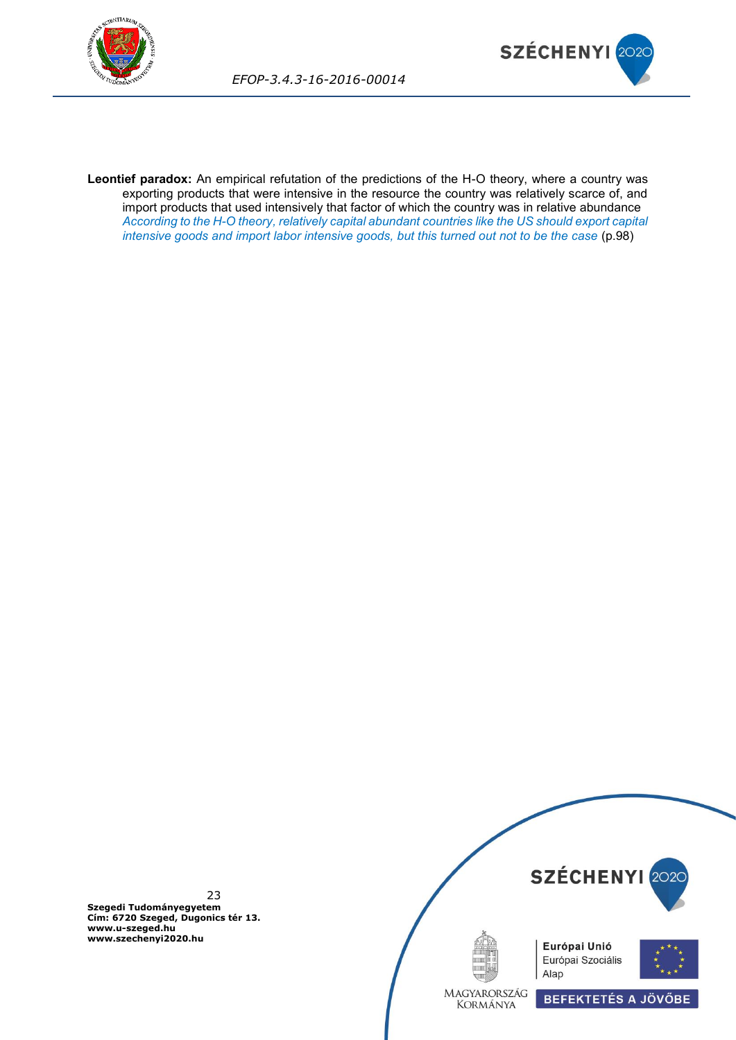



**Leontief paradox:** An empirical refutation of the predictions of the H-O theory, where a country was exporting products that were intensive in the resource the country was relatively scarce of, and import products that used intensively that factor of which the country was in relative abundance *According to the H-O theory, relatively capital abundant countries like the US should export capital intensive goods and import labor intensive goods, but this turned out not to be the case* (p.98)

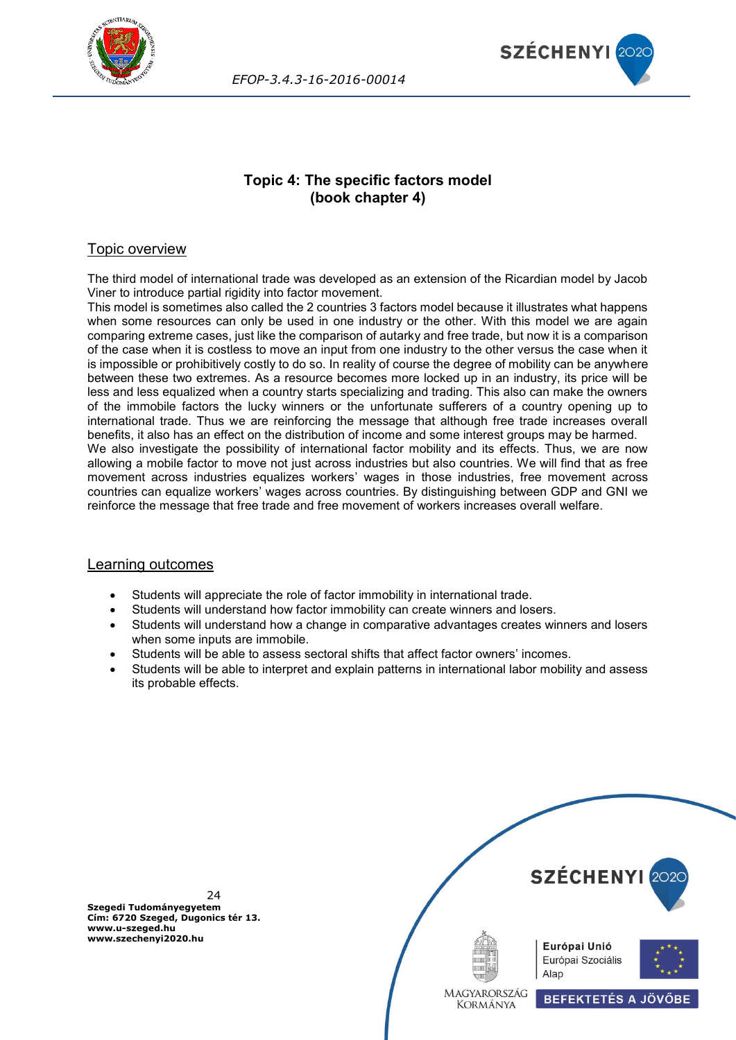



## **Topic 4: The specific factors model (book chapter 4)**

## <span id="page-23-0"></span>Topic overview

The third model of international trade was developed as an extension of the Ricardian model by Jacob Viner to introduce partial rigidity into factor movement.

This model is sometimes also called the 2 countries 3 factors model because it illustrates what happens when some resources can only be used in one industry or the other. With this model we are again comparing extreme cases, just like the comparison of autarky and free trade, but now it is a comparison of the case when it is costless to move an input from one industry to the other versus the case when it is impossible or prohibitively costly to do so. In reality of course the degree of mobility can be anywhere between these two extremes. As a resource becomes more locked up in an industry, its price will be less and less equalized when a country starts specializing and trading. This also can make the owners of the immobile factors the lucky winners or the unfortunate sufferers of a country opening up to international trade. Thus we are reinforcing the message that although free trade increases overall benefits, it also has an effect on the distribution of income and some interest groups may be harmed. We also investigate the possibility of international factor mobility and its effects. Thus, we are now allowing a mobile factor to move not just across industries but also countries. We will find that as free movement across industries equalizes workers' wages in those industries, free movement across countries can equalize workers' wages across countries. By distinguishing between GDP and GNI we reinforce the message that free trade and free movement of workers increases overall welfare.

#### Learning outcomes

- Students will appreciate the role of factor immobility in international trade.
- Students will understand how factor immobility can create winners and losers.
- Students will understand how a change in comparative advantages creates winners and losers when some inputs are immobile.
- Students will be able to assess sectoral shifts that affect factor owners' incomes.
- Students will be able to interpret and explain patterns in international labor mobility and assess its probable effects.

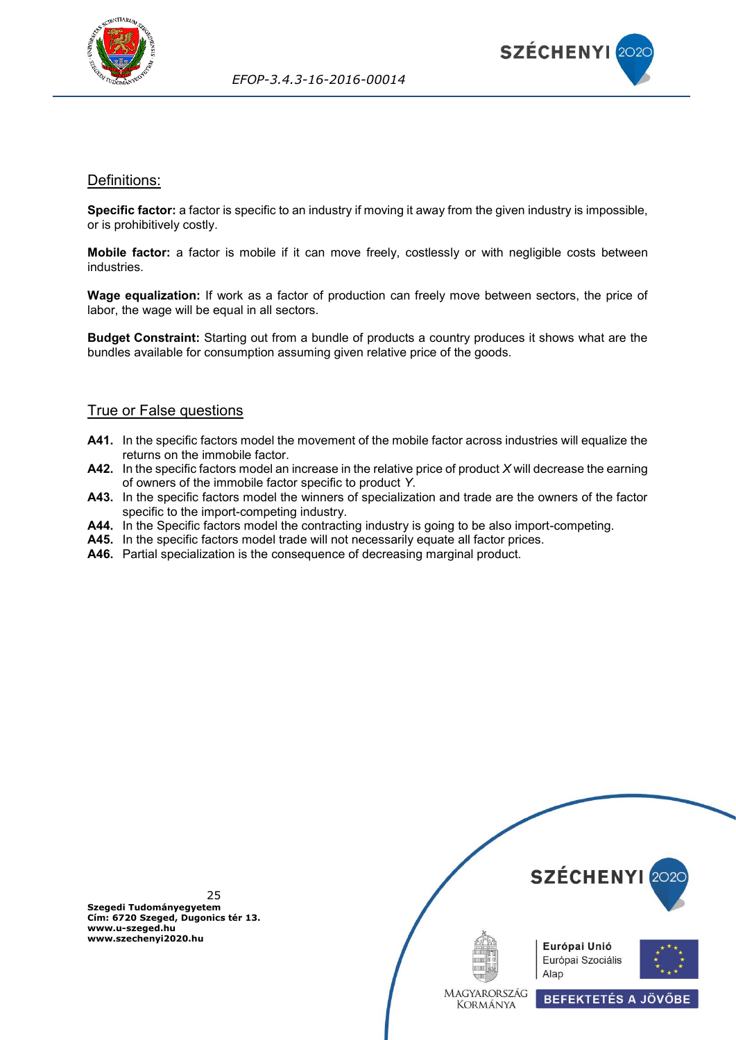



#### <span id="page-24-0"></span>Definitions:

**Specific factor:** a factor is specific to an industry if moving it away from the given industry is impossible, or is prohibitively costly.

**Mobile factor:** a factor is mobile if it can move freely, costlessly or with negligible costs between industries.

**Wage equalization:** If work as a factor of production can freely move between sectors, the price of labor, the wage will be equal in all sectors.

**Budget Constraint:** Starting out from a bundle of products a country produces it shows what are the bundles available for consumption assuming given relative price of the goods.

## <span id="page-24-1"></span>True or False questions

- **A41.** In the specific factors model the movement of the mobile factor across industries will equalize the returns on the immobile factor.
- **A42.** In the specific factors model an increase in the relative price of product *X* will decrease the earning of owners of the immobile factor specific to product *Y*.
- **A43.** In the specific factors model the winners of specialization and trade are the owners of the factor specific to the import-competing industry.
- **A44.** In the Specific factors model the contracting industry is going to be also import-competing.
- **A45.** In the specific factors model trade will not necessarily equate all factor prices.
- **A46.** Partial specialization is the consequence of decreasing marginal product.

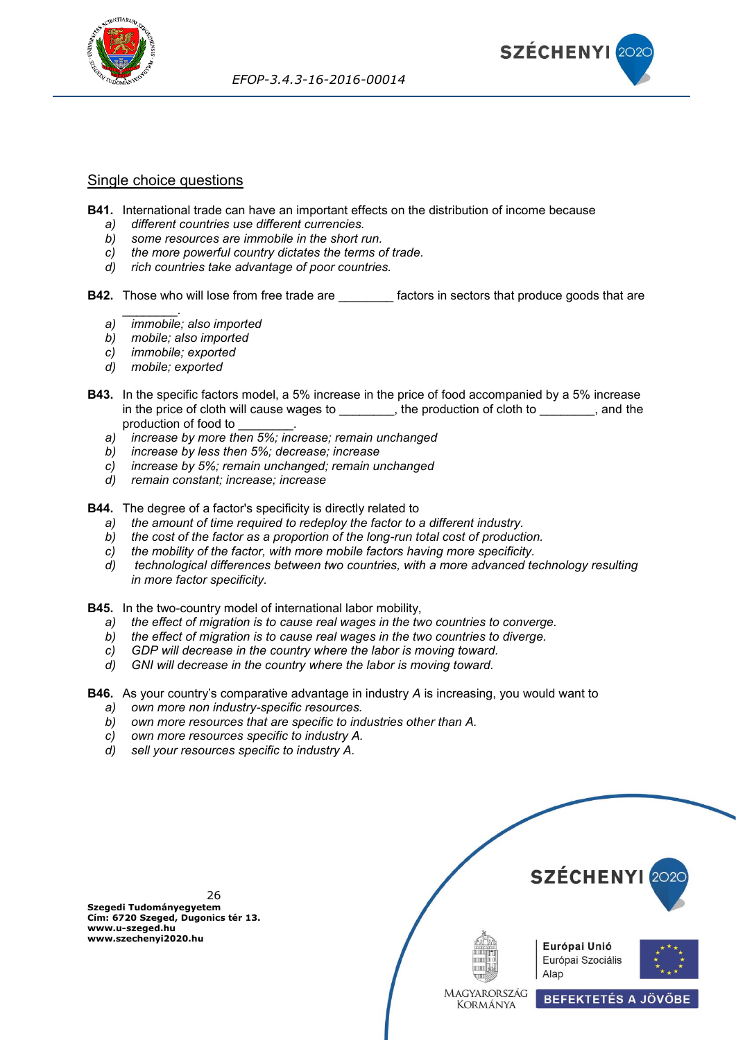



#### <span id="page-25-0"></span>Single choice questions

- **B41.** International trade can have an important effects on the distribution of income because
	- *a) different countries use different currencies.*
	- *b) some resources are immobile in the short run.*
	- *c) the more powerful country dictates the terms of trade.*
	- *d) rich countries take advantage of poor countries.*
- **B42.** Those who will lose from free trade are **the integral factors** in sectors that produce goods that are
	- \_\_\_\_\_\_\_\_. *a) immobile; also imported*
	- *b) mobile; also imported*
	- *c) immobile; exported*
	- *d) mobile; exported*
- **B43.** In the specific factors model, a 5% increase in the price of food accompanied by a 5% increase in the price of cloth will cause wages to \_\_\_\_\_\_\_\_, the production of cloth to \_\_\_\_\_\_\_, and the production of food to \_\_\_\_\_\_\_\_.
	- *a) increase by more then 5%; increase; remain unchanged*
	- *b) increase by less then 5%; decrease; increase*
	- *c) increase by 5%; remain unchanged; remain unchanged*
	- *d) remain constant; increase; increase*
- **B44.** The degree of a factor's specificity is directly related to
	- *a) the amount of time required to redeploy the factor to a different industry.*
	- *b) the cost of the factor as a proportion of the long-run total cost of production.*
	- *c) the mobility of the factor, with more mobile factors having more specificity.*
	- *d) technological differences between two countries, with a more advanced technology resulting in more factor specificity.*
- **B45.** In the two-country model of international labor mobility,
	- *a) the effect of migration is to cause real wages in the two countries to converge.*
	- *b) the effect of migration is to cause real wages in the two countries to diverge.*
	- *c) GDP will decrease in the country where the labor is moving toward.*
	- *d) GNI will decrease in the country where the labor is moving toward.*
- **B46.** As your country's comparative advantage in industry *A* is increasing, you would want to
	- *a) own more non industry-specific resources.*
	- *b) own more resources that are specific to industries other than A.*
	- *c) own more resources specific to industry A.*
	- *d) sell your resources specific to industry A.*

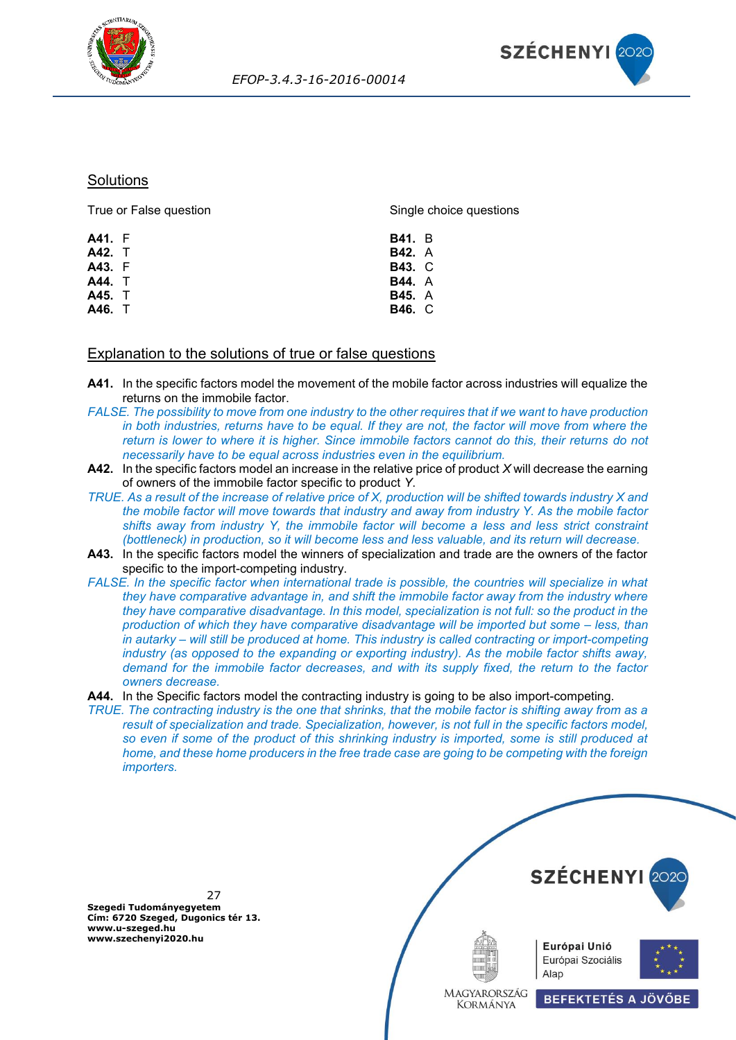



#### **Solutions**

True or False question

Single choice questions

| A41. F<br>A42. T<br>A43. F | <b>B41.</b> B<br><b>B42.</b> A<br><b>B43. C</b> |  |
|----------------------------|-------------------------------------------------|--|
| A44. T<br>A45. T           | <b>B44.</b> A                                   |  |
| A46. T                     | <b>B45.</b> A<br><b>B46. C</b>                  |  |

#### <span id="page-26-0"></span>Explanation to the solutions of true or false questions

- **A41.** In the specific factors model the movement of the mobile factor across industries will equalize the returns on the immobile factor.
- *FALSE. The possibility to move from one industry to the other requires that if we want to have production in both industries, returns have to be equal. If they are not, the factor will move from where the return is lower to where it is higher. Since immobile factors cannot do this, their returns do not necessarily have to be equal across industries even in the equilibrium.*
- **A42.** In the specific factors model an increase in the relative price of product *X* will decrease the earning of owners of the immobile factor specific to product *Y*.
- *TRUE. As a result of the increase of relative price of X, production will be shifted towards industry X and the mobile factor will move towards that industry and away from industry Y. As the mobile factor shifts away from industry Y, the immobile factor will become a less and less strict constraint (bottleneck) in production, so it will become less and less valuable, and its return will decrease.*
- **A43.** In the specific factors model the winners of specialization and trade are the owners of the factor specific to the import-competing industry.
- *FALSE. In the specific factor when international trade is possible, the countries will specialize in what they have comparative advantage in, and shift the immobile factor away from the industry where they have comparative disadvantage. In this model, specialization is not full: so the product in the production of which they have comparative disadvantage will be imported but some – less, than in autarky – will still be produced at home. This industry is called contracting or import-competing industry (as opposed to the expanding or exporting industry). As the mobile factor shifts away, demand for the immobile factor decreases, and with its supply fixed, the return to the factor owners decrease.*
- **A44.** In the Specific factors model the contracting industry is going to be also import-competing.
- *TRUE. The contracting industry is the one that shrinks, that the mobile factor is shifting away from as a result of specialization and trade. Specialization, however, is not full in the specific factors model, so even if some of the product of this shrinking industry is imported, some is still produced at home, and these home producers in the free trade case are going to be competing with the foreign importers.*

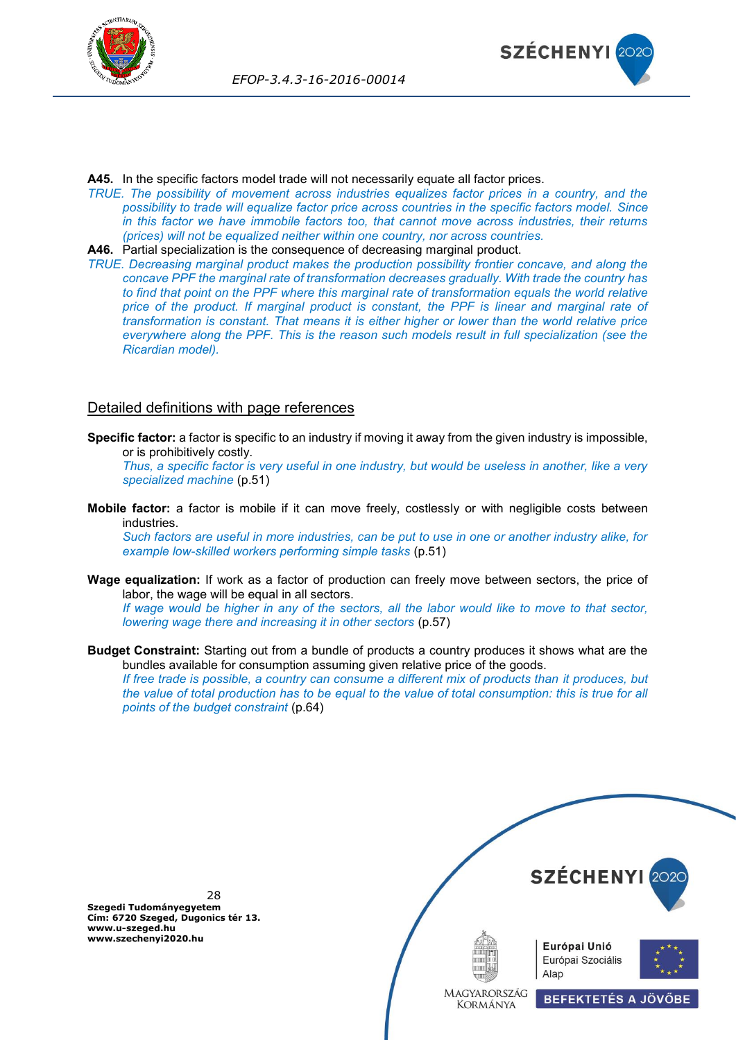



**A45.** In the specific factors model trade will not necessarily equate all factor prices.

*TRUE. The possibility of movement across industries equalizes factor prices in a country, and the possibility to trade will equalize factor price across countries in the specific factors model. Since in this factor we have immobile factors too, that cannot move across industries, their returns (prices) will not be equalized neither within one country, nor across countries.*

**A46.** Partial specialization is the consequence of decreasing marginal product.

*TRUE. Decreasing marginal product makes the production possibility frontier concave, and along the concave PPF the marginal rate of transformation decreases gradually. With trade the country has to find that point on the PPF where this marginal rate of transformation equals the world relative price of the product. If marginal product is constant, the PPF is linear and marginal rate of transformation is constant. That means it is either higher or lower than the world relative price everywhere along the PPF. This is the reason such models result in full specialization (see the Ricardian model).*

## <span id="page-27-0"></span>Detailed definitions with page references

**Specific factor:** a factor is specific to an industry if moving it away from the given industry is impossible, or is prohibitively costly.

*Thus, a specific factor is very useful in one industry, but would be useless in another, like a very specialized machine* (p.51)

**Mobile factor:** a factor is mobile if it can move freely, costlessly or with negligible costs between industries.

*Such factors are useful in more industries, can be put to use in one or another industry alike, for example low-skilled workers performing simple tasks* (p.51)

**Wage equalization:** If work as a factor of production can freely move between sectors, the price of labor, the wage will be equal in all sectors.

*If wage would be higher in any of the sectors, all the labor would like to move to that sector, lowering wage there and increasing it in other sectors (p.57)* 

**Budget Constraint:** Starting out from a bundle of products a country produces it shows what are the bundles available for consumption assuming given relative price of the goods.

*If free trade is possible, a country can consume a different mix of products than it produces, but the value of total production has to be equal to the value of total consumption: this is true for all points of the budget constraint* (p.64)



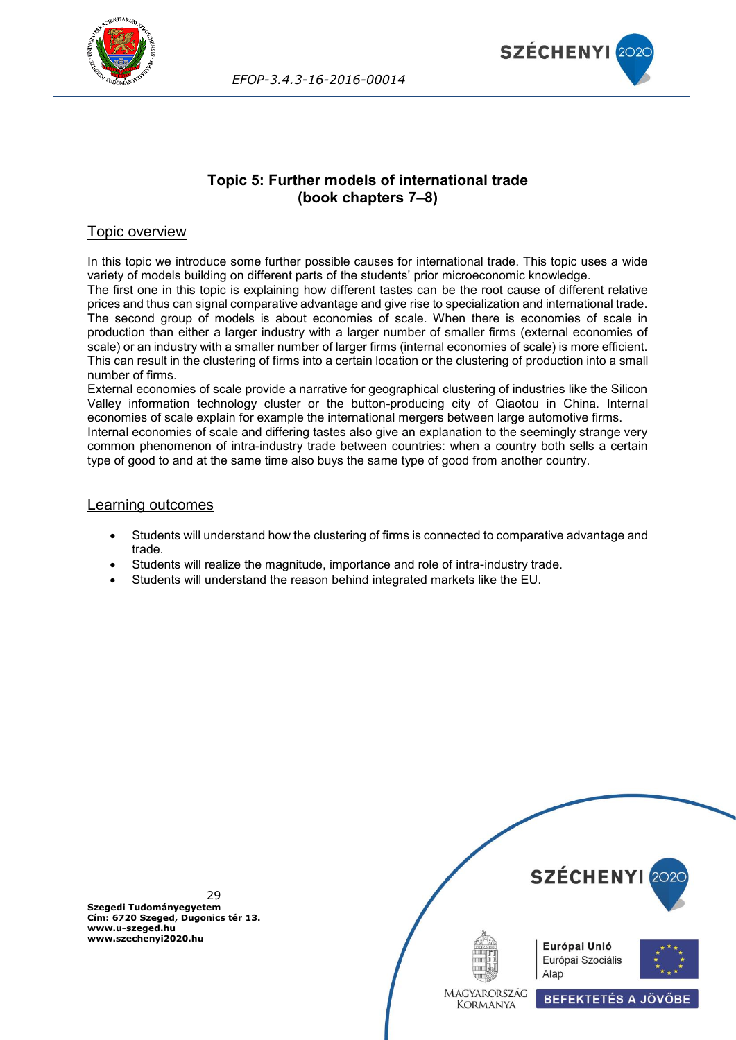



## **Topic 5: Further models of international trade (book chapters 7–8)**

## <span id="page-28-0"></span>Topic overview

In this topic we introduce some further possible causes for international trade. This topic uses a wide variety of models building on different parts of the students' prior microeconomic knowledge.

The first one in this topic is explaining how different tastes can be the root cause of different relative prices and thus can signal comparative advantage and give rise to specialization and international trade. The second group of models is about economies of scale. When there is economies of scale in production than either a larger industry with a larger number of smaller firms (external economies of scale) or an industry with a smaller number of larger firms (internal economies of scale) is more efficient. This can result in the clustering of firms into a certain location or the clustering of production into a small number of firms.

External economies of scale provide a narrative for geographical clustering of industries like the Silicon Valley information technology cluster or the button-producing city of Qiaotou in China. Internal economies of scale explain for example the international mergers between large automotive firms. Internal economies of scale and differing tastes also give an explanation to the seemingly strange very common phenomenon of intra-industry trade between countries: when a country both sells a certain type of good to and at the same time also buys the same type of good from another country.

#### Learning outcomes

- Students will understand how the clustering of firms is connected to comparative advantage and trade.
- Students will realize the magnitude, importance and role of intra-industry trade.
- Students will understand the reason behind integrated markets like the EU.

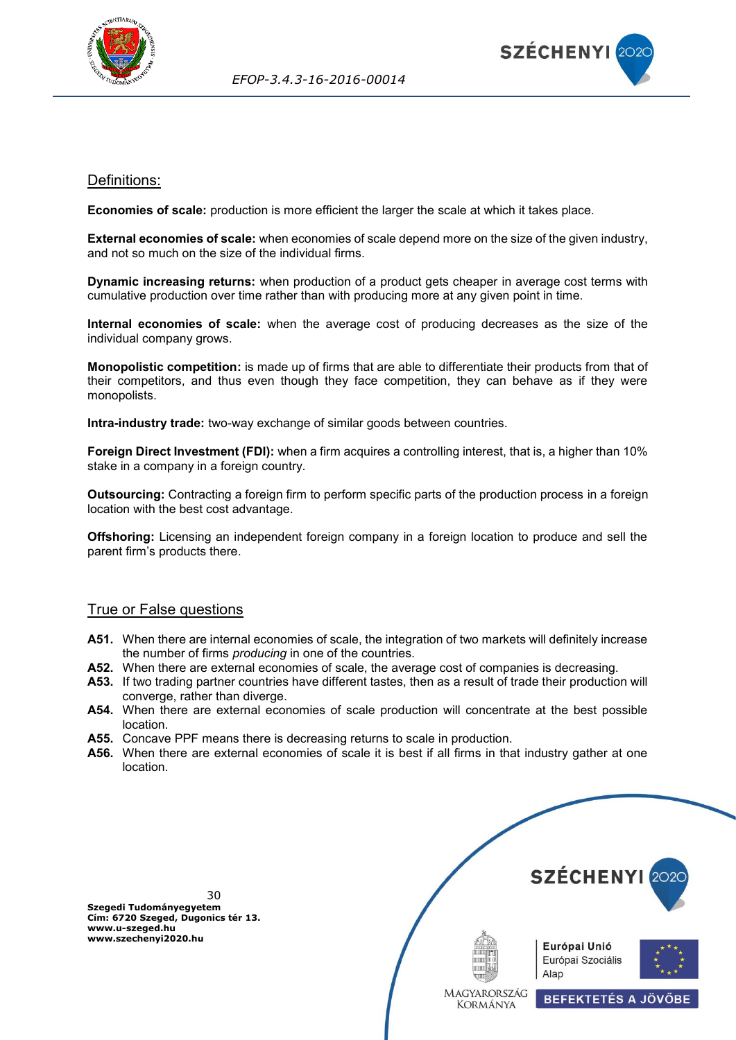



## <span id="page-29-0"></span>Definitions:

**Economies of scale:** production is more efficient the larger the scale at which it takes place.

**External economies of scale:** when economies of scale depend more on the size of the given industry, and not so much on the size of the individual firms.

**Dynamic increasing returns:** when production of a product gets cheaper in average cost terms with cumulative production over time rather than with producing more at any given point in time.

**Internal economies of scale:** when the average cost of producing decreases as the size of the individual company grows.

**Monopolistic competition:** is made up of firms that are able to differentiate their products from that of their competitors, and thus even though they face competition, they can behave as if they were monopolists.

**Intra-industry trade:** two-way exchange of similar goods between countries.

**Foreign Direct Investment (FDI):** when a firm acquires a controlling interest, that is, a higher than 10% stake in a company in a foreign country.

**Outsourcing:** Contracting a foreign firm to perform specific parts of the production process in a foreign location with the best cost advantage.

**Offshoring:** Licensing an independent foreign company in a foreign location to produce and sell the parent firm's products there.

#### <span id="page-29-1"></span>True or False questions

- **A51.** When there are internal economies of scale, the integration of two markets will definitely increase the number of firms *producing* in one of the countries.
- **A52.** When there are external economies of scale, the average cost of companies is decreasing.
- **A53.** If two trading partner countries have different tastes, then as a result of trade their production will converge, rather than diverge.
- **A54.** When there are external economies of scale production will concentrate at the best possible location.
- **A55.** Concave PPF means there is decreasing returns to scale in production.
- **A56.** When there are external economies of scale it is best if all firms in that industry gather at one location.

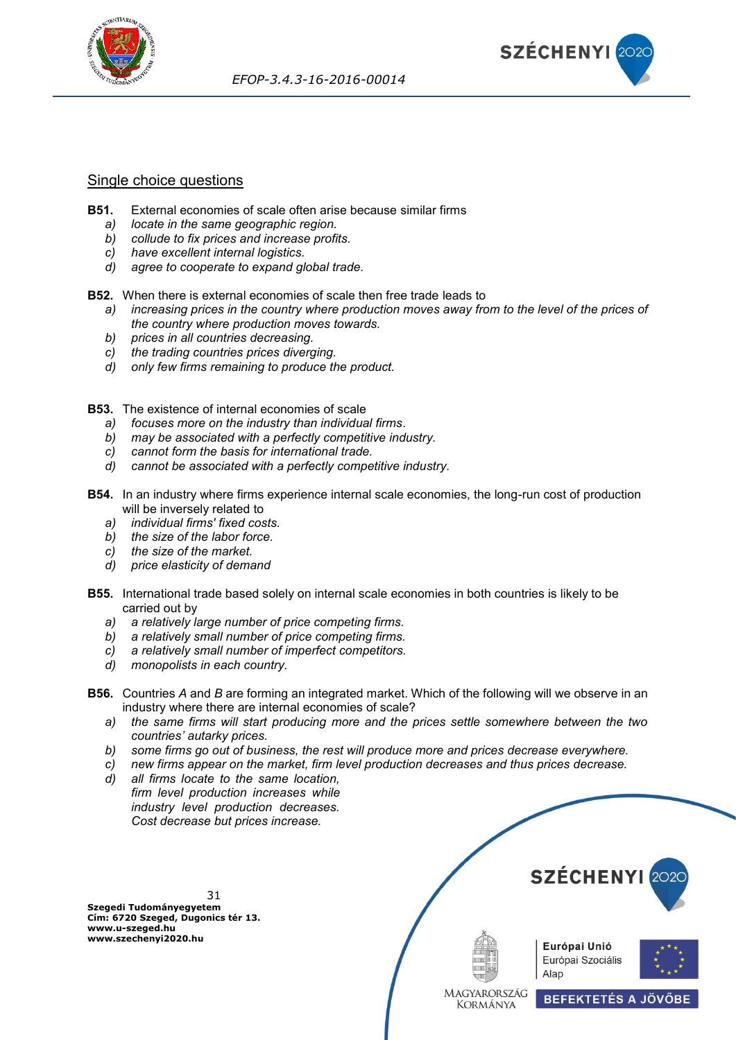



#### <span id="page-30-0"></span>Single choice questions

- **B51.** External economies of scale often arise because similar firms
	- *a) locate in the same geographic region.*
	- *b) collude to fix prices and increase profits.*
	- *c) have excellent internal logistics.*
	- *d) agree to cooperate to expand global trade.*

**B52.** When there is external economies of scale then free trade leads to

- *a) increasing prices in the country where production moves away from to the level of the prices of the country where production moves towards.*
- *b) prices in all countries decreasing.*
- *c) the trading countries prices diverging.*
- *d) only few firms remaining to produce the product.*
- **B53.** The existence of internal economies of scale
	- *a) focuses more on the industry than individual firms*.
	- *b) may be associated with a perfectly competitive industry.*
	- *c) cannot form the basis for international trade.*
	- *d) cannot be associated with a perfectly competitive industry.*
- **B54.** In an industry where firms experience internal scale economies, the long-run cost of production will be inversely related to
	- *a) individual firms' fixed costs.*
	- *b) the size of the labor force.*
	- *c) the size of the market.*
	- *d) price elasticity of demand*
- **B55.** International trade based solely on internal scale economies in both countries is likely to be carried out by
	- *a) a relatively large number of price competing firms.*
	- *b) a relatively small number of price competing firms.*
	- *c) a relatively small number of imperfect competitors.*
	- *d) monopolists in each country.*
- **B56.** Countries *A* and *B* are forming an integrated market. Which of the following will we observe in an industry where there are internal economies of scale?
	- *a) the same firms will start producing more and the prices settle somewhere between the two countries' autarky prices.*
	- *b) some firms go out of business, the rest will produce more and prices decrease everywhere.*
	- *c) new firms appear on the market, firm level production decreases and thus prices decrease.*
	- *d) all firms locate to the same location, firm level production increases while industry level production decreases. Cost decrease but prices increase.*

31 **Szegedi Tudományegyetem Cím: 6720 Szeged, Dugonics tér 13. www.u-szeged.hu www.szechenyi2020.hu**



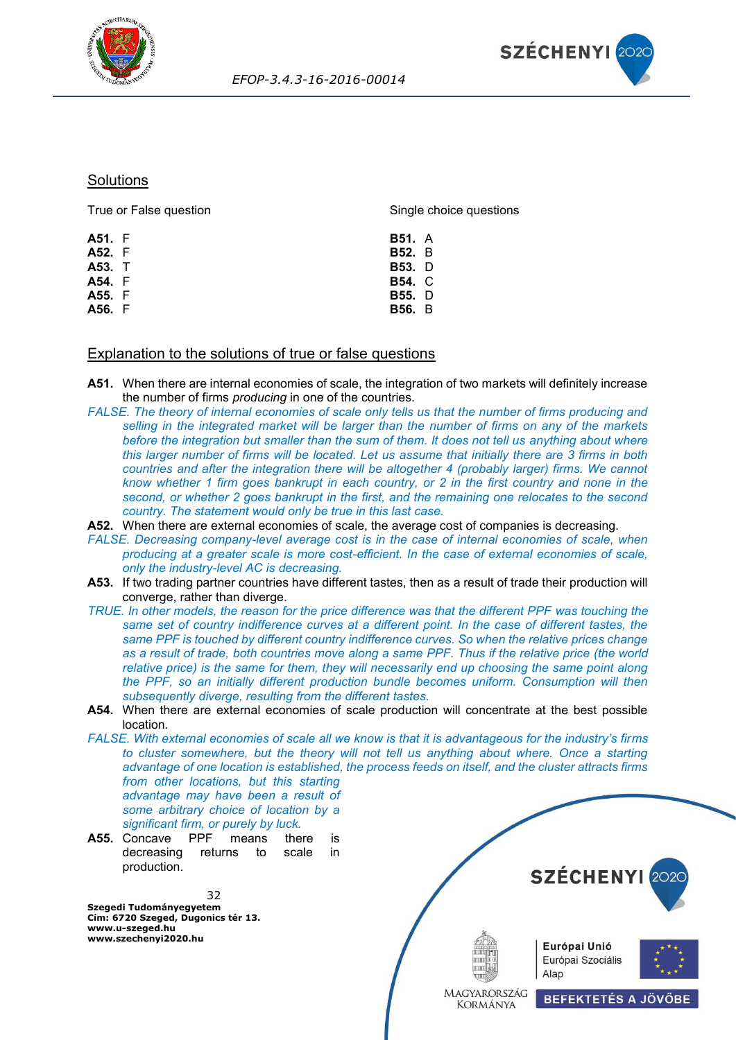



#### **Solutions**

| True or False question | Single choice questions |  |
|------------------------|-------------------------|--|
| <b>A51.</b> F          | <b>B51.</b> A           |  |
| <b>A52.</b> F          | <b>B52.</b> B           |  |
| A53. T                 | <b>B53.</b> D           |  |
| <b>A54.</b> F          | <b>B54. C</b>           |  |
| A55. F                 | <b>B55.</b> D           |  |
| A56. F                 | <b>B56.</b> B           |  |
|                        |                         |  |

#### <span id="page-31-0"></span>Explanation to the solutions of true or false questions

- **A51.** When there are internal economies of scale, the integration of two markets will definitely increase the number of firms *producing* in one of the countries.
- *FALSE. The theory of internal economies of scale only tells us that the number of firms producing and selling in the integrated market will be larger than the number of firms on any of the markets before the integration but smaller than the sum of them. It does not tell us anything about where this larger number of firms will be located. Let us assume that initially there are 3 firms in both countries and after the integration there will be altogether 4 (probably larger) firms. We cannot know whether 1 firm goes bankrupt in each country, or 2 in the first country and none in the second, or whether 2 goes bankrupt in the first, and the remaining one relocates to the second country. The statement would only be true in this last case.*
- **A52.** When there are external economies of scale, the average cost of companies is decreasing.
- *FALSE. Decreasing company-level average cost is in the case of internal economies of scale, when producing at a greater scale is more cost-efficient. In the case of external economies of scale, only the industry-level AC is decreasing.*
- **A53.** If two trading partner countries have different tastes, then as a result of trade their production will converge, rather than diverge.
- *TRUE. In other models, the reason for the price difference was that the different PPF was touching the same set of country indifference curves at a different point. In the case of different tastes, the same PPF is touched by different country indifference curves. So when the relative prices change as a result of trade, both countries move along a same PPF. Thus if the relative price (the world relative price) is the same for them, they will necessarily end up choosing the same point along the PPF, so an initially different production bundle becomes uniform. Consumption will then subsequently diverge, resulting from the different tastes.*
- **A54.** When there are external economies of scale production will concentrate at the best possible location.
- *FALSE. With external economies of scale all we know is that it is advantageous for the industry's firms*  to cluster somewhere, but the theory will not tell us anything about where. Once a starting *advantage of one location is established, the process feeds on itself, and the cluster attracts firms from other locations, but this starting advantage may have been a result of some arbitrary choice of location by a significant firm, or purely by luck.*
- **A55.** Concave PPF means there is decreasing returns to scale in production.

32 **Szegedi Tudományegyetem Cím: 6720 Szeged, Dugonics tér 13. www.u-szeged.hu www.szechenyi2020.hu**



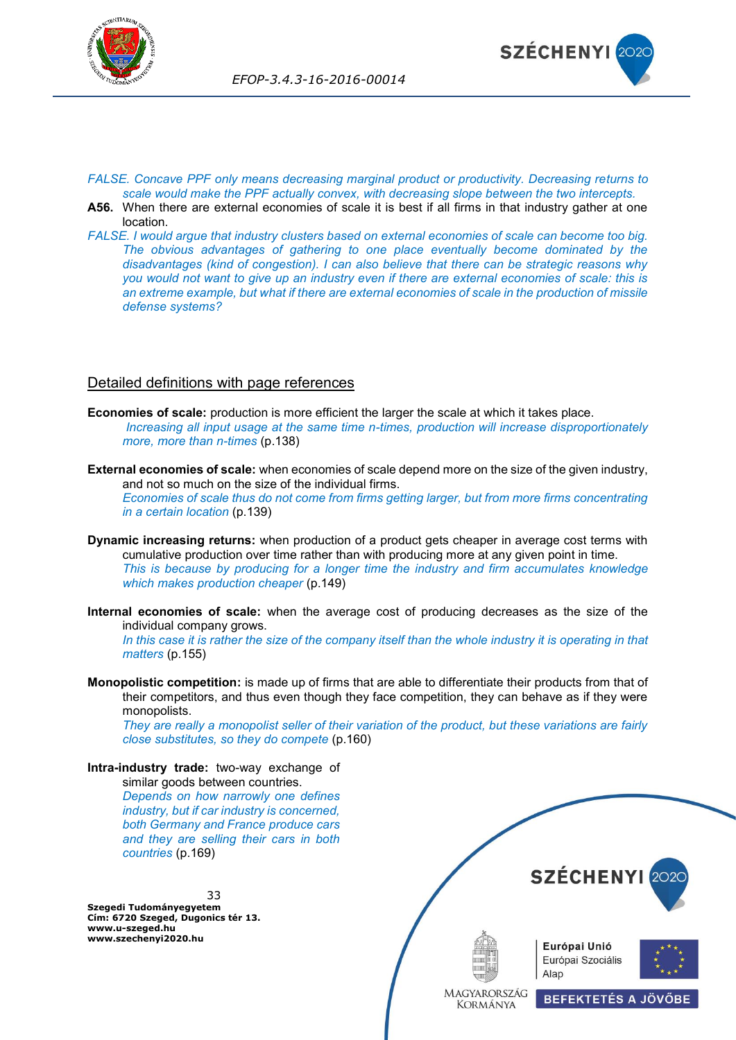



- *FALSE. Concave PPF only means decreasing marginal product or productivity. Decreasing returns to scale would make the PPF actually convex, with decreasing slope between the two intercepts.*
- **A56.** When there are external economies of scale it is best if all firms in that industry gather at one location.
- *FALSE. I would argue that industry clusters based on external economies of scale can become too big. The obvious advantages of gathering to one place eventually become dominated by the disadvantages (kind of congestion). I can also believe that there can be strategic reasons why you would not want to give up an industry even if there are external economies of scale: this is an extreme example, but what if there are external economies of scale in the production of missile defense systems?*

#### <span id="page-32-0"></span>Detailed definitions with page references

- **Economies of scale:** production is more efficient the larger the scale at which it takes place. *Increasing all input usage at the same time n-times, production will increase disproportionately more, more than n-times* (p.138)
- **External economies of scale:** when economies of scale depend more on the size of the given industry, and not so much on the size of the individual firms. *Economies of scale thus do not come from firms getting larger, but from more firms concentrating*

*in a certain location* (p.139)

- **Dynamic increasing returns:** when production of a product gets cheaper in average cost terms with cumulative production over time rather than with producing more at any given point in time. *This is because by producing for a longer time the industry and firm accumulates knowledge which makes production cheaper* (p.149)
- **Internal economies of scale:** when the average cost of producing decreases as the size of the individual company grows.

*In this case it is rather the size of the company itself than the whole industry it is operating in that matters* (p.155)

**Monopolistic competition:** is made up of firms that are able to differentiate their products from that of their competitors, and thus even though they face competition, they can behave as if they were monopolists.

*They are really a monopolist seller of their variation of the product, but these variations are fairly close substitutes, so they do compete* (p.160)

**Intra-industry trade:** two-way exchange of similar goods between countries.

*Depends on how narrowly one defines industry, but if car industry is concerned, both Germany and France produce cars and they are selling their cars in both countries* (p.169)

33 **Szegedi Tudományegyetem Cím: 6720 Szeged, Dugonics tér 13. www.u-szeged.hu www.szechenyi2020.hu**



**BEFEKTETÉS A JÖVŐBE**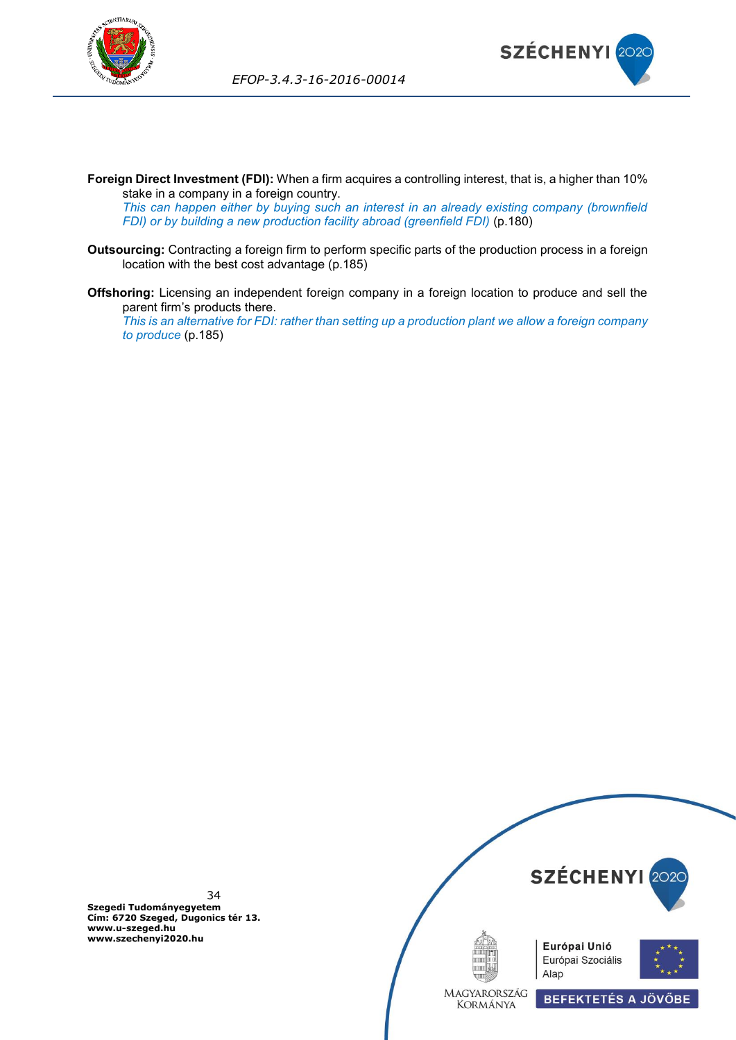



**Foreign Direct Investment (FDI):** When a firm acquires a controlling interest, that is, a higher than 10% stake in a company in a foreign country.

*This can happen either by buying such an interest in an already existing company (brownfield FDI) or by building a new production facility abroad (greenfield FDI)* (p.180)

- **Outsourcing:** Contracting a foreign firm to perform specific parts of the production process in a foreign location with the best cost advantage (p.185)
- **Offshoring:** Licensing an independent foreign company in a foreign location to produce and sell the parent firm's products there.

*This is an alternative for FDI: rather than setting up a production plant we allow a foreign company to produce* (p.185)

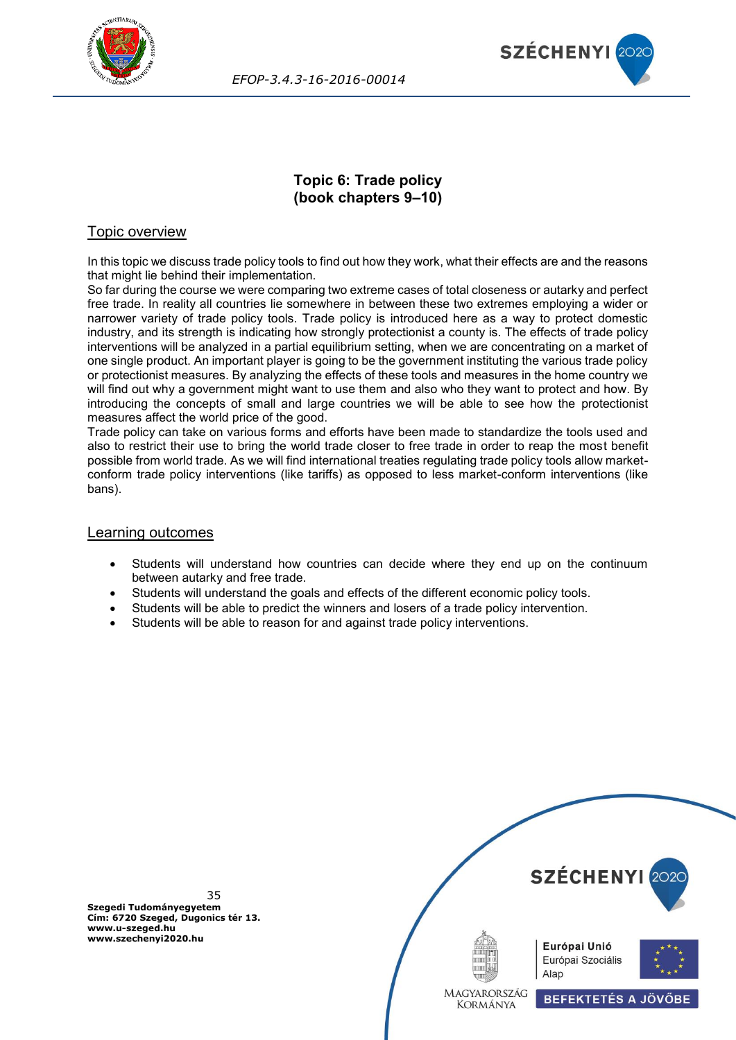



## **Topic 6: Trade policy (book chapters 9–10)**

## <span id="page-34-0"></span>Topic overview

In this topic we discuss trade policy tools to find out how they work, what their effects are and the reasons that might lie behind their implementation.

So far during the course we were comparing two extreme cases of total closeness or autarky and perfect free trade. In reality all countries lie somewhere in between these two extremes employing a wider or narrower variety of trade policy tools. Trade policy is introduced here as a way to protect domestic industry, and its strength is indicating how strongly protectionist a county is. The effects of trade policy interventions will be analyzed in a partial equilibrium setting, when we are concentrating on a market of one single product. An important player is going to be the government instituting the various trade policy or protectionist measures. By analyzing the effects of these tools and measures in the home country we will find out why a government might want to use them and also who they want to protect and how. By introducing the concepts of small and large countries we will be able to see how the protectionist measures affect the world price of the good.

Trade policy can take on various forms and efforts have been made to standardize the tools used and also to restrict their use to bring the world trade closer to free trade in order to reap the most benefit possible from world trade. As we will find international treaties regulating trade policy tools allow marketconform trade policy interventions (like tariffs) as opposed to less market-conform interventions (like bans).

#### Learning outcomes

- Students will understand how countries can decide where they end up on the continuum between autarky and free trade.
- Students will understand the goals and effects of the different economic policy tools.
- Students will be able to predict the winners and losers of a trade policy intervention.
- Students will be able to reason for and against trade policy interventions.

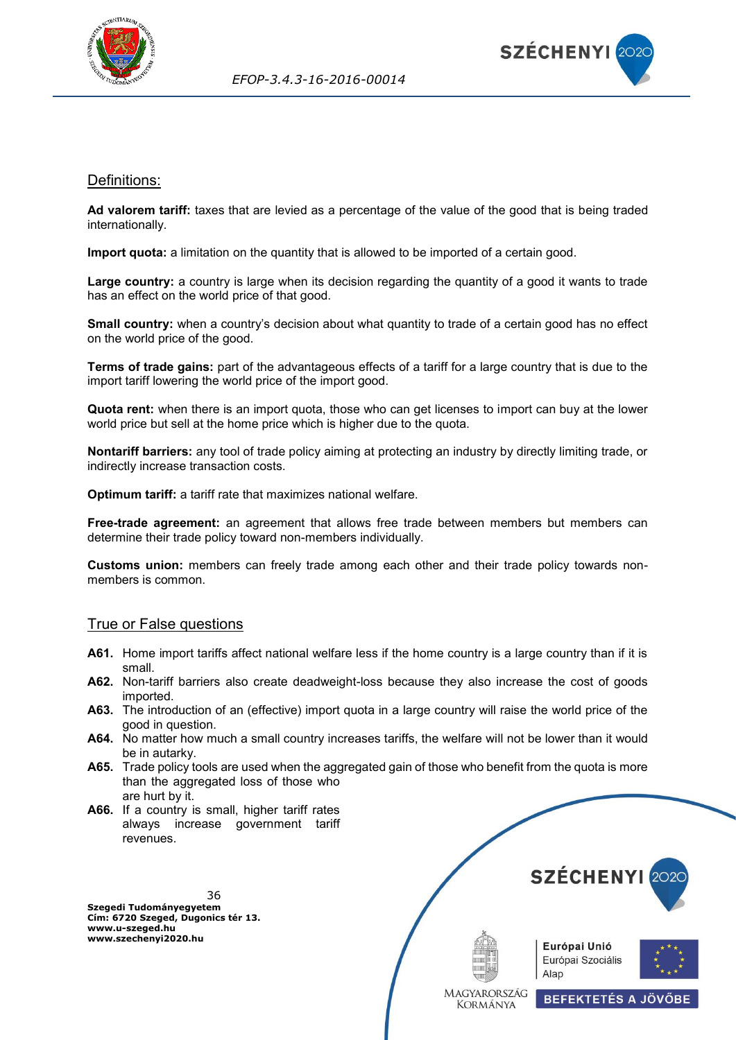



#### <span id="page-35-0"></span>Definitions:

**Ad valorem tariff:** taxes that are levied as a percentage of the value of the good that is being traded internationally.

**Import quota:** a limitation on the quantity that is allowed to be imported of a certain good.

**Large country:** a country is large when its decision regarding the quantity of a good it wants to trade has an effect on the world price of that good.

**Small country:** when a country's decision about what quantity to trade of a certain good has no effect on the world price of the good.

**Terms of trade gains:** part of the advantageous effects of a tariff for a large country that is due to the import tariff lowering the world price of the import good.

**Quota rent:** when there is an import quota, those who can get licenses to import can buy at the lower world price but sell at the home price which is higher due to the quota.

**Nontariff barriers:** any tool of trade policy aiming at protecting an industry by directly limiting trade, or indirectly increase transaction costs.

**Optimum tariff:** a tariff rate that maximizes national welfare.

**Free-trade agreement:** an agreement that allows free trade between members but members can determine their trade policy toward non-members individually.

**Customs union:** members can freely trade among each other and their trade policy towards nonmembers is common.

#### <span id="page-35-1"></span>True or False questions

- **A61.** Home import tariffs affect national welfare less if the home country is a large country than if it is small.
- **A62.** Non-tariff barriers also create deadweight-loss because they also increase the cost of goods imported.
- **A63.** The introduction of an (effective) import quota in a large country will raise the world price of the good in question.
- **A64.** No matter how much a small country increases tariffs, the welfare will not be lower than it would be in autarky.
- **A65.** Trade policy tools are used when the aggregated gain of those who benefit from the quota is more than the aggregated loss of those who are hurt by it.
- <span id="page-35-2"></span>**A66.** If a country is small, higher tariff rates always increase government tariff revenues.

36 **Szegedi Tudományegyetem Cím: 6720 Szeged, Dugonics tér 13. www.u-szeged.hu www.szechenyi2020.hu**









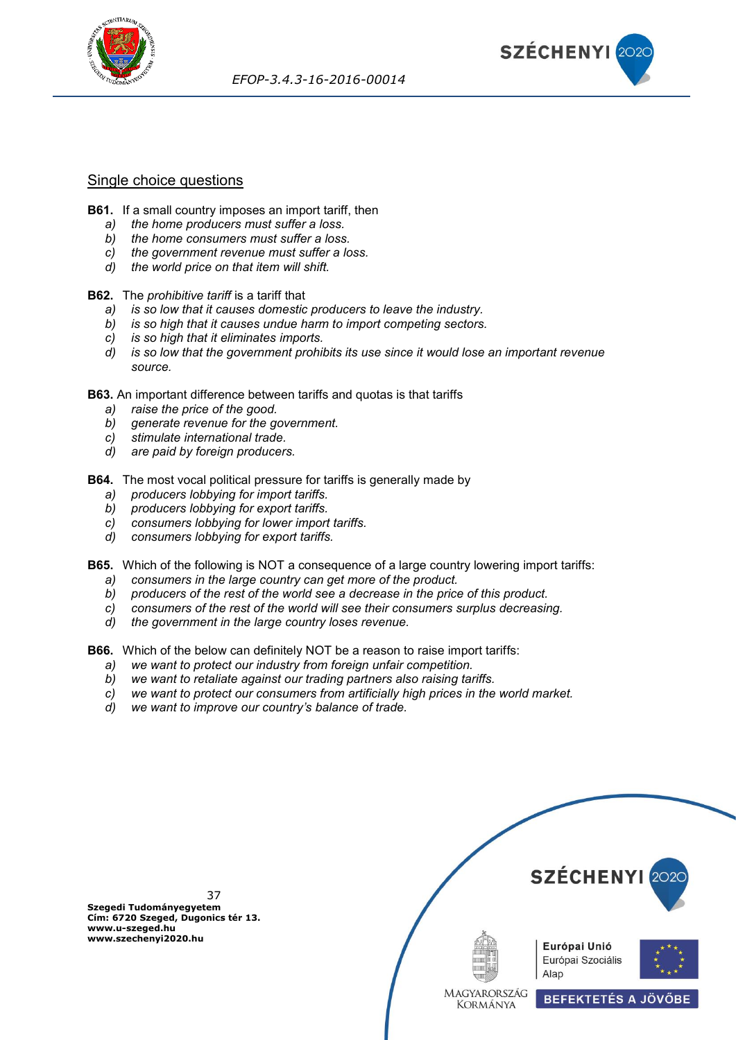



## Single choice questions

- **B61.** If a small country imposes an import tariff, then
	- *a) the home producers must suffer a loss.*
	- *b) the home consumers must suffer a loss.*
	- *c) the government revenue must suffer a loss.*
	- *d) the world price on that item will shift.*

#### **B62.** The *prohibitive tariff* is a tariff that

- *a) is so low that it causes domestic producers to leave the industry.*
- *b) is so high that it causes undue harm to import competing sectors.*
- *c) is so high that it eliminates imports.*
- *d) is so low that the government prohibits its use since it would lose an important revenue source.*

**B63.** An important difference between tariffs and quotas is that tariffs

- 
- *a) raise the price of the good. b) generate revenue for the government.*
- *c) stimulate international trade.*
- *d) are paid by foreign producers.*

**B64.** The most vocal political pressure for tariffs is generally made by

- *a) producers lobbying for import tariffs.*
- *b) producers lobbying for export tariffs.*
- *c) consumers lobbying for lower import tariffs.*
- *d) consumers lobbying for export tariffs.*

**B65.** Which of the following is NOT a consequence of a large country lowering import tariffs:

- *a) consumers in the large country can get more of the product.*
- *b) producers of the rest of the world see a decrease in the price of this product.*
- *c) consumers of the rest of the world will see their consumers surplus decreasing.*
- *d) the government in the large country loses revenue.*

**B66.** Which of the below can definitely NOT be a reason to raise import tariffs:

- *a) we want to protect our industry from foreign unfair competition.*
- *b) we want to retaliate against our trading partners also raising tariffs.*
- *c) we want to protect our consumers from artificially high prices in the world market.*
- *d) we want to improve our country's balance of trade.*



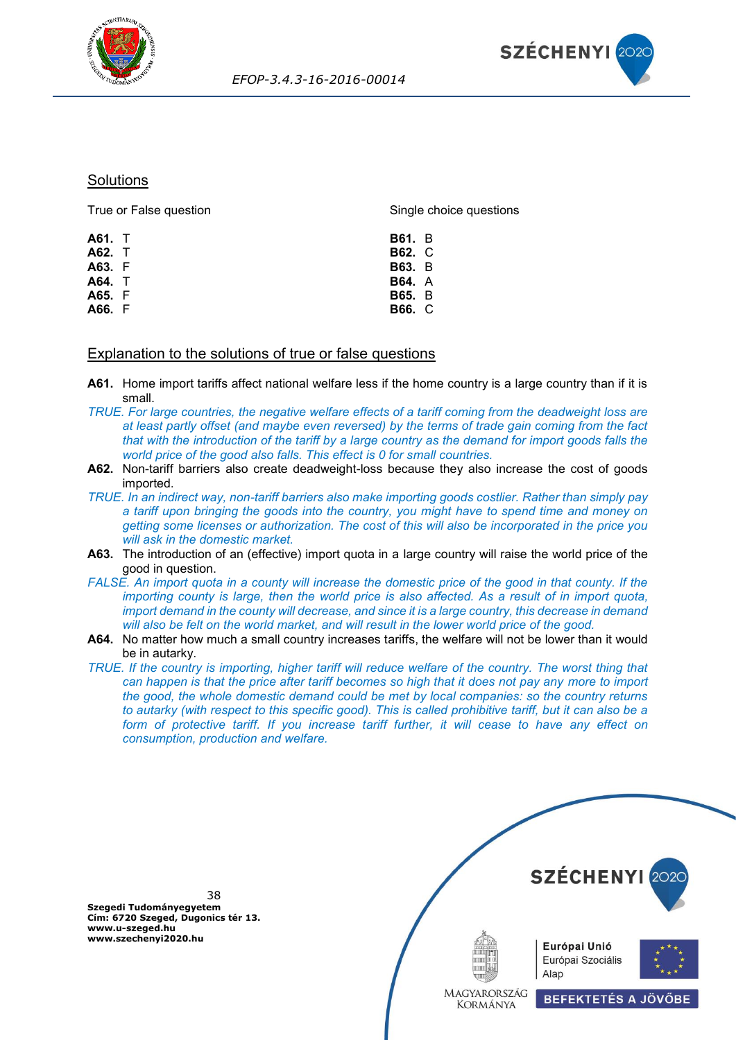



## **Solutions**

| True or False question | Single choice questions |  |  |
|------------------------|-------------------------|--|--|
| A61. T                 | <b>B61.</b> B           |  |  |
| A62. T                 | <b>B62. C</b>           |  |  |
| A63. F                 | <b>B63.</b> B           |  |  |
| A64. T                 | <b>B64.</b> A           |  |  |
| A65. F                 | <b>B65.</b> B           |  |  |
| A66. F                 | <b>B66.</b> C           |  |  |
|                        |                         |  |  |

### Explanation to the solutions of true or false questions

- **A61.** Home import tariffs affect national welfare less if the home country is a large country than if it is small.
- *TRUE. For large countries, the negative welfare effects of a tariff coming from the deadweight loss are at least partly offset (and maybe even reversed) by the terms of trade gain coming from the fact that with the introduction of the tariff by a large country as the demand for import goods falls the world price of the good also falls. This effect is 0 for small countries.*
- A62. Non-tariff barriers also create deadweight-loss because they also increase the cost of goods imported.
- *TRUE. In an indirect way, non-tariff barriers also make importing goods costlier. Rather than simply pay a tariff upon bringing the goods into the country, you might have to spend time and money on getting some licenses or authorization. The cost of this will also be incorporated in the price you will ask in the domestic market.*
- **A63.** The introduction of an (effective) import quota in a large country will raise the world price of the good in question.
- *FALSE. An import quota in a county will increase the domestic price of the good in that county. If the importing county is large, then the world price is also affected. As a result of in import quota, import demand in the county will decrease, and since it is a large country, this decrease in demand will also be felt on the world market, and will result in the lower world price of the good.*
- **A64.** No matter how much a small country increases tariffs, the welfare will not be lower than it would be in autarky.
- *TRUE. If the country is importing, higher tariff will reduce welfare of the country. The worst thing that can happen is that the price after tariff becomes so high that it does not pay any more to import the good, the whole domestic demand could be met by local companies: so the country returns to autarky (with respect to this specific good). This is called prohibitive tariff, but it can also be a form of protective tariff. If you increase tariff further, it will cease to have any effect on consumption, production and welfare.*

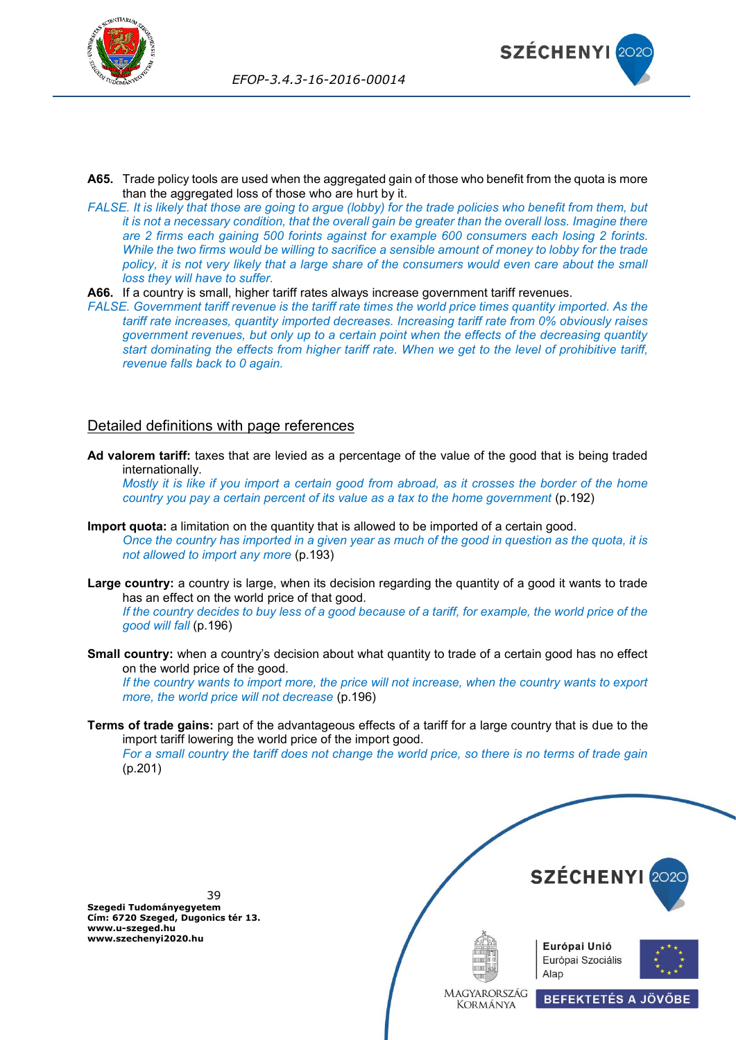



- **A65.** Trade policy tools are used when the aggregated gain of those who benefit from the quota is more than the aggregated loss of those who are hurt by it.
- *FALSE. It is likely that those are going to argue (lobby) for the trade policies who benefit from them, but it is not a necessary condition, that the overall gain be greater than the overall loss. Imagine there are 2 firms each gaining 500 forints against for example 600 consumers each losing 2 forints. While the two firms would be willing to sacrifice a sensible amount of money to lobby for the trade*  policy, it is not very likely that a large share of the consumers would even care about the small *loss they will have to suffer.*
- **A66.** If a country is small, higher tariff rates always increase government tariff revenues.

*FALSE. Government tariff revenue is the tariff rate times the world price times quantity imported. As the tariff rate increases, quantity imported decreases. Increasing tariff rate from 0% obviously raises government revenues, but only up to a certain point when the effects of the decreasing quantity start dominating the effects from higher tariff rate. When we get to the level of prohibitive tariff, revenue falls back to 0 again.*

## Detailed definitions with page references

**Ad valorem tariff:** taxes that are levied as a percentage of the value of the good that is being traded internationally.

*Mostly it is like if you import a certain good from abroad, as it crosses the border of the home country you pay a certain percent of its value as a tax to the home government* (p.192)

- **Import quota:** a limitation on the quantity that is allowed to be imported of a certain good. *Once the country has imported in a given year as much of the good in question as the quota, it is not allowed to import any more* (p.193)
- **Large country:** a country is large, when its decision regarding the quantity of a good it wants to trade has an effect on the world price of that good.

*If the country decides to buy less of a good because of a tariff, for example, the world price of the good will fall* (p.196)

**Small country:** when a country's decision about what quantity to trade of a certain good has no effect on the world price of the good.

*If the country wants to import more, the price will not increase, when the country wants to export more, the world price will not decrease* (p.196)

**Terms of trade gains:** part of the advantageous effects of a tariff for a large country that is due to the import tariff lowering the world price of the import good.

*For a small country the tariff does not change the world price, so there is no terms of trade gain* (p.201)

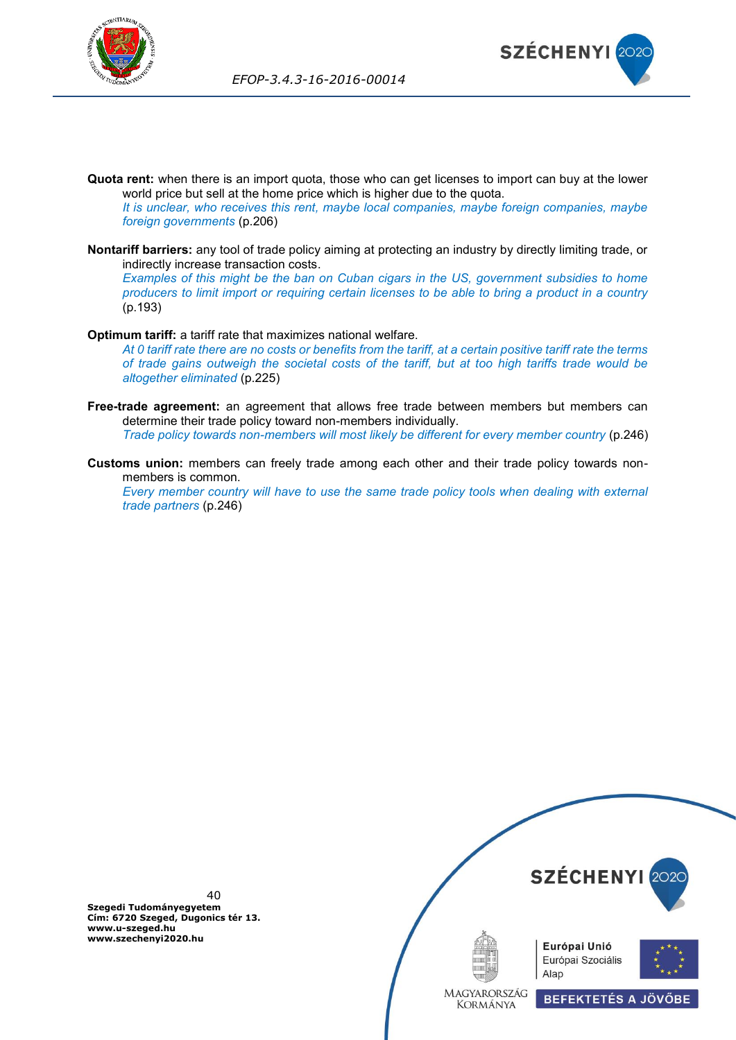



**Quota rent:** when there is an import quota, those who can get licenses to import can buy at the lower world price but sell at the home price which is higher due to the quota.

*It is unclear, who receives this rent, maybe local companies, maybe foreign companies, maybe foreign governments* (p.206)

**Nontariff barriers:** any tool of trade policy aiming at protecting an industry by directly limiting trade, or indirectly increase transaction costs.

*Examples of this might be the ban on Cuban cigars in the US, government subsidies to home producers to limit import or requiring certain licenses to be able to bring a product in a country* (p.193)

#### **Optimum tariff:** a tariff rate that maximizes national welfare.

*At 0 tariff rate there are no costs or benefits from the tariff, at a certain positive tariff rate the terms of trade gains outweigh the societal costs of the tariff, but at too high tariffs trade would be altogether eliminated* (p.225)

- **Free-trade agreement:** an agreement that allows free trade between members but members can determine their trade policy toward non-members individually. *Trade policy towards non-members will most likely be different for every member country* (p.246)
- **Customs union:** members can freely trade among each other and their trade policy towards nonmembers is common.

*Every member country will have to use the same trade policy tools when dealing with external trade partners* (p.246)

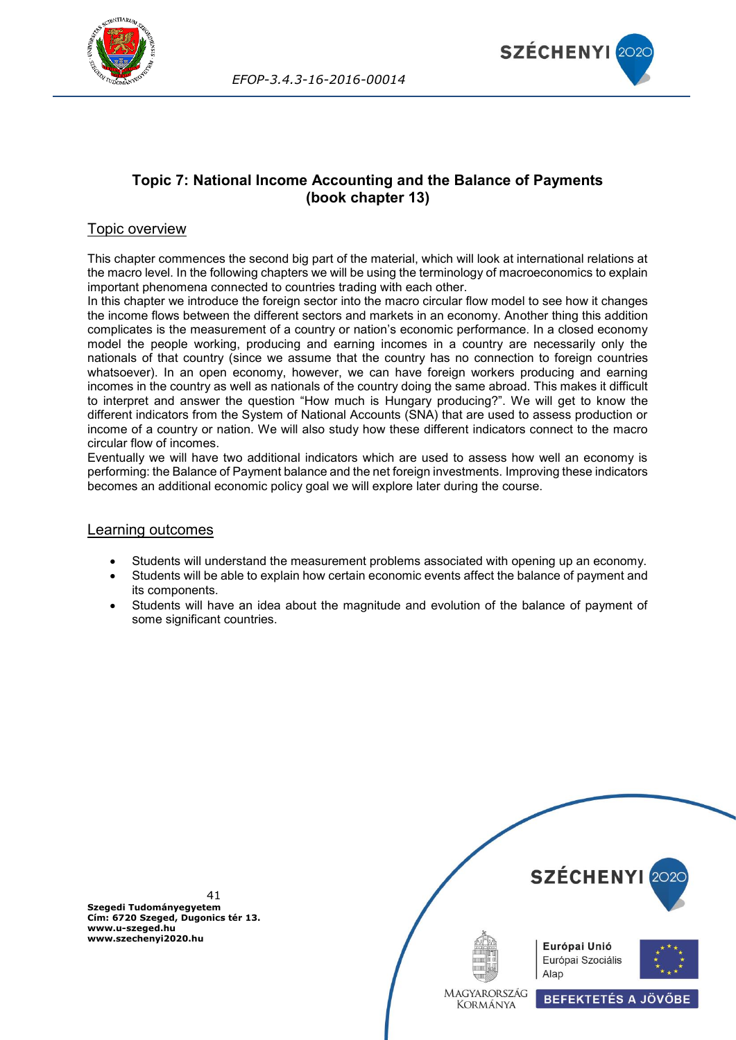



# **Topic 7: National Income Accounting and the Balance of Payments (book chapter 13)**

# Topic overview

This chapter commences the second big part of the material, which will look at international relations at the macro level. In the following chapters we will be using the terminology of macroeconomics to explain important phenomena connected to countries trading with each other.

In this chapter we introduce the foreign sector into the macro circular flow model to see how it changes the income flows between the different sectors and markets in an economy. Another thing this addition complicates is the measurement of a country or nation's economic performance. In a closed economy model the people working, producing and earning incomes in a country are necessarily only the nationals of that country (since we assume that the country has no connection to foreign countries whatsoever). In an open economy, however, we can have foreign workers producing and earning incomes in the country as well as nationals of the country doing the same abroad. This makes it difficult to interpret and answer the question "How much is Hungary producing?". We will get to know the different indicators from the System of National Accounts (SNA) that are used to assess production or income of a country or nation. We will also study how these different indicators connect to the macro circular flow of incomes.

Eventually we will have two additional indicators which are used to assess how well an economy is performing: the Balance of Payment balance and the net foreign investments. Improving these indicators becomes an additional economic policy goal we will explore later during the course.

### Learning outcomes

- Students will understand the measurement problems associated with opening up an economy.
- Students will be able to explain how certain economic events affect the balance of payment and its components.
- Students will have an idea about the magnitude and evolution of the balance of payment of some significant countries.

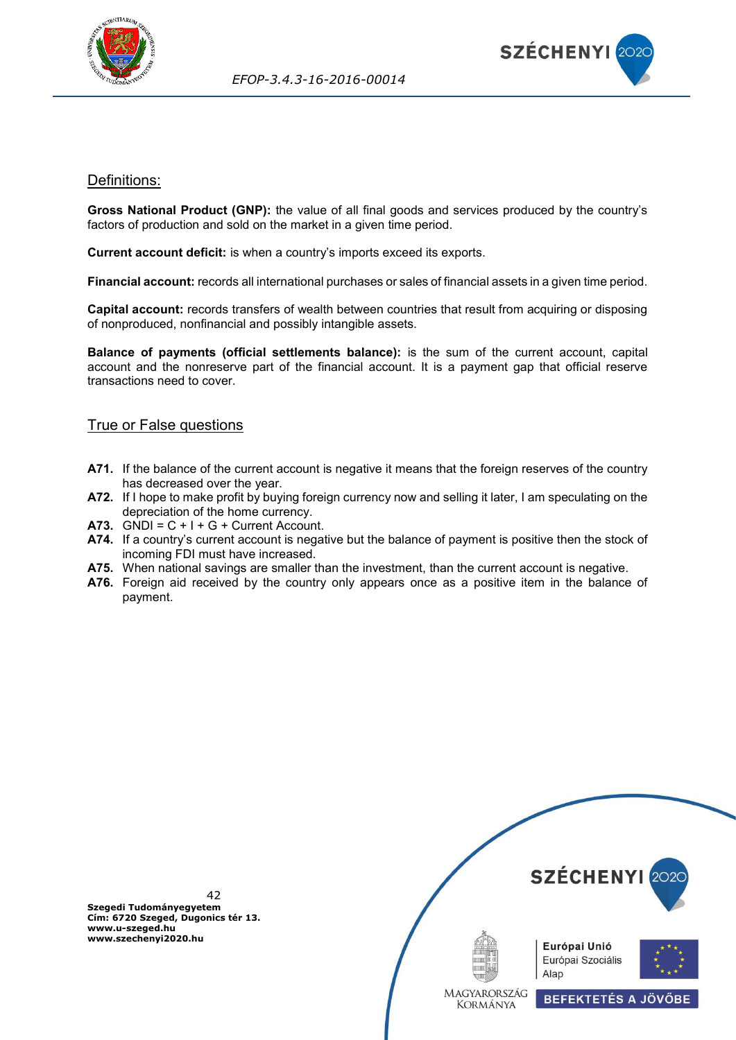



## Definitions:

**Gross National Product (GNP):** the value of all final goods and services produced by the country's factors of production and sold on the market in a given time period.

**Current account deficit:** is when a country's imports exceed its exports.

**Financial account:** records all international purchases or sales of financial assets in a given time period.

**Capital account:** records transfers of wealth between countries that result from acquiring or disposing of nonproduced, nonfinancial and possibly intangible assets.

**Balance of payments (official settlements balance):** is the sum of the current account, capital account and the nonreserve part of the financial account. It is a payment gap that official reserve transactions need to cover.

## True or False questions

- **A71.** If the balance of the current account is negative it means that the foreign reserves of the country has decreased over the year.
- **A72.** If I hope to make profit by buying foreign currency now and selling it later, I am speculating on the depreciation of the home currency.
- **A73.** GNDI =  $C + I + G +$  Current Account.
- **A74.** If a country's current account is negative but the balance of payment is positive then the stock of incoming FDI must have increased.
- **A75.** When national savings are smaller than the investment, than the current account is negative.
- **A76.** Foreign aid received by the country only appears once as a positive item in the balance of payment.

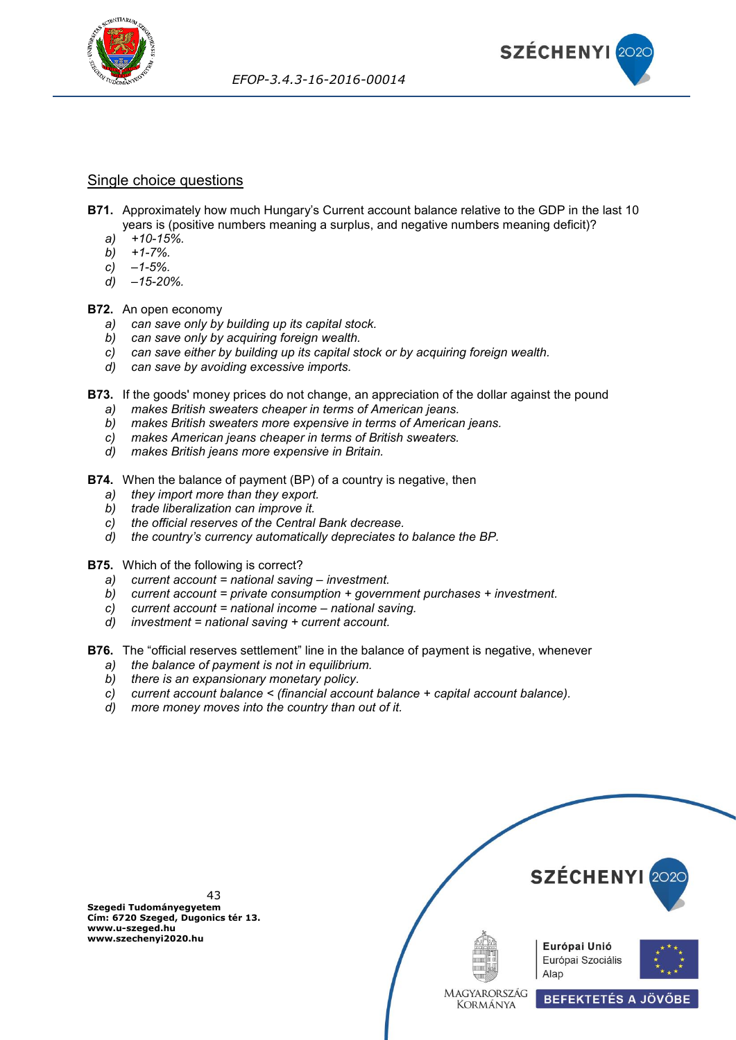



### Single choice questions

- **B71.** Approximately how much Hungary's Current account balance relative to the GDP in the last 10 years is (positive numbers meaning a surplus, and negative numbers meaning deficit)?
	- *a) +10-15%.*
	- *b) +1-7%.*
	- *c) –1-5%.*
	- *d) –15-20%.*

### **B72.** An open economy

- *a) can save only by building up its capital stock.*
- *b) can save only by acquiring foreign wealth.*
- *c) can save either by building up its capital stock or by acquiring foreign wealth.*
- *d) can save by avoiding excessive imports.*
- **B73.** If the goods' money prices do not change, an appreciation of the dollar against the pound
	- *a) makes British sweaters cheaper in terms of American jeans.*
	- *b) makes British sweaters more expensive in terms of American jeans.*
	- *c) makes American jeans cheaper in terms of British sweaters.*
	- *d) makes British jeans more expensive in Britain.*
- **B74.** When the balance of payment (BP) of a country is negative, then
	- *a) they import more than they export.*
	- *b) trade liberalization can improve it.*
	- *c) the official reserves of the Central Bank decrease.*
	- *d) the country's currency automatically depreciates to balance the BP.*
- **B75.** Which of the following is correct?
	- *a) current account = national saving – investment.*
	- *b) current account = private consumption + government purchases + investment.*
	- *c) current account = national income – national saving.*
	- *d) investment = national saving + current account.*
- **B76.** The "official reserves settlement" line in the balance of payment is negative, whenever
	- *a) the balance of payment is not in equilibrium.*
	- *b) there is an expansionary monetary policy.*
	- *c) current account balance < (financial account balance + capital account balance).*
	- *d) more money moves into the country than out of it.*



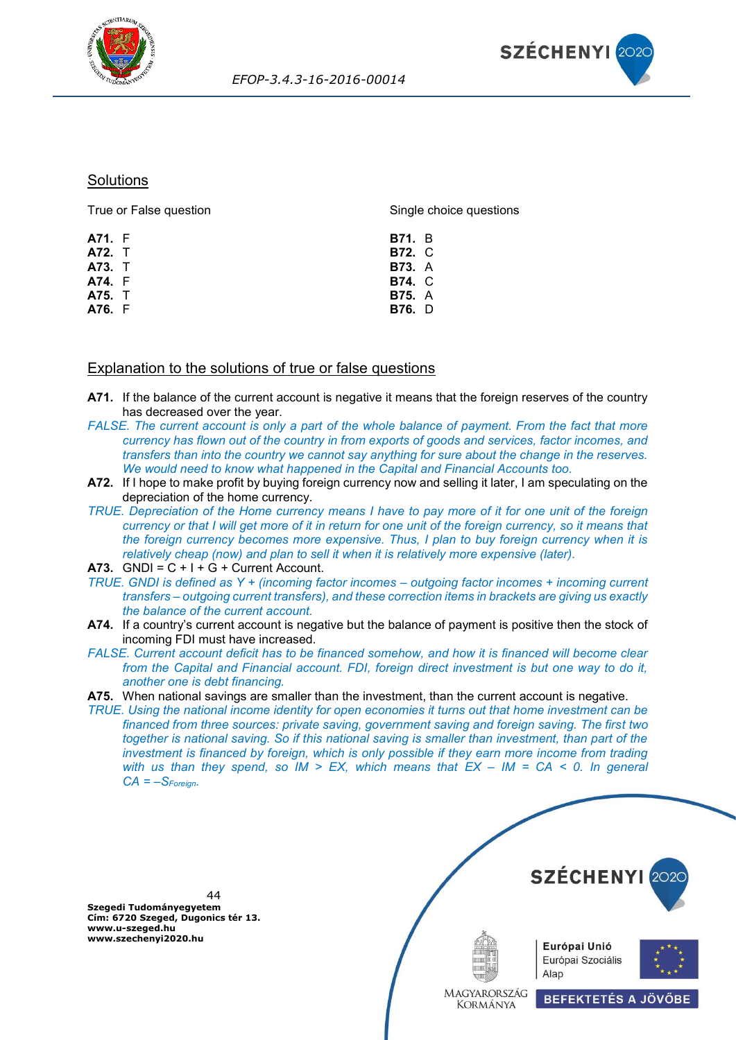



### **Solutions**

| True or False question | Single choice questions |  |  |
|------------------------|-------------------------|--|--|
| A71. F                 | <b>B71.</b> B           |  |  |
| A72. T                 | <b>B72.</b> C           |  |  |
| A73. T                 | <b>B73.</b> A           |  |  |
| A74. F                 | <b>B74. C</b>           |  |  |
| <b>A75.</b> T          | <b>B75.</b> A           |  |  |
| A76. F                 | <b>B76.</b> D           |  |  |
|                        |                         |  |  |

## Explanation to the solutions of true or false questions

- **A71.** If the balance of the current account is negative it means that the foreign reserves of the country has decreased over the year.
- *FALSE. The current account is only a part of the whole balance of payment. From the fact that more currency has flown out of the country in from exports of goods and services, factor incomes, and transfers than into the country we cannot say anything for sure about the change in the reserves. We would need to know what happened in the Capital and Financial Accounts too.*
- **A72.** If I hope to make profit by buying foreign currency now and selling it later, I am speculating on the depreciation of the home currency.
- *TRUE. Depreciation of the Home currency means I have to pay more of it for one unit of the foreign currency or that I will get more of it in return for one unit of the foreign currency, so it means that the foreign currency becomes more expensive. Thus, I plan to buy foreign currency when it is relatively cheap (now) and plan to sell it when it is relatively more expensive (later).*
- A73.  $GNDI = C + I + G + Current Account$ .
- *TRUE. GNDI is defined as Y + (incoming factor incomes – outgoing factor incomes + incoming current transfers – outgoing current transfers), and these correction items in brackets are giving us exactly the balance of the current account.*
- **A74.** If a country's current account is negative but the balance of payment is positive then the stock of incoming FDI must have increased.
- *FALSE. Current account deficit has to be financed somehow, and how it is financed will become clear from the Capital and Financial account. FDI, foreign direct investment is but one way to do it, another one is debt financing.*
- **A75.** When national savings are smaller than the investment, than the current account is negative.

*TRUE. Using the national income identity for open economies it turns out that home investment can be financed from three sources: private saving, government saving and foreign saving. The first two together is national saving. So if this national saving is smaller than investment, than part of the investment is financed by foreign, which is only possible if they earn more income from trading with us than they spend, so IM > EX, which means that EX – IM = CA < 0. In general CA = –SForeign.*

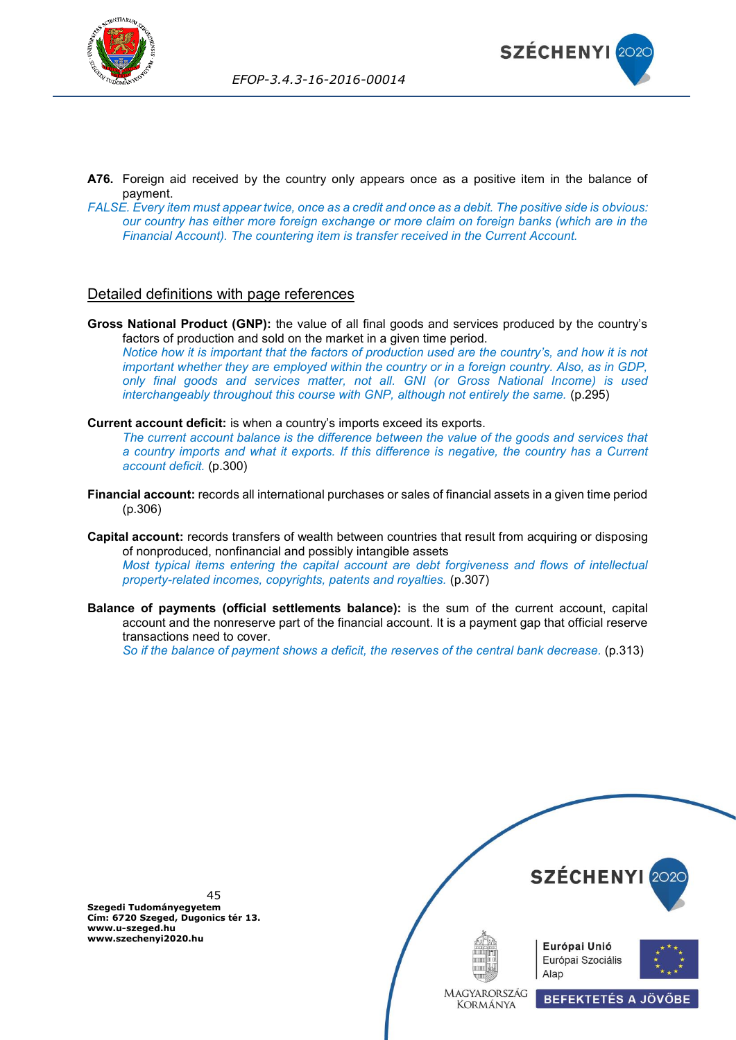



- **A76.** Foreign aid received by the country only appears once as a positive item in the balance of payment.
- *FALSE. Every item must appear twice, once as a credit and once as a debit. The positive side is obvious: our country has either more foreign exchange or more claim on foreign banks (which are in the Financial Account). The countering item is transfer received in the Current Account.*

## Detailed definitions with page references

**Gross National Product (GNP):** the value of all final goods and services produced by the country's factors of production and sold on the market in a given time period. *Notice how it is important that the factors of production used are the country's, and how it is not important whether they are employed within the country or in a foreign country. Also, as in GDP, only final goods and services matter, not all. GNI (or Gross National Income) is used interchangeably throughout this course with GNP, although not entirely the same.* (p.295)

**Current account deficit:** is when a country's imports exceed its exports.

*The current account balance is the difference between the value of the goods and services that a country imports and what it exports. If this difference is negative, the country has a Current account deficit.* (p.300)

- **Financial account:** records all international purchases or sales of financial assets in a given time period (p.306)
- **Capital account:** records transfers of wealth between countries that result from acquiring or disposing of nonproduced, nonfinancial and possibly intangible assets *Most typical items entering the capital account are debt forgiveness and flows of intellectual property-related incomes, copyrights, patents and royalties.* (p.307)
- **Balance of payments (official settlements balance):** is the sum of the current account, capital account and the nonreserve part of the financial account. It is a payment gap that official reserve transactions need to cover.

*So if the balance of payment shows a deficit, the reserves of the central bank decrease.* (p.313)

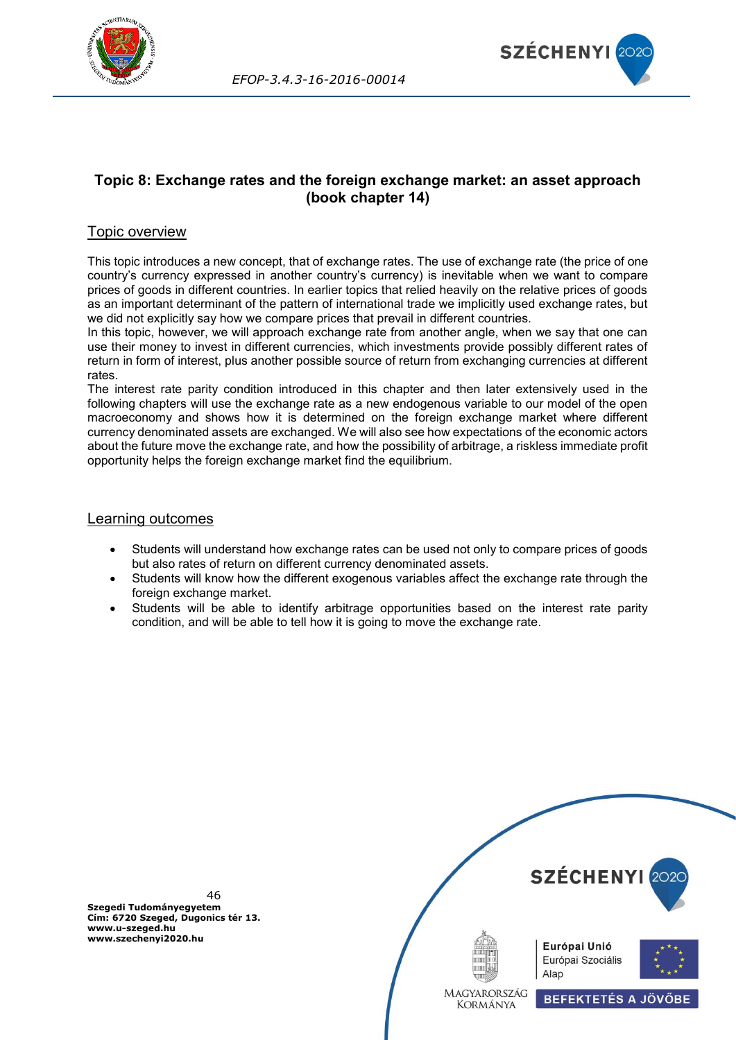



# **Topic 8: Exchange rates and the foreign exchange market: an asset approach (book chapter 14)**

## Topic overview

This topic introduces a new concept, that of exchange rates. The use of exchange rate (the price of one country's currency expressed in another country's currency) is inevitable when we want to compare prices of goods in different countries. In earlier topics that relied heavily on the relative prices of goods as an important determinant of the pattern of international trade we implicitly used exchange rates, but we did not explicitly say how we compare prices that prevail in different countries.

In this topic, however, we will approach exchange rate from another angle, when we say that one can use their money to invest in different currencies, which investments provide possibly different rates of return in form of interest, plus another possible source of return from exchanging currencies at different rates.

The interest rate parity condition introduced in this chapter and then later extensively used in the following chapters will use the exchange rate as a new endogenous variable to our model of the open macroeconomy and shows how it is determined on the foreign exchange market where different currency denominated assets are exchanged. We will also see how expectations of the economic actors about the future move the exchange rate, and how the possibility of arbitrage, a riskless immediate profit opportunity helps the foreign exchange market find the equilibrium.

### Learning outcomes

- Students will understand how exchange rates can be used not only to compare prices of goods but also rates of return on different currency denominated assets.
- Students will know how the different exogenous variables affect the exchange rate through the foreign exchange market.
- Students will be able to identify arbitrage opportunities based on the interest rate parity condition, and will be able to tell how it is going to move the exchange rate.

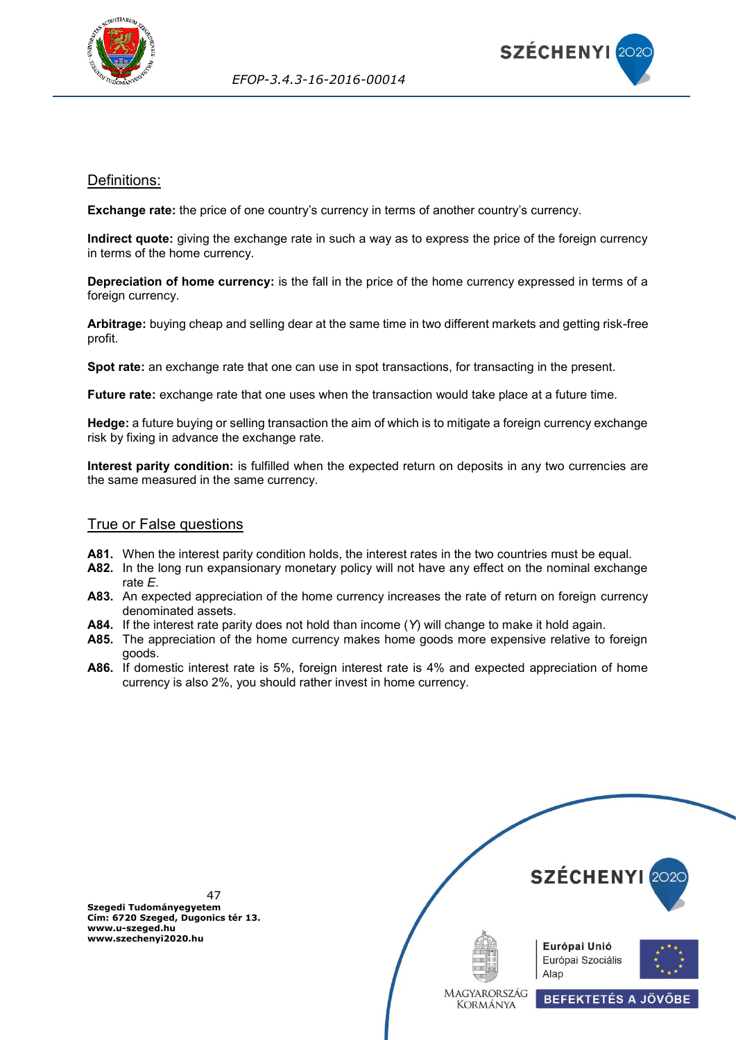



## Definitions:

**Exchange rate:** the price of one country's currency in terms of another country's currency.

**Indirect quote:** giving the exchange rate in such a way as to express the price of the foreign currency in terms of the home currency.

**Depreciation of home currency:** is the fall in the price of the home currency expressed in terms of a foreign currency.

**Arbitrage:** buying cheap and selling dear at the same time in two different markets and getting risk-free profit.

**Spot rate:** an exchange rate that one can use in spot transactions, for transacting in the present.

**Future rate:** exchange rate that one uses when the transaction would take place at a future time.

**Hedge:** a future buying or selling transaction the aim of which is to mitigate a foreign currency exchange risk by fixing in advance the exchange rate.

**Interest parity condition:** is fulfilled when the expected return on deposits in any two currencies are the same measured in the same currency.

### True or False questions

- **A81.** When the interest parity condition holds, the interest rates in the two countries must be equal.
- **A82.** In the long run expansionary monetary policy will not have any effect on the nominal exchange rate *E*.
- **A83.** An expected appreciation of the home currency increases the rate of return on foreign currency denominated assets.
- **A84.** If the interest rate parity does not hold than income (*Y*) will change to make it hold again.
- **A85.** The appreciation of the home currency makes home goods more expensive relative to foreign goods.
- **A86.** If domestic interest rate is 5%, foreign interest rate is 4% and expected appreciation of home currency is also 2%, you should rather invest in home currency.



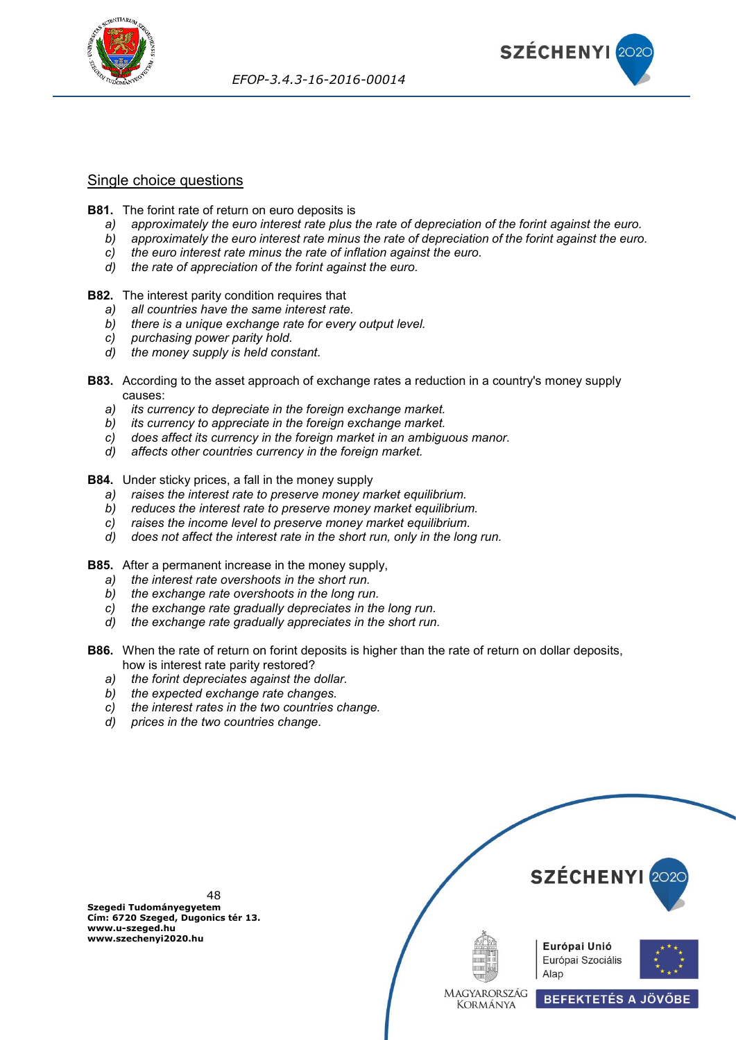



## Single choice questions

- **B81.** The forint rate of return on euro deposits is
	- *a) approximately the euro interest rate plus the rate of depreciation of the forint against the euro.*
	- *b) approximately the euro interest rate minus the rate of depreciation of the forint against the euro.*
	- *c) the euro interest rate minus the rate of inflation against the euro.*
	- *d) the rate of appreciation of the forint against the euro.*
- **B82.** The interest parity condition requires that
	- *a) all countries have the same interest rate.*
	- *b) there is a unique exchange rate for every output level.*
	- *c) purchasing power parity hold.*
	- *d) the money supply is held constant.*
- **B83.** According to the asset approach of exchange rates a reduction in a country's money supply causes:
	- *a) its currency to depreciate in the foreign exchange market.*
	- *b) its currency to appreciate in the foreign exchange market.*
	- *c) does affect its currency in the foreign market in an ambiguous manor.*
	- *d) affects other countries currency in the foreign market.*
- **B84.** Under sticky prices, a fall in the money supply
	- *a) raises the interest rate to preserve money market equilibrium.*
	- *b) reduces the interest rate to preserve money market equilibrium.*
	- *c) raises the income level to preserve money market equilibrium.*
	- *d) does not affect the interest rate in the short run, only in the long run.*
- **B85.** After a permanent increase in the money supply,
	- *a) the interest rate overshoots in the short run.*
	- *b) the exchange rate overshoots in the long run.*
	- *c) the exchange rate gradually depreciates in the long run.*
	- *d) the exchange rate gradually appreciates in the short run.*
- **B86.** When the rate of return on forint deposits is higher than the rate of return on dollar deposits, how is interest rate parity restored?
	- *a) the forint depreciates against the dollar.*
	- *b) the expected exchange rate changes.*
	- *c) the interest rates in the two countries change.*
	- *d) prices in the two countries change.*

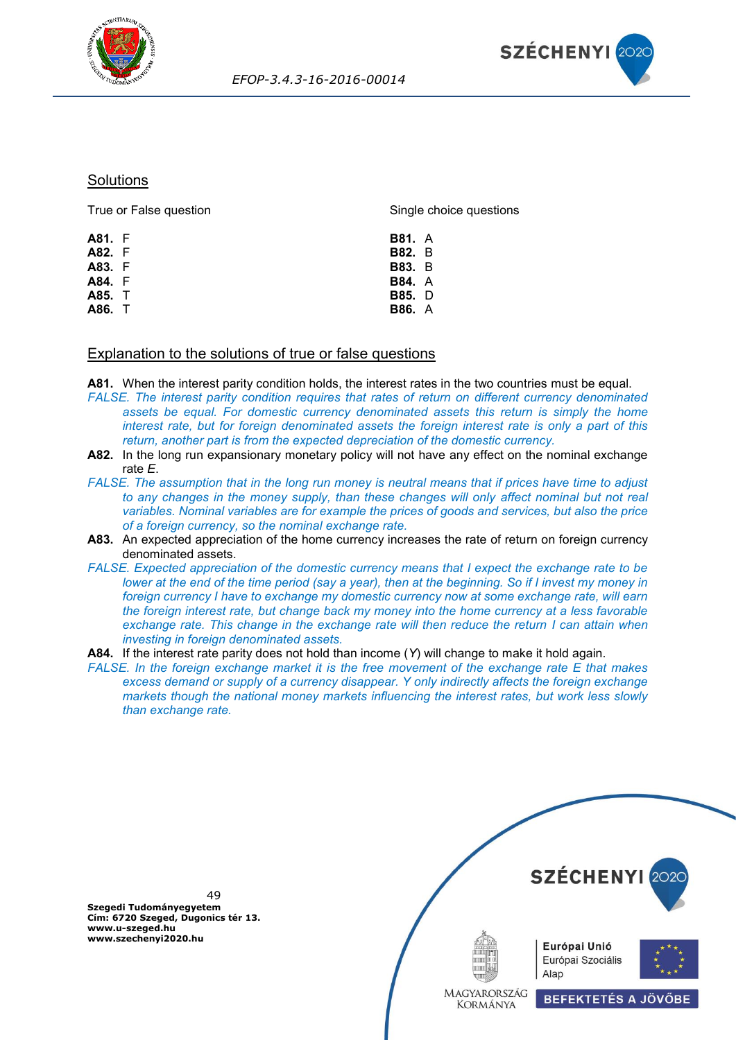



#### **Solutions**

| True or False question | Single choice questions |  |  |
|------------------------|-------------------------|--|--|
| A81. F                 | <b>B81.</b> A           |  |  |
| A82. F                 | <b>B82.</b> B           |  |  |
| A83. F                 | <b>B83.</b> B           |  |  |
| A84. F                 | <b>B84.</b> A           |  |  |
| A85. T                 | <b>B85.</b> D           |  |  |
| A86. T                 | <b>B86.</b> A           |  |  |
|                        |                         |  |  |

### Explanation to the solutions of true or false questions

**A81.** When the interest parity condition holds, the interest rates in the two countries must be equal.

- *FALSE. The interest parity condition requires that rates of return on different currency denominated assets be equal. For domestic currency denominated assets this return is simply the home interest rate, but for foreign denominated assets the foreign interest rate is only a part of this return, another part is from the expected depreciation of the domestic currency.*
- **A82.** In the long run expansionary monetary policy will not have any effect on the nominal exchange rate *E*.
- *FALSE. The assumption that in the long run money is neutral means that if prices have time to adjust*  to any changes in the money supply, than these changes will only affect nominal but not real *variables. Nominal variables are for example the prices of goods and services, but also the price of a foreign currency, so the nominal exchange rate.*
- **A83.** An expected appreciation of the home currency increases the rate of return on foreign currency denominated assets.
- *FALSE. Expected appreciation of the domestic currency means that I expect the exchange rate to be lower at the end of the time period (say a year), then at the beginning. So if I invest my money in foreign currency I have to exchange my domestic currency now at some exchange rate, will earn the foreign interest rate, but change back my money into the home currency at a less favorable exchange rate. This change in the exchange rate will then reduce the return I can attain when investing in foreign denominated assets.*
- **A84.** If the interest rate parity does not hold than income (*Y*) will change to make it hold again.
- *FALSE. In the foreign exchange market it is the free movement of the exchange rate E that makes excess demand or supply of a currency disappear. Y only indirectly affects the foreign exchange markets though the national money markets influencing the interest rates, but work less slowly than exchange rate.*



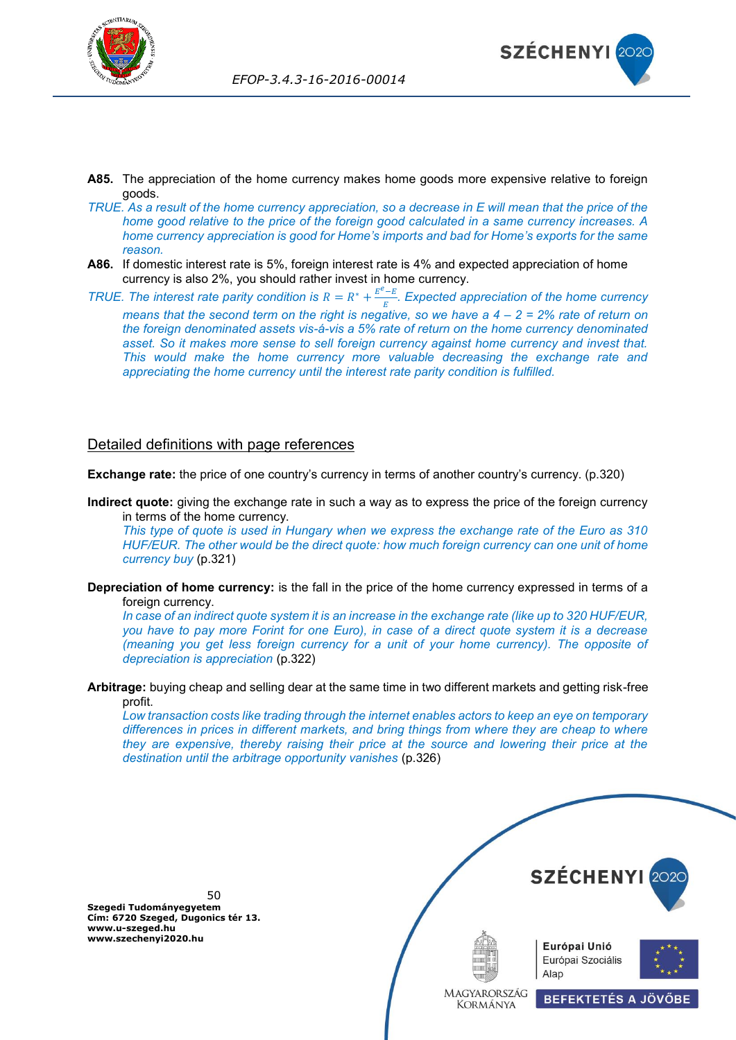



- **A85.** The appreciation of the home currency makes home goods more expensive relative to foreign goods.
- *TRUE. As a result of the home currency appreciation, so a decrease in E will mean that the price of the home good relative to the price of the foreign good calculated in a same currency increases. A home currency appreciation is good for Home's imports and bad for Home's exports for the same reason.*
- **A86.** If domestic interest rate is 5%, foreign interest rate is 4% and expected appreciation of home currency is also 2%, you should rather invest in home currency.
- *TRUE. The interest rate parity condition is*  $R = R^* + \frac{E^e E}{E}$  *. Expected appreciation of the home currency means that the second term on the right is negative, so we have a 4 – 2 = 2% rate of return on the foreign denominated assets vis-á-vis a 5% rate of return on the home currency denominated asset. So it makes more sense to sell foreign currency against home currency and invest that. This would make the home currency more valuable decreasing the exchange rate and appreciating the home currency until the interest rate parity condition is fulfilled.*

## Detailed definitions with page references

**Exchange rate:** the price of one country's currency in terms of another country's currency. (p.320)

**Indirect quote:** giving the exchange rate in such a way as to express the price of the foreign currency in terms of the home currency.

*This type of quote is used in Hungary when we express the exchange rate of the Euro as 310 HUF/EUR. The other would be the direct quote: how much foreign currency can one unit of home currency buy* (p.321)

**Depreciation of home currency:** is the fall in the price of the home currency expressed in terms of a foreign currency.

*In case of an indirect quote system it is an increase in the exchange rate (like up to 320 HUF/EUR, you have to pay more Forint for one Euro), in case of a direct quote system it is a decrease (meaning you get less foreign currency for a unit of your home currency). The opposite of depreciation is appreciation* (p.322)

**Arbitrage:** buying cheap and selling dear at the same time in two different markets and getting risk-free profit.

*Low transaction costs like trading through the internet enables actors to keep an eye on temporary differences in prices in different markets, and bring things from where they are cheap to where they are expensive, thereby raising their price at the source and lowering their price at the destination until the arbitrage opportunity vanishes* (p.326)

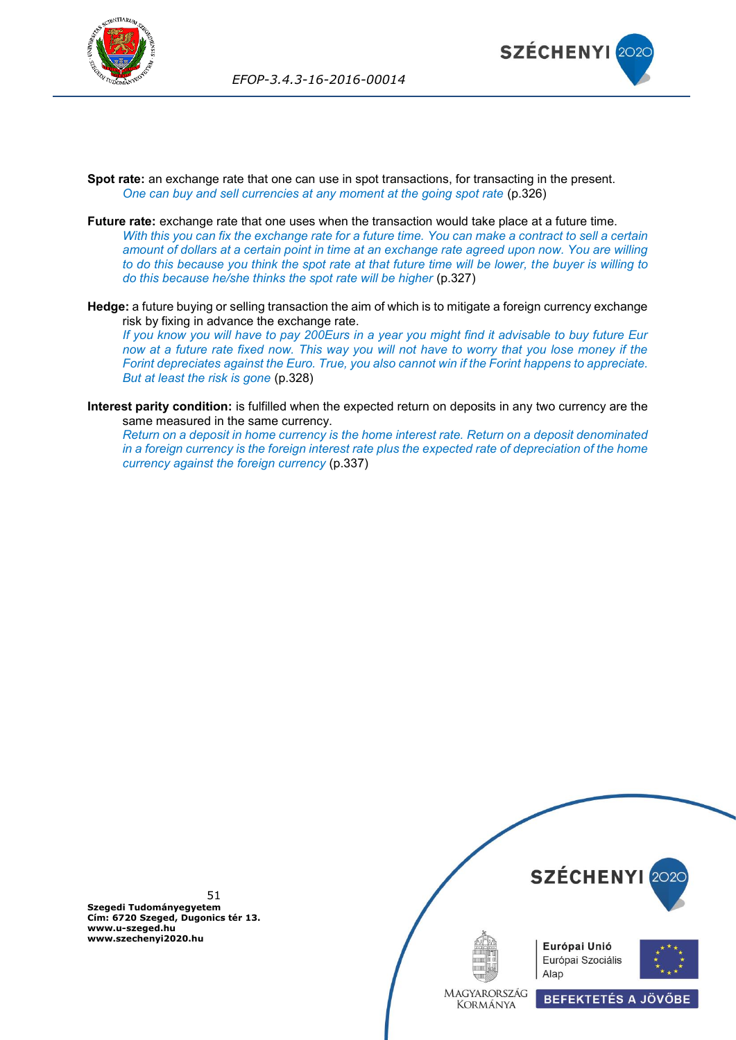



- **Spot rate:** an exchange rate that one can use in spot transactions, for transacting in the present. *One can buy and sell currencies at any moment at the going spot rate* (p.326)
- **Future rate:** exchange rate that one uses when the transaction would take place at a future time. *With this you can fix the exchange rate for a future time. You can make a contract to sell a certain amount of dollars at a certain point in time at an exchange rate agreed upon now. You are willing to do this because you think the spot rate at that future time will be lower, the buyer is willing to do this because he/she thinks the spot rate will be higher* (p.327)
- **Hedge:** a future buying or selling transaction the aim of which is to mitigate a foreign currency exchange risk by fixing in advance the exchange rate.

*If you know you will have to pay 200Eurs in a year you might find it advisable to buy future Eur now at a future rate fixed now. This way you will not have to worry that you lose money if the Forint depreciates against the Euro. True, you also cannot win if the Forint happens to appreciate. But at least the risk is gone* (p.328)

**Interest parity condition:** is fulfilled when the expected return on deposits in any two currency are the same measured in the same currency.

*Return on a deposit in home currency is the home interest rate. Return on a deposit denominated in a foreign currency is the foreign interest rate plus the expected rate of depreciation of the home currency against the foreign currency* (p.337)

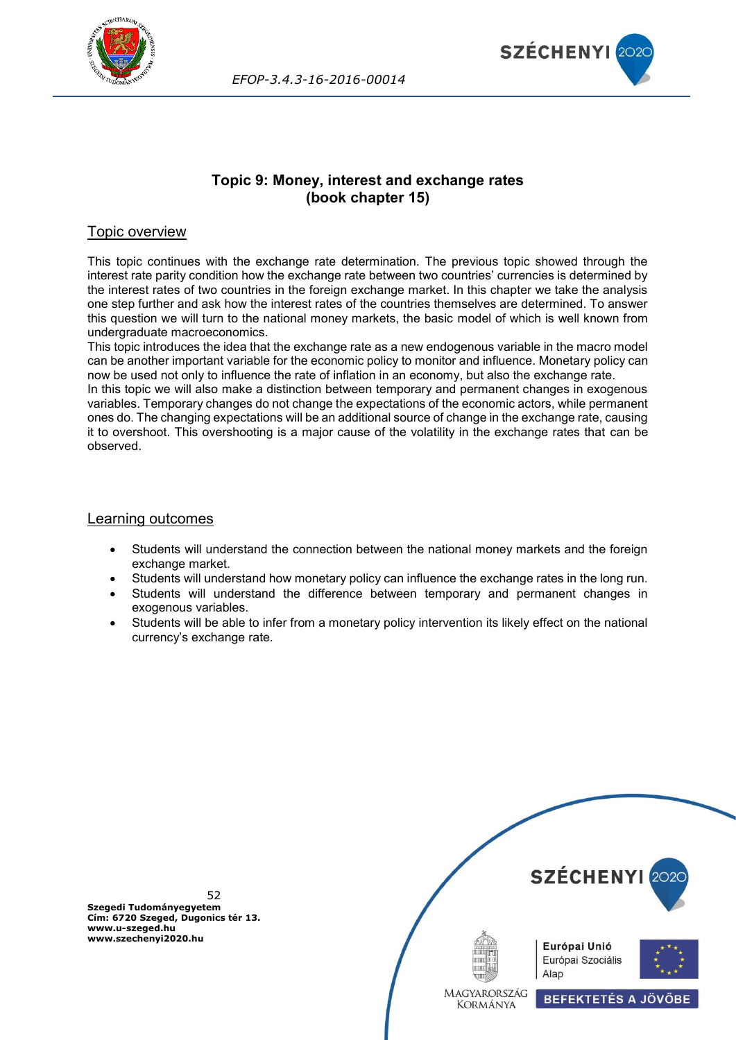



# **Topic 9: Money, interest and exchange rates (book chapter 15)**

# Topic overview

This topic continues with the exchange rate determination. The previous topic showed through the interest rate parity condition how the exchange rate between two countries' currencies is determined by the interest rates of two countries in the foreign exchange market. In this chapter we take the analysis one step further and ask how the interest rates of the countries themselves are determined. To answer this question we will turn to the national money markets, the basic model of which is well known from undergraduate macroeconomics.

This topic introduces the idea that the exchange rate as a new endogenous variable in the macro model can be another important variable for the economic policy to monitor and influence. Monetary policy can now be used not only to influence the rate of inflation in an economy, but also the exchange rate. In this topic we will also make a distinction between temporary and permanent changes in exogenous variables. Temporary changes do not change the expectations of the economic actors, while permanent ones do. The changing expectations will be an additional source of change in the exchange rate, causing it to overshoot. This overshooting is a major cause of the volatility in the exchange rates that can be observed.

### Learning outcomes

- Students will understand the connection between the national money markets and the foreign exchange market.
- Students will understand how monetary policy can influence the exchange rates in the long run.
- Students will understand the difference between temporary and permanent changes in exogenous variables.
- Students will be able to infer from a monetary policy intervention its likely effect on the national currency's exchange rate.

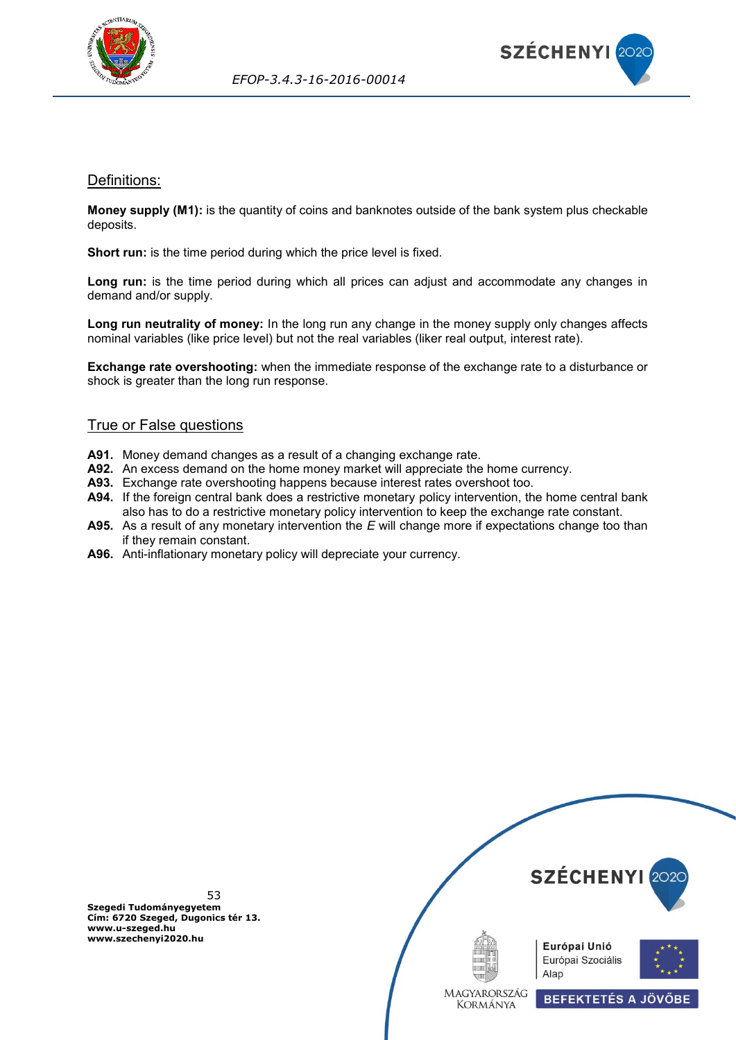



## Definitions:

**Money supply (M1):** is the quantity of coins and banknotes outside of the bank system plus checkable deposits.

**Short run:** is the time period during which the price level is fixed.

**Long run:** is the time period during which all prices can adjust and accommodate any changes in demand and/or supply.

**Long run neutrality of money:** In the long run any change in the money supply only changes affects nominal variables (like price level) but not the real variables (liker real output, interest rate).

**Exchange rate overshooting:** when the immediate response of the exchange rate to a disturbance or shock is greater than the long run response.

## True or False questions

- **A91.** Money demand changes as a result of a changing exchange rate.
- **A92.** An excess demand on the home money market will appreciate the home currency.
- **A93.** Exchange rate overshooting happens because interest rates overshoot too.
- **A94.** If the foreign central bank does a restrictive monetary policy intervention, the home central bank also has to do a restrictive monetary policy intervention to keep the exchange rate constant.
- **A95.** As a result of any monetary intervention the *E* will change more if expectations change too than if they remain constant.
- **A96.** Anti-inflationary monetary policy will depreciate your currency.

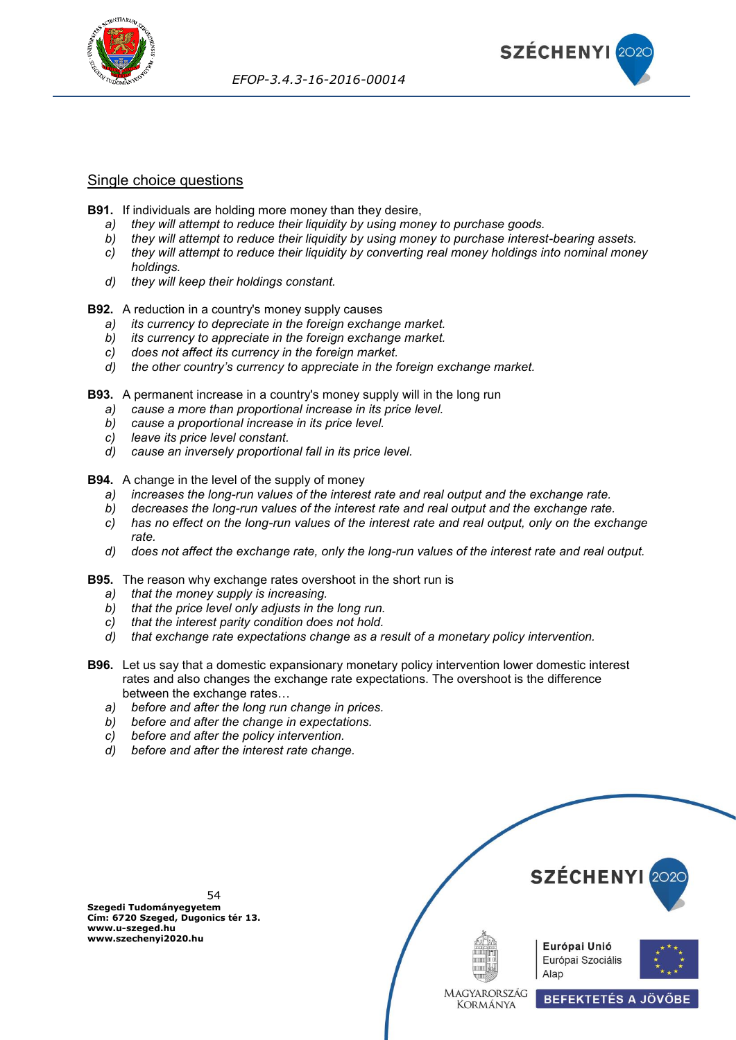



## Single choice questions

- **B91.** If individuals are holding more money than they desire,
	- *a) they will attempt to reduce their liquidity by using money to purchase goods.*
	- *b) they will attempt to reduce their liquidity by using money to purchase interest-bearing assets. c) they will attempt to reduce their liquidity by converting real money holdings into nominal money holdings.*
	- *d) they will keep their holdings constant.*

**B92.** A reduction in a country's money supply causes

- *a) its currency to depreciate in the foreign exchange market.*
- *b) its currency to appreciate in the foreign exchange market.*
- *c) does not affect its currency in the foreign market.*
- *d) the other country's currency to appreciate in the foreign exchange market.*
- **B93.** A permanent increase in a country's money supply will in the long run
	- *a) cause a more than proportional increase in its price level.*
	- *b) cause a proportional increase in its price level.*
	- *c) leave its price level constant.*
	- *d) cause an inversely proportional fall in its price level.*

**B94.** A change in the level of the supply of money

- *a) increases the long-run values of the interest rate and real output and the exchange rate.*
- *b) decreases the long-run values of the interest rate and real output and the exchange rate.*
- *c) has no effect on the long-run values of the interest rate and real output, only on the exchange rate.*
- *d) does not affect the exchange rate, only the long-run values of the interest rate and real output.*
- **B95.** The reason why exchange rates overshoot in the short run is
	- *a) that the money supply is increasing.*
	- *b) that the price level only adjusts in the long run.*
	- *c) that the interest parity condition does not hold.*
	- *d) that exchange rate expectations change as a result of a monetary policy intervention.*
- **B96.** Let us say that a domestic expansionary monetary policy intervention lower domestic interest rates and also changes the exchange rate expectations. The overshoot is the difference between the exchange rates…
	- *a) before and after the long run change in prices.*
	- *b) before and after the change in expectations.*
	- *c) before and after the policy intervention.*
	- *d) before and after the interest rate change.*

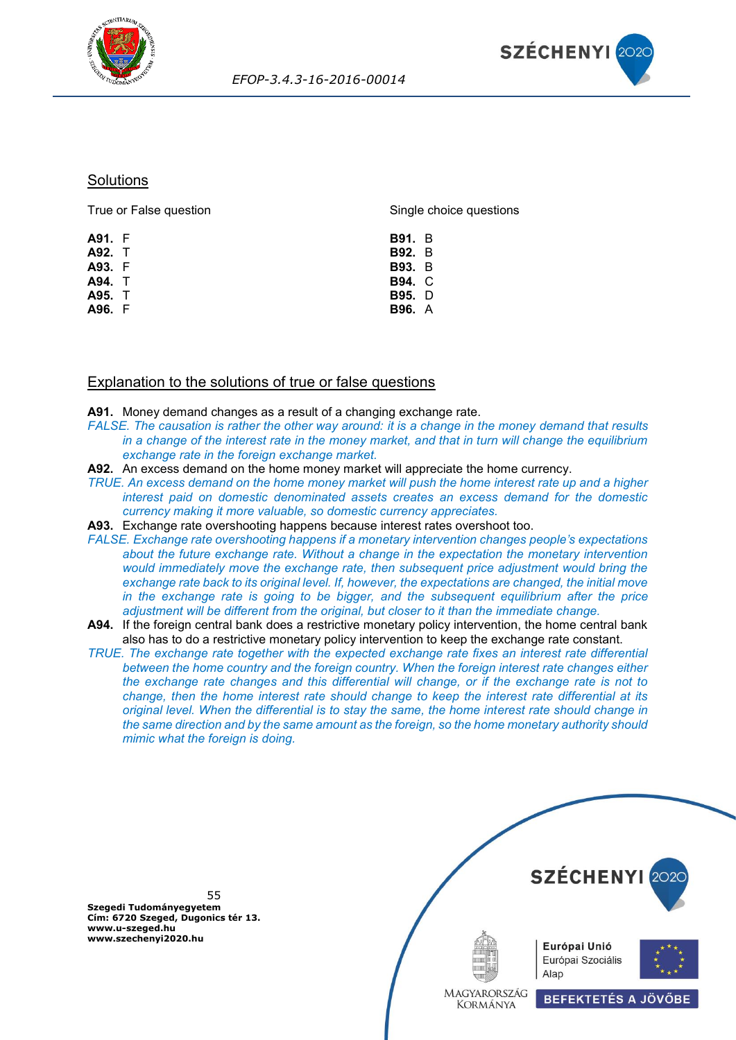



### **Solutions**

| True or False question | Single choice questions |  |  |
|------------------------|-------------------------|--|--|
| A91. F                 | <b>B91.</b> B           |  |  |
| A92. T                 | <b>B92.</b> B           |  |  |
| A93. F                 | <b>B93.</b> B           |  |  |
| A94. T                 | <b>B94. C</b>           |  |  |
| A95. T                 | <b>B95.</b> D           |  |  |
| A96. F                 | <b>B96.</b> A           |  |  |
|                        |                         |  |  |

# Explanation to the solutions of true or false questions

**A91.** Money demand changes as a result of a changing exchange rate.

- *FALSE. The causation is rather the other way around: it is a change in the money demand that results in a change of the interest rate in the money market, and that in turn will change the equilibrium exchange rate in the foreign exchange market.*
- **A92.** An excess demand on the home money market will appreciate the home currency.
- *TRUE. An excess demand on the home money market will push the home interest rate up and a higher interest paid on domestic denominated assets creates an excess demand for the domestic currency making it more valuable, so domestic currency appreciates.*
- **A93.** Exchange rate overshooting happens because interest rates overshoot too.
- *FALSE. Exchange rate overshooting happens if a monetary intervention changes people's expectations about the future exchange rate. Without a change in the expectation the monetary intervention would immediately move the exchange rate, then subsequent price adjustment would bring the exchange rate back to its original level. If, however, the expectations are changed, the initial move in the exchange rate is going to be bigger, and the subsequent equilibrium after the price adjustment will be different from the original, but closer to it than the immediate change.*
- **A94.** If the foreign central bank does a restrictive monetary policy intervention, the home central bank also has to do a restrictive monetary policy intervention to keep the exchange rate constant.

*TRUE. The exchange rate together with the expected exchange rate fixes an interest rate differential between the home country and the foreign country. When the foreign interest rate changes either the exchange rate changes and this differential will change, or if the exchange rate is not to change, then the home interest rate should change to keep the interest rate differential at its original level. When the differential is to stay the same, the home interest rate should change in the same direction and by the same amount as the foreign, so the home monetary authority should mimic what the foreign is doing.*

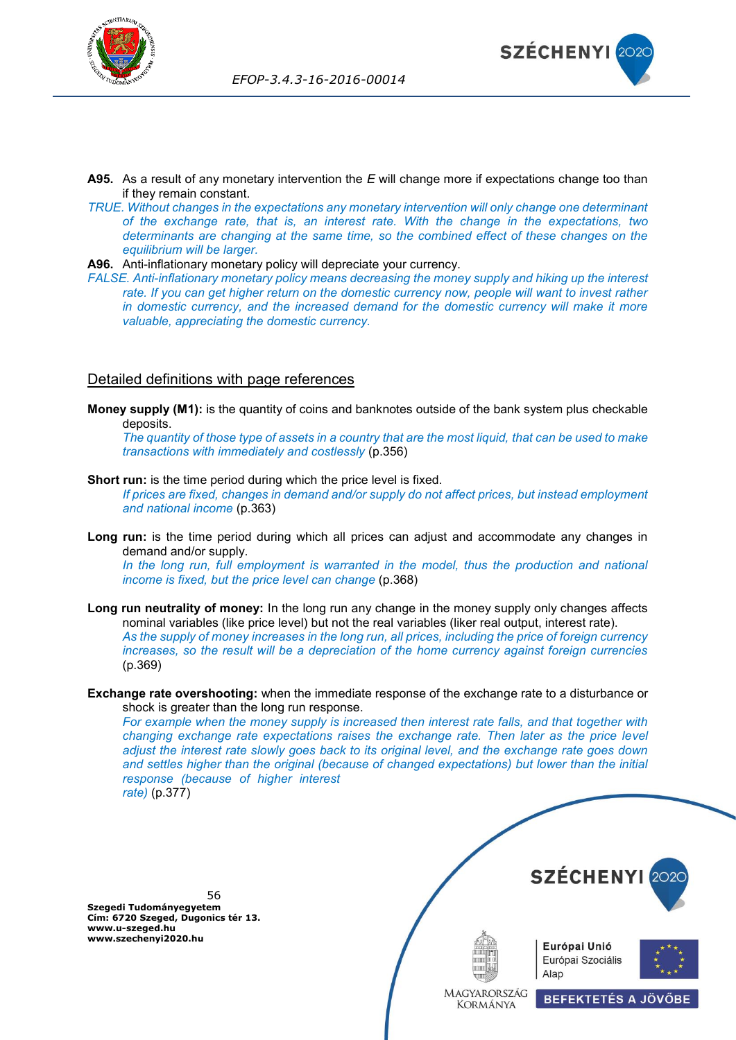



- **A95.** As a result of any monetary intervention the *E* will change more if expectations change too than if they remain constant.
- *TRUE. Without changes in the expectations any monetary intervention will only change one determinant of the exchange rate, that is, an interest rate. With the change in the expectations, two determinants are changing at the same time, so the combined effect of these changes on the equilibrium will be larger.*
- **A96.** Anti-inflationary monetary policy will depreciate your currency.
- *FALSE. Anti-inflationary monetary policy means decreasing the money supply and hiking up the interest*  rate. If you can get higher return on the domestic currency now, people will want to invest rather *in domestic currency, and the increased demand for the domestic currency will make it more valuable, appreciating the domestic currency.*

## Detailed definitions with page references

**Money supply (M1):** is the quantity of coins and banknotes outside of the bank system plus checkable deposits.

*The quantity of those type of assets in a country that are the most liquid, that can be used to make transactions with immediately and costlessly* (p.356)

**Short run:** is the time period during which the price level is fixed.

*If prices are fixed, changes in demand and/or supply do not affect prices, but instead employment and national income* (p.363)

**Long run:** is the time period during which all prices can adjust and accommodate any changes in demand and/or supply.

*In the long run, full employment is warranted in the model, thus the production and national income is fixed, but the price level can change* (p.368)

**Long run neutrality of money:** In the long run any change in the money supply only changes affects nominal variables (like price level) but not the real variables (liker real output, interest rate). *As the supply of money increases in the long run, all prices, including the price of foreign currency increases, so the result will be a depreciation of the home currency against foreign currencies* (p.369)

#### **Exchange rate overshooting:** when the immediate response of the exchange rate to a disturbance or shock is greater than the long run response.

*For example when the money supply is increased then interest rate falls, and that together with changing exchange rate expectations raises the exchange rate. Then later as the price level adjust the interest rate slowly goes back to its original level, and the exchange rate goes down and settles higher than the original (because of changed expectations) but lower than the initial response (because of higher interest rate)* (p.377)

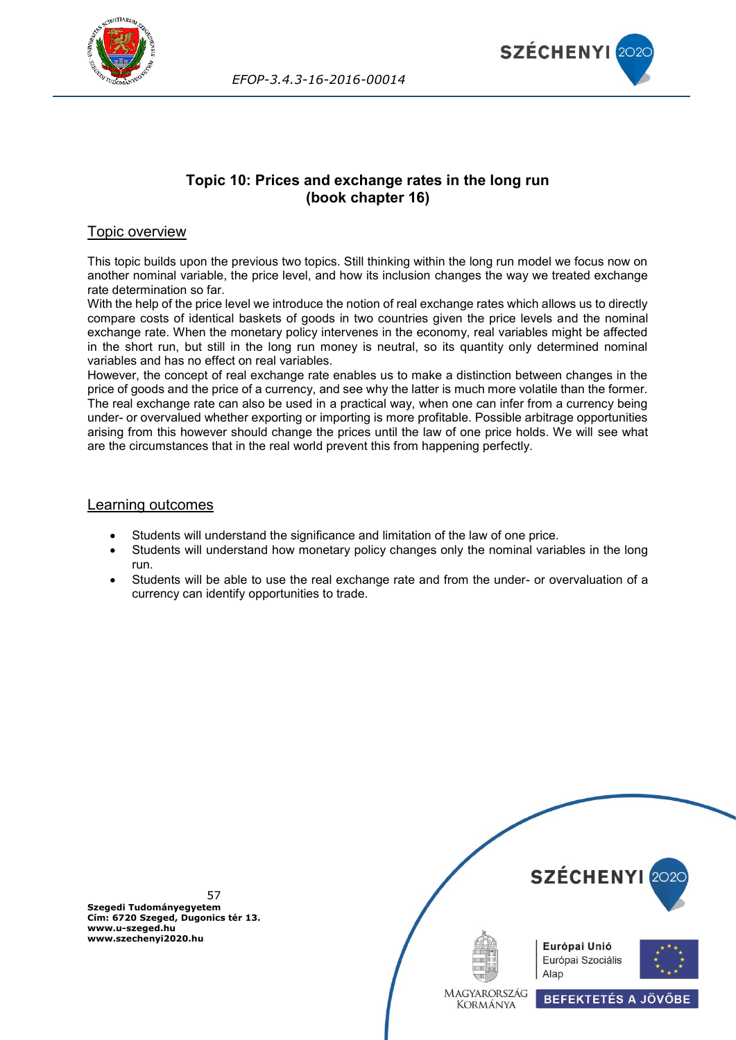



# **Topic 10: Prices and exchange rates in the long run (book chapter 16)**

# Topic overview

This topic builds upon the previous two topics. Still thinking within the long run model we focus now on another nominal variable, the price level, and how its inclusion changes the way we treated exchange rate determination so far.

With the help of the price level we introduce the notion of real exchange rates which allows us to directly compare costs of identical baskets of goods in two countries given the price levels and the nominal exchange rate. When the monetary policy intervenes in the economy, real variables might be affected in the short run, but still in the long run money is neutral, so its quantity only determined nominal variables and has no effect on real variables.

However, the concept of real exchange rate enables us to make a distinction between changes in the price of goods and the price of a currency, and see why the latter is much more volatile than the former. The real exchange rate can also be used in a practical way, when one can infer from a currency being under- or overvalued whether exporting or importing is more profitable. Possible arbitrage opportunities arising from this however should change the prices until the law of one price holds. We will see what are the circumstances that in the real world prevent this from happening perfectly.

## Learning outcomes

- Students will understand the significance and limitation of the law of one price.
- Students will understand how monetary policy changes only the nominal variables in the long run.
- Students will be able to use the real exchange rate and from the under- or overvaluation of a currency can identify opportunities to trade.

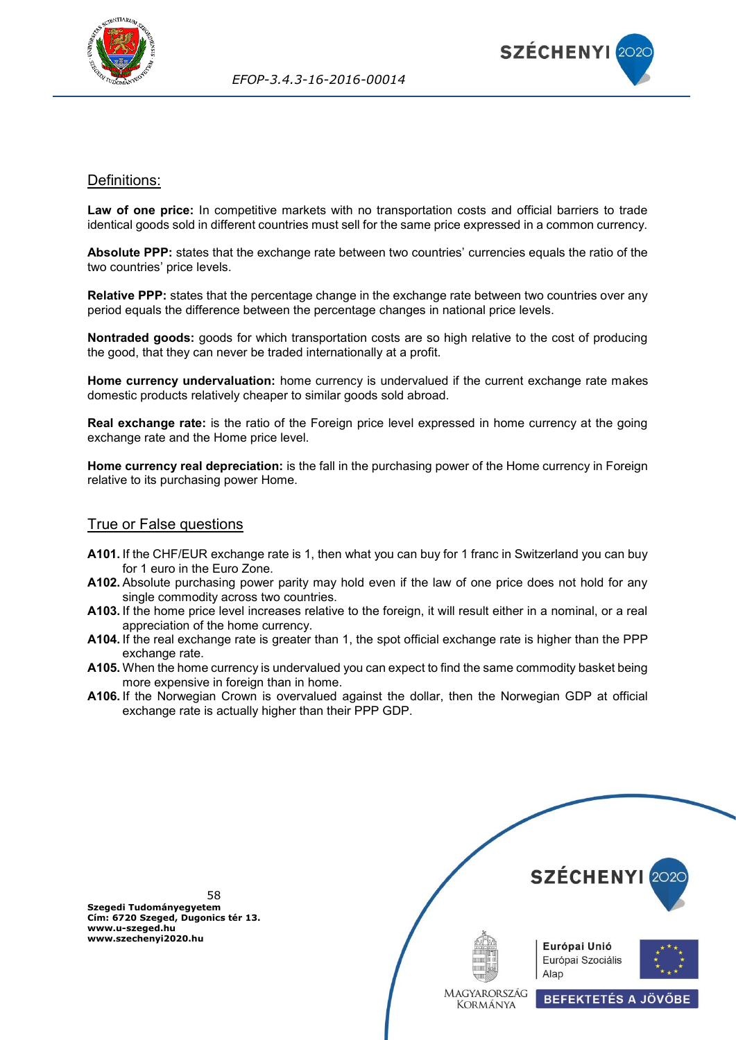



## Definitions:

**Law of one price:** In competitive markets with no transportation costs and official barriers to trade identical goods sold in different countries must sell for the same price expressed in a common currency.

**Absolute PPP:** states that the exchange rate between two countries' currencies equals the ratio of the two countries' price levels.

**Relative PPP:** states that the percentage change in the exchange rate between two countries over any period equals the difference between the percentage changes in national price levels.

**Nontraded goods:** goods for which transportation costs are so high relative to the cost of producing the good, that they can never be traded internationally at a profit.

**Home currency undervaluation:** home currency is undervalued if the current exchange rate makes domestic products relatively cheaper to similar goods sold abroad.

**Real exchange rate:** is the ratio of the Foreign price level expressed in home currency at the going exchange rate and the Home price level.

**Home currency real depreciation:** is the fall in the purchasing power of the Home currency in Foreign relative to its purchasing power Home.

### True or False questions

- **A101.** If the CHF/EUR exchange rate is 1, then what you can buy for 1 franc in Switzerland you can buy for 1 euro in the Euro Zone.
- **A102.** Absolute purchasing power parity may hold even if the law of one price does not hold for any single commodity across two countries.
- **A103.** If the home price level increases relative to the foreign, it will result either in a nominal, or a real appreciation of the home currency.
- **A104.** If the real exchange rate is greater than 1, the spot official exchange rate is higher than the PPP exchange rate.
- **A105.** When the home currency is undervalued you can expect to find the same commodity basket being more expensive in foreign than in home.
- **A106.** If the Norwegian Crown is overvalued against the dollar, then the Norwegian GDP at official exchange rate is actually higher than their PPP GDP.

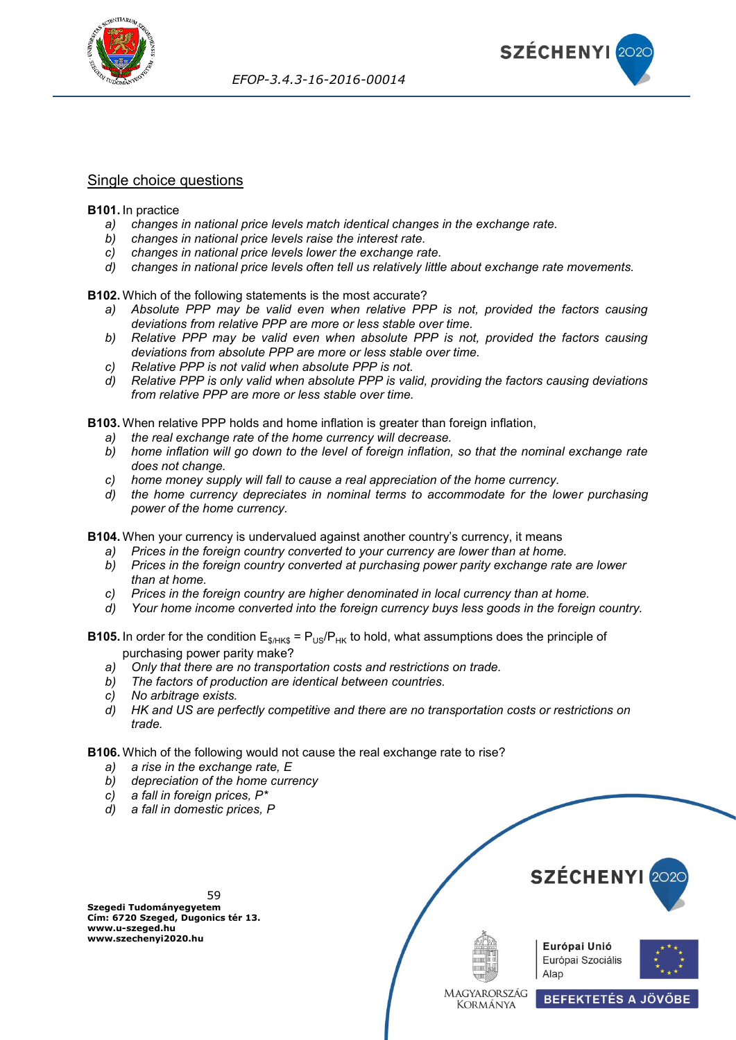



## Single choice questions

#### **B101.** In practice

- *a) changes in national price levels match identical changes in the exchange rate.*
- *b) changes in national price levels raise the interest rate.*
- *c) changes in national price levels lower the exchange rate.*
- *d) changes in national price levels often tell us relatively little about exchange rate movements.*

**B102.** Which of the following statements is the most accurate?

- *a) Absolute PPP may be valid even when relative PPP is not, provided the factors causing deviations from relative PPP are more or less stable over time.*
- *b) Relative PPP may be valid even when absolute PPP is not, provided the factors causing deviations from absolute PPP are more or less stable over time.*
- *c) Relative PPP is not valid when absolute PPP is not.*
- *d) Relative PPP is only valid when absolute PPP is valid, providing the factors causing deviations from relative PPP are more or less stable over time.*

**B103.** When relative PPP holds and home inflation is greater than foreign inflation,

- *a) the real exchange rate of the home currency will decrease.*
- *b) home inflation will go down to the level of foreign inflation, so that the nominal exchange rate does not change.*
- *c) home money supply will fall to cause a real appreciation of the home currency.*
- *d) the home currency depreciates in nominal terms to accommodate for the lower purchasing power of the home currency.*

**B104.** When your currency is undervalued against another country's currency, it means

- *a) Prices in the foreign country converted to your currency are lower than at home.*
- *b) Prices in the foreign country converted at purchasing power parity exchange rate are lower than at home.*
- *c) Prices in the foreign country are higher denominated in local currency than at home.*
- *d) Your home income converted into the foreign currency buys less goods in the foreign country.*

**B105.** In order for the condition  $E_{\text{s/HKS}} = P_{\text{US}}/P_{\text{HK}}$  to hold, what assumptions does the principle of purchasing power parity make?

- *a) Only that there are no transportation costs and restrictions on trade.*
- *b) The factors of production are identical between countries.*
- *c) No arbitrage exists.*
- *d) HK and US are perfectly competitive and there are no transportation costs or restrictions on trade.*

**B106.** Which of the following would not cause the real exchange rate to rise?

- *a) a rise in the exchange rate, E*
- *b) depreciation of the home currency*
- *c) a fall in foreign prices, P\**
- *d) a fall in domestic prices, P*

59 **Szegedi Tudományegyetem Cím: 6720 Szeged, Dugonics tér 13. www.u-szeged.hu www.szechenyi2020.hu**



Alap

MAGYARORSZÁG **KORMÁNYA** 



**BEFEKTETÉS A JÖVŐBE**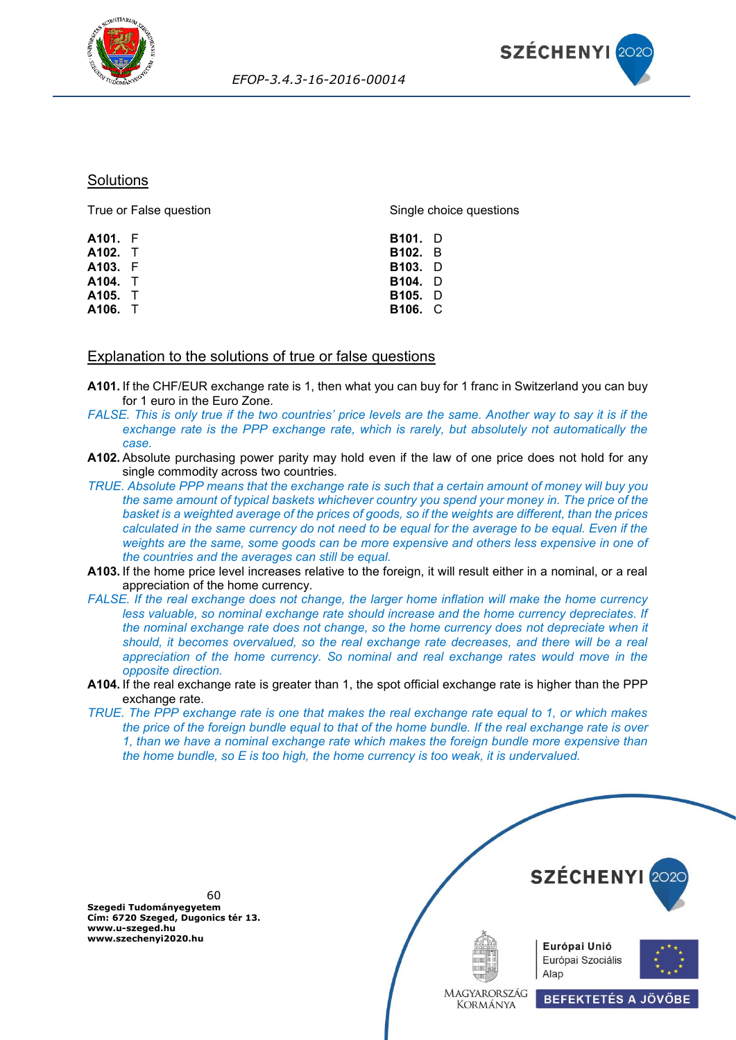



#### **Solutions**

| True or False question | Single choice questions |
|------------------------|-------------------------|
| A101. F                | <b>B101.</b> D          |
| A102. T                | <b>B102.</b> B          |
| A103. F                | <b>B103.</b> D          |
| A104. T                | <b>B104.</b> D          |
| A105. T                | <b>B105.</b> D          |
| A106. T                | <b>B106. C</b>          |
|                        |                         |

### Explanation to the solutions of true or false questions

- **A101.** If the CHF/EUR exchange rate is 1, then what you can buy for 1 franc in Switzerland you can buy for 1 euro in the Euro Zone.
- *FALSE. This is only true if the two countries' price levels are the same. Another way to say it is if the exchange rate is the PPP exchange rate, which is rarely, but absolutely not automatically the case.*
- **A102.** Absolute purchasing power parity may hold even if the law of one price does not hold for any single commodity across two countries.
- *TRUE. Absolute PPP means that the exchange rate is such that a certain amount of money will buy you the same amount of typical baskets whichever country you spend your money in. The price of the basket is a weighted average of the prices of goods, so if the weights are different, than the prices calculated in the same currency do not need to be equal for the average to be equal. Even if the weights are the same, some goods can be more expensive and others less expensive in one of the countries and the averages can still be equal.*
- **A103.** If the home price level increases relative to the foreign, it will result either in a nominal, or a real appreciation of the home currency.
- *FALSE. If the real exchange does not change, the larger home inflation will make the home currency less valuable, so nominal exchange rate should increase and the home currency depreciates. If the nominal exchange rate does not change, so the home currency does not depreciate when it should, it becomes overvalued, so the real exchange rate decreases, and there will be a real appreciation of the home currency. So nominal and real exchange rates would move in the opposite direction.*
- **A104.** If the real exchange rate is greater than 1, the spot official exchange rate is higher than the PPP exchange rate.
- *TRUE. The PPP exchange rate is one that makes the real exchange rate equal to 1, or which makes the price of the foreign bundle equal to that of the home bundle. If the real exchange rate is over 1, than we have a nominal exchange rate which makes the foreign bundle more expensive than the home bundle, so E is too high, the home currency is too weak, it is undervalued.*

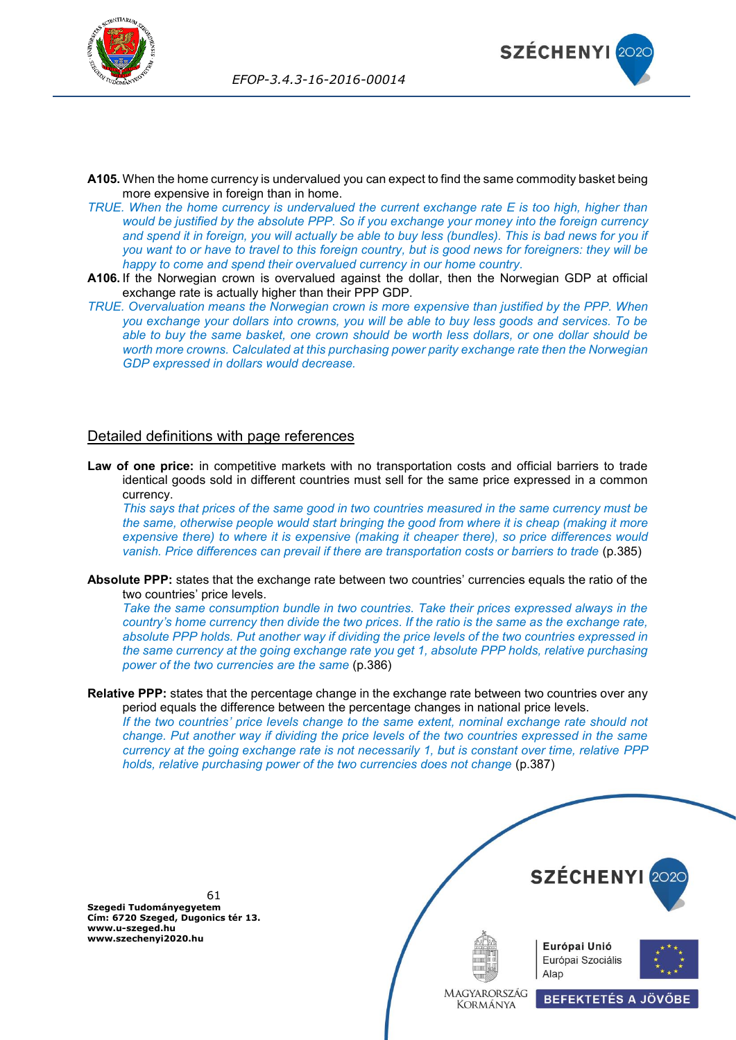



- **A105.** When the home currency is undervalued you can expect to find the same commodity basket being more expensive in foreign than in home.
- *TRUE. When the home currency is undervalued the current exchange rate E is too high, higher than would be justified by the absolute PPP. So if you exchange your money into the foreign currency and spend it in foreign, you will actually be able to buy less (bundles). This is bad news for you if you want to or have to travel to this foreign country, but is good news for foreigners: they will be happy to come and spend their overvalued currency in our home country.*
- **A106.** If the Norwegian crown is overvalued against the dollar, then the Norwegian GDP at official exchange rate is actually higher than their PPP GDP.
- *TRUE. Overvaluation means the Norwegian crown is more expensive than justified by the PPP. When you exchange your dollars into crowns, you will be able to buy less goods and services. To be able to buy the same basket, one crown should be worth less dollars, or one dollar should be worth more crowns. Calculated at this purchasing power parity exchange rate then the Norwegian GDP expressed in dollars would decrease.*

## Detailed definitions with page references

**Law of one price:** in competitive markets with no transportation costs and official barriers to trade identical goods sold in different countries must sell for the same price expressed in a common currency.

*This says that prices of the same good in two countries measured in the same currency must be the same, otherwise people would start bringing the good from where it is cheap (making it more expensive there) to where it is expensive (making it cheaper there), so price differences would vanish. Price differences can prevail if there are transportation costs or barriers to trade* (p.385)

**Absolute PPP:** states that the exchange rate between two countries' currencies equals the ratio of the two countries' price levels.

*Take the same consumption bundle in two countries. Take their prices expressed always in the country's home currency then divide the two prices. If the ratio is the same as the exchange rate, absolute PPP holds. Put another way if dividing the price levels of the two countries expressed in the same currency at the going exchange rate you get 1, absolute PPP holds, relative purchasing power of the two currencies are the same* (p.386)

**Relative PPP:** states that the percentage change in the exchange rate between two countries over any period equals the difference between the percentage changes in national price levels.

*If the two countries' price levels change to the same extent, nominal exchange rate should not change. Put another way if dividing the price levels of the two countries expressed in the same currency at the going exchange rate is not necessarily 1, but is constant over time, relative PPP holds, relative purchasing power of the two currencies does not change* (p.387)

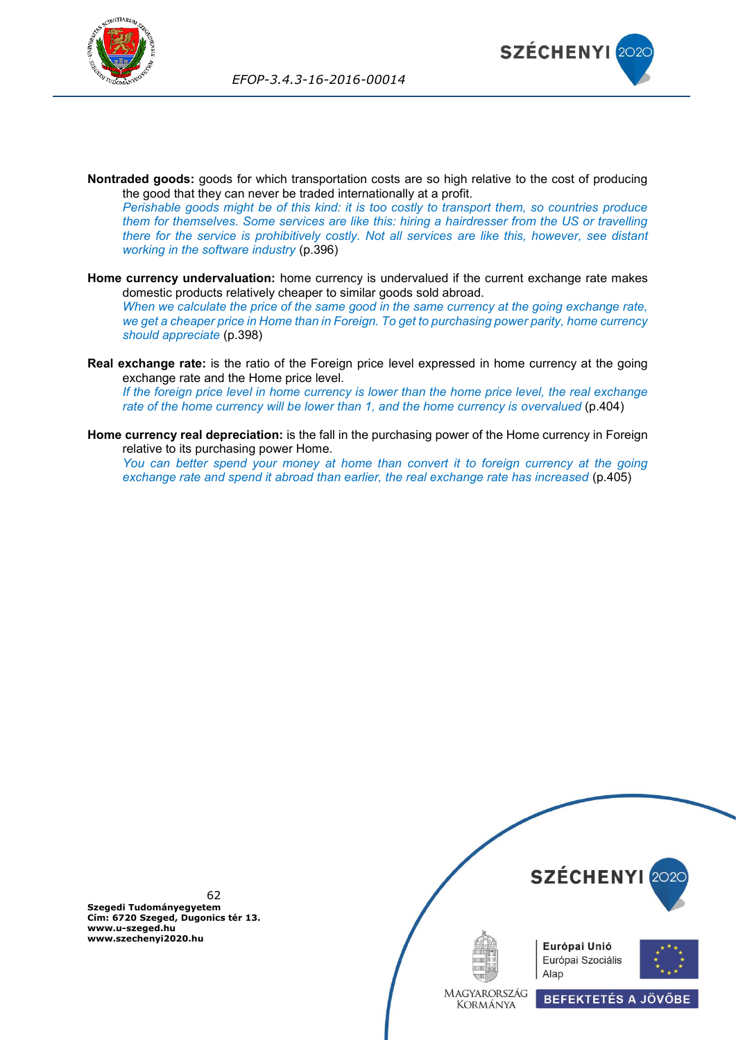



- **Nontraded goods:** goods for which transportation costs are so high relative to the cost of producing the good that they can never be traded internationally at a profit. *Perishable goods might be of this kind: it is too costly to transport them, so countries produce them for themselves. Some services are like this: hiring a hairdresser from the US or travelling there for the service is prohibitively costly. Not all services are like this, however, see distant working in the software industry* (p.396)
- **Home currency undervaluation:** home currency is undervalued if the current exchange rate makes domestic products relatively cheaper to similar goods sold abroad. *When we calculate the price of the same good in the same currency at the going exchange rate, we get a cheaper price in Home than in Foreign. To get to purchasing power parity, home currency should appreciate* (p.398)
- **Real exchange rate:** is the ratio of the Foreign price level expressed in home currency at the going exchange rate and the Home price level. *If the foreign price level in home currency is lower than the home price level, the real exchange rate of the home currency will be lower than 1, and the home currency is overvalued* (p.404)
- **Home currency real depreciation:** is the fall in the purchasing power of the Home currency in Foreign relative to its purchasing power Home.

*You can better spend your money at home than convert it to foreign currency at the going exchange rate and spend it abroad than earlier, the real exchange rate has increased* (p.405)

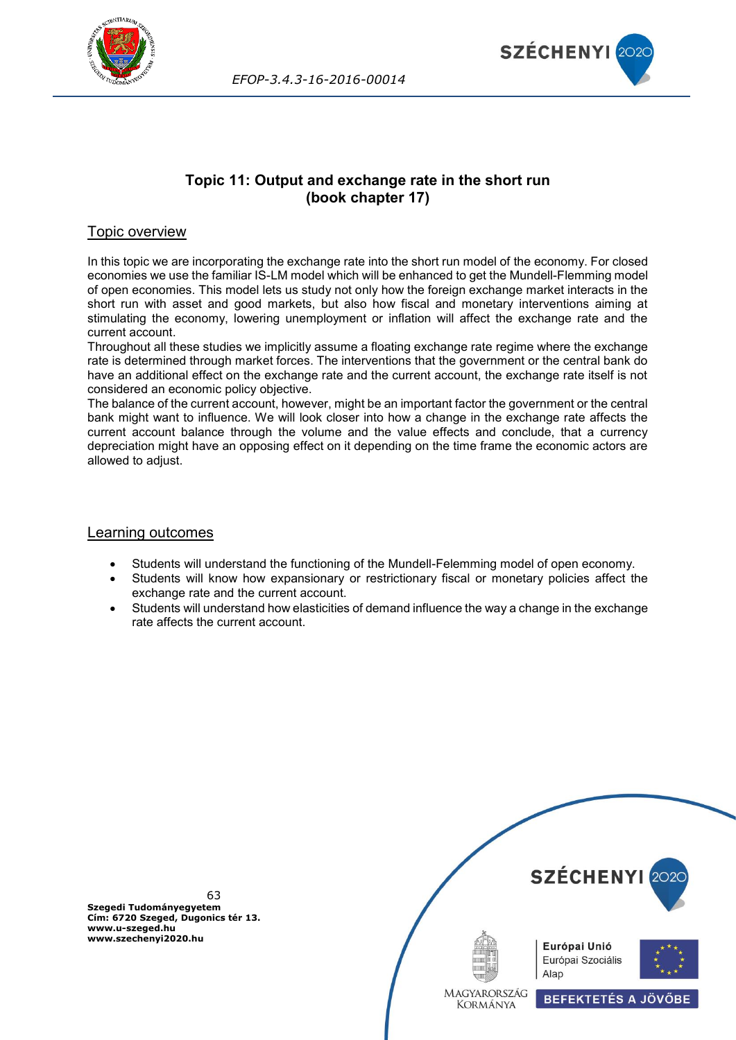



# **Topic 11: Output and exchange rate in the short run (book chapter 17)**

## Topic overview

In this topic we are incorporating the exchange rate into the short run model of the economy. For closed economies we use the familiar IS-LM model which will be enhanced to get the Mundell-Flemming model of open economies. This model lets us study not only how the foreign exchange market interacts in the short run with asset and good markets, but also how fiscal and monetary interventions aiming at stimulating the economy, lowering unemployment or inflation will affect the exchange rate and the current account.

Throughout all these studies we implicitly assume a floating exchange rate regime where the exchange rate is determined through market forces. The interventions that the government or the central bank do have an additional effect on the exchange rate and the current account, the exchange rate itself is not considered an economic policy objective.

The balance of the current account, however, might be an important factor the government or the central bank might want to influence. We will look closer into how a change in the exchange rate affects the current account balance through the volume and the value effects and conclude, that a currency depreciation might have an opposing effect on it depending on the time frame the economic actors are allowed to adjust.

### Learning outcomes

- Students will understand the functioning of the Mundell-Felemming model of open economy.
- Students will know how expansionary or restrictionary fiscal or monetary policies affect the exchange rate and the current account.
- Students will understand how elasticities of demand influence the way a change in the exchange rate affects the current account.

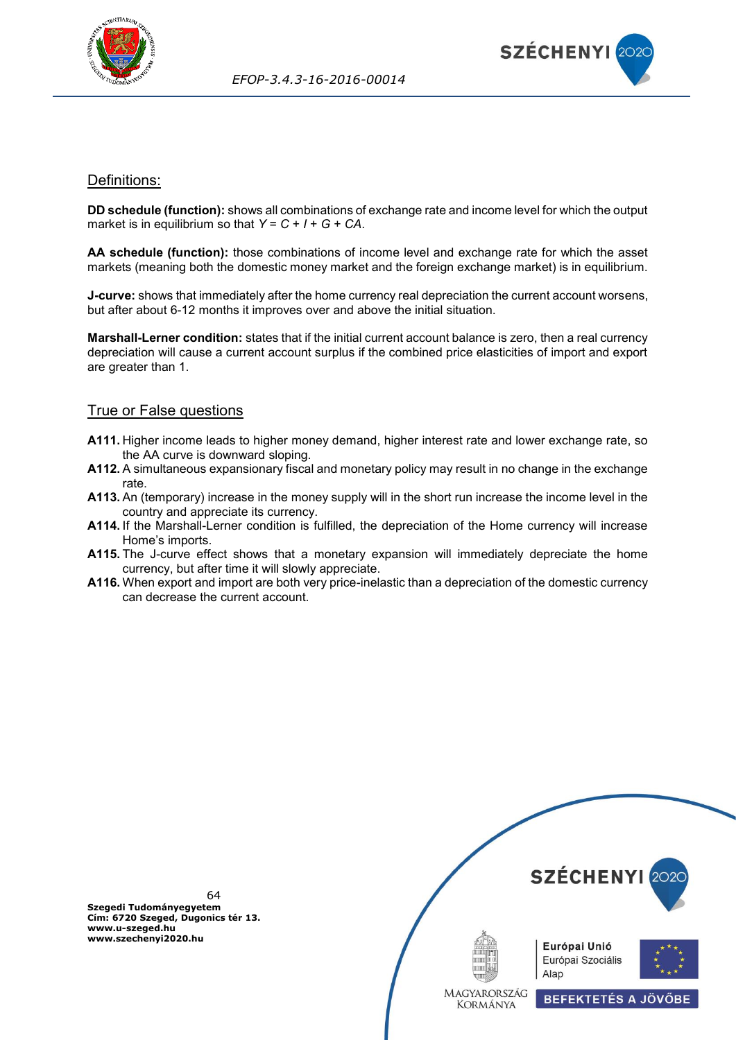



## Definitions:

**DD schedule (function):** shows all combinations of exchange rate and income level for which the output market is in equilibrium so that *Y* = *C* + *I* + *G* + *CA*.

**AA schedule (function):** those combinations of income level and exchange rate for which the asset markets (meaning both the domestic money market and the foreign exchange market) is in equilibrium.

**J-curve:** shows that immediately after the home currency real depreciation the current account worsens, but after about 6-12 months it improves over and above the initial situation.

**Marshall-Lerner condition:** states that if the initial current account balance is zero, then a real currency depreciation will cause a current account surplus if the combined price elasticities of import and export are greater than 1.

## True or False questions

- **A111.** Higher income leads to higher money demand, higher interest rate and lower exchange rate, so the AA curve is downward sloping.
- **A112.** A simultaneous expansionary fiscal and monetary policy may result in no change in the exchange rate.
- **A113.** An (temporary) increase in the money supply will in the short run increase the income level in the country and appreciate its currency.
- **A114.** If the Marshall-Lerner condition is fulfilled, the depreciation of the Home currency will increase Home's imports.
- **A115.** The J-curve effect shows that a monetary expansion will immediately depreciate the home currency, but after time it will slowly appreciate.
- **A116.** When export and import are both very price-inelastic than a depreciation of the domestic currency can decrease the current account.

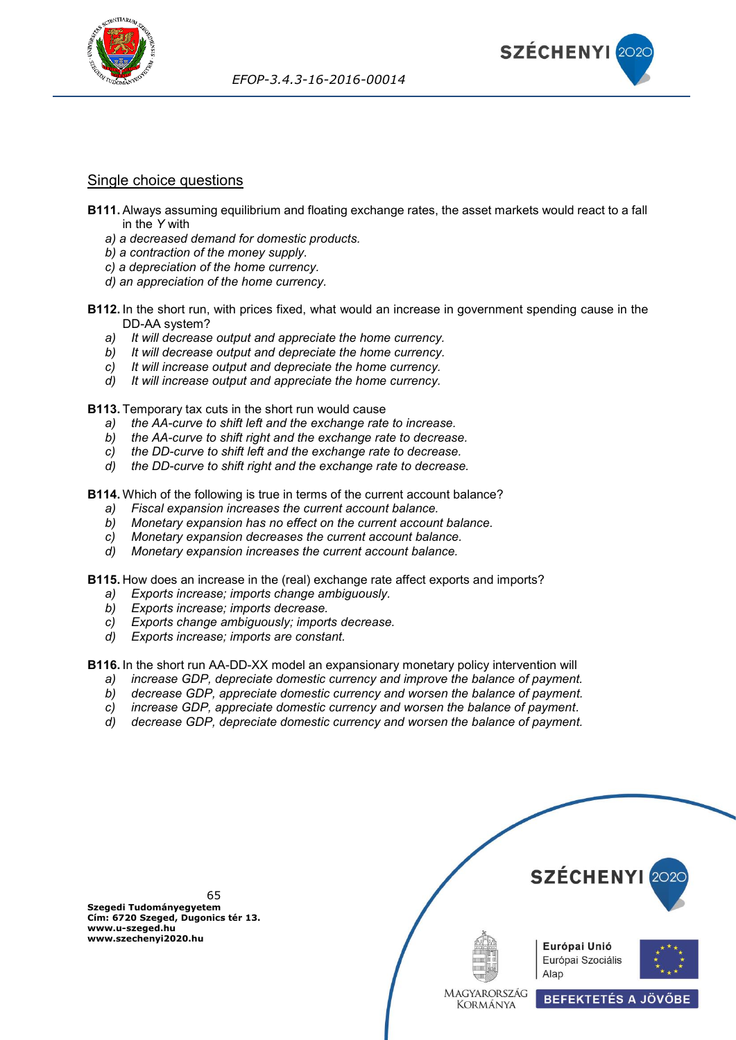



## Single choice questions

- **B111.** Always assuming equilibrium and floating exchange rates, the asset markets would react to a fall in the *Y* with
	- *a) a decreased demand for domestic products.*
	- *b) a contraction of the money supply.*
	- *c) a depreciation of the home currency.*
	- *d) an appreciation of the home currency.*
- **B112.** In the short run, with prices fixed, what would an increase in government spending cause in the DD-AA system?
	- *a) It will decrease output and appreciate the home currency.*
	- *b) It will decrease output and depreciate the home currency.*
	- *c) It will increase output and depreciate the home currency.*
	- *d) It will increase output and appreciate the home currency.*

**B113.** Temporary tax cuts in the short run would cause

- *a) the AA-curve to shift left and the exchange rate to increase.*
- *b) the AA-curve to shift right and the exchange rate to decrease.*
- *c) the DD-curve to shift left and the exchange rate to decrease.*
- *d) the DD-curve to shift right and the exchange rate to decrease.*

**B114.** Which of the following is true in terms of the current account balance?

- *a) Fiscal expansion increases the current account balance.*
- *b) Monetary expansion has no effect on the current account balance.*
- *c) Monetary expansion decreases the current account balance.*
- *d) Monetary expansion increases the current account balance.*

**B115.** How does an increase in the (real) exchange rate affect exports and imports?

- *a) Exports increase; imports change ambiguously.*
- *b) Exports increase; imports decrease.*
- *c) Exports change ambiguously; imports decrease.*
- *d) Exports increase; imports are constant.*

**B116.** In the short run AA-DD-XX model an expansionary monetary policy intervention will

- *a) increase GDP, depreciate domestic currency and improve the balance of payment.*
- *b) decrease GDP, appreciate domestic currency and worsen the balance of payment.*
- *c) increase GDP, appreciate domestic currency and worsen the balance of payment.*
- *d) decrease GDP, depreciate domestic currency and worsen the balance of payment.*

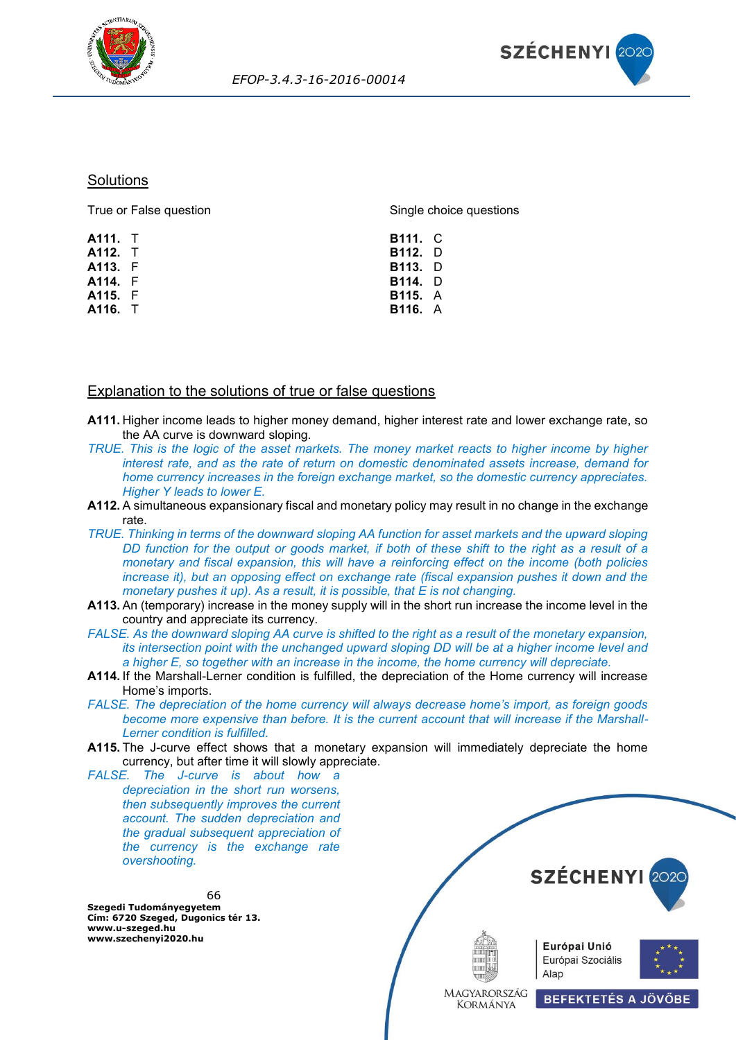



### **Solutions**

| True or False question | Single choice questions |  |  |
|------------------------|-------------------------|--|--|
| <b>A111.</b> T         | <b>B111.</b> C          |  |  |
| <b>A112.</b> T         | <b>B112.</b> D          |  |  |
| A113. F                | <b>B113.</b> D          |  |  |
| A114. F                | <b>B114.</b> D          |  |  |
| A115. F                | <b>B115.</b> A          |  |  |
| A116. T                | <b>B116.</b> A          |  |  |
|                        |                         |  |  |

## Explanation to the solutions of true or false questions

- **A111.** Higher income leads to higher money demand, higher interest rate and lower exchange rate, so the AA curve is downward sloping.
- *TRUE. This is the logic of the asset markets. The money market reacts to higher income by higher interest rate, and as the rate of return on domestic denominated assets increase, demand for home currency increases in the foreign exchange market, so the domestic currency appreciates. Higher Y leads to lower E.*
- **A112.** A simultaneous expansionary fiscal and monetary policy may result in no change in the exchange rate.
- *TRUE. Thinking in terms of the downward sloping AA function for asset markets and the upward sloping DD function for the output or goods market, if both of these shift to the right as a result of a monetary and fiscal expansion, this will have a reinforcing effect on the income (both policies increase it), but an opposing effect on exchange rate (fiscal expansion pushes it down and the monetary pushes it up). As a result, it is possible, that E is not changing.*
- **A113.** An (temporary) increase in the money supply will in the short run increase the income level in the country and appreciate its currency.
- *FALSE. As the downward sloping AA curve is shifted to the right as a result of the monetary expansion, its intersection point with the unchanged upward sloping DD will be at a higher income level and a higher E, so together with an increase in the income, the home currency will depreciate.*
- **A114.** If the Marshall-Lerner condition is fulfilled, the depreciation of the Home currency will increase Home's imports.
- *FALSE. The depreciation of the home currency will always decrease home's import, as foreign goods become more expensive than before. It is the current account that will increase if the Marshall-Lerner condition is fulfilled.*
- **A115.** The J-curve effect shows that a monetary expansion will immediately depreciate the home currency, but after time it will slowly appreciate.

*FALSE. The J-curve is about how a depreciation in the short run worsens, then subsequently improves the current account. The sudden depreciation and the gradual subsequent appreciation of the currency is the exchange rate overshooting.*

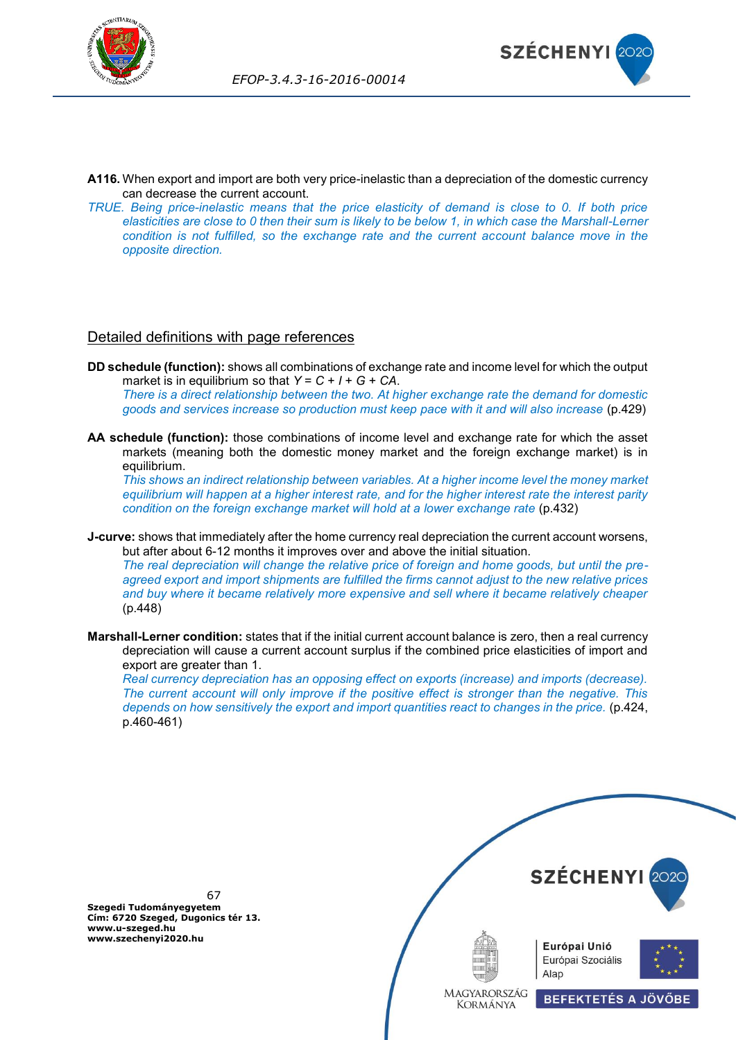



- **A116.** When export and import are both very price-inelastic than a depreciation of the domestic currency can decrease the current account.
- *TRUE. Being price-inelastic means that the price elasticity of demand is close to 0. If both price elasticities are close to 0 then their sum is likely to be below 1, in which case the Marshall-Lerner condition is not fulfilled, so the exchange rate and the current account balance move in the opposite direction.*

## Detailed definitions with page references

- **DD schedule (function):** shows all combinations of exchange rate and income level for which the output market is in equilibrium so that  $Y = C + I + G + CA$ . *There is a direct relationship between the two. At higher exchange rate the demand for domestic goods and services increase so production must keep pace with it and will also increase* (p.429)
- **AA schedule (function):** those combinations of income level and exchange rate for which the asset markets (meaning both the domestic money market and the foreign exchange market) is in equilibrium.

*This shows an indirect relationship between variables. At a higher income level the money market equilibrium will happen at a higher interest rate, and for the higher interest rate the interest parity condition on the foreign exchange market will hold at a lower exchange rate* (p.432)

**J-curve:** shows that immediately after the home currency real depreciation the current account worsens, but after about 6-12 months it improves over and above the initial situation.

*The real depreciation will change the relative price of foreign and home goods, but until the preagreed export and import shipments are fulfilled the firms cannot adjust to the new relative prices and buy where it became relatively more expensive and sell where it became relatively cheaper* (p.448)

**Marshall-Lerner condition:** states that if the initial current account balance is zero, then a real currency depreciation will cause a current account surplus if the combined price elasticities of import and export are greater than 1.

*Real currency depreciation has an opposing effect on exports (increase) and imports (decrease). The current account will only improve if the positive effect is stronger than the negative. This depends on how sensitively the export and import quantities react to changes in the price.* (p.424, p.460-461)

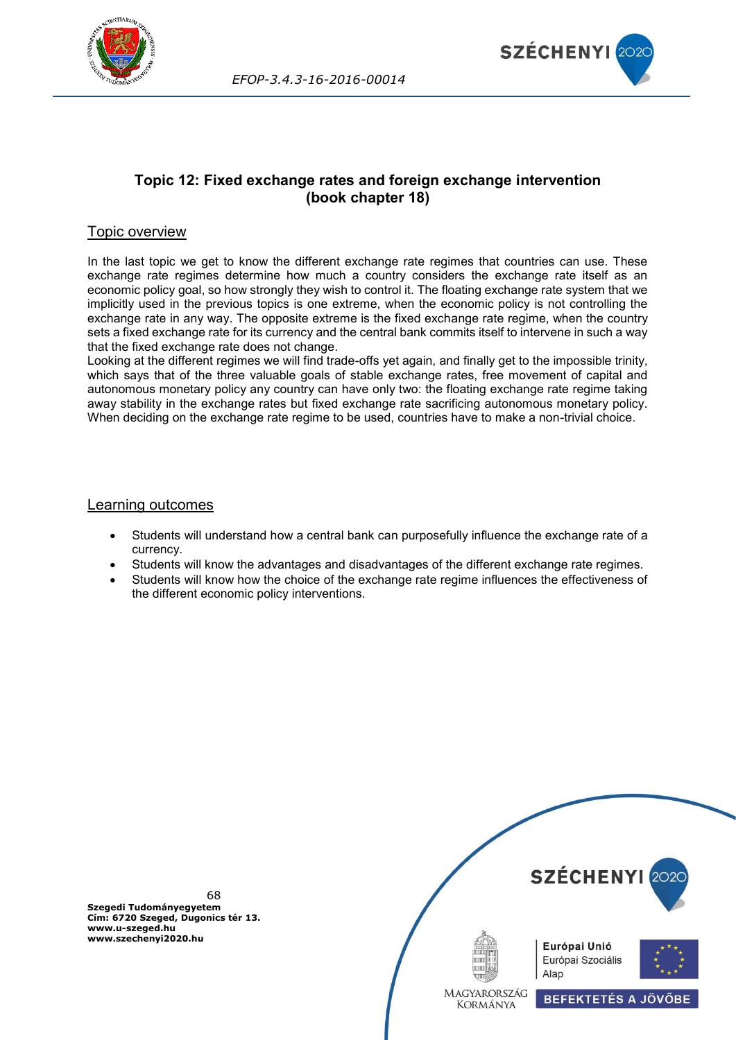



# **Topic 12: Fixed exchange rates and foreign exchange intervention (book chapter 18)**

## Topic overview

In the last topic we get to know the different exchange rate regimes that countries can use. These exchange rate regimes determine how much a country considers the exchange rate itself as an economic policy goal, so how strongly they wish to control it. The floating exchange rate system that we implicitly used in the previous topics is one extreme, when the economic policy is not controlling the exchange rate in any way. The opposite extreme is the fixed exchange rate regime, when the country sets a fixed exchange rate for its currency and the central bank commits itself to intervene in such a way that the fixed exchange rate does not change.

Looking at the different regimes we will find trade-offs yet again, and finally get to the impossible trinity, which says that of the three valuable goals of stable exchange rates, free movement of capital and autonomous monetary policy any country can have only two: the floating exchange rate regime taking away stability in the exchange rates but fixed exchange rate sacrificing autonomous monetary policy. When deciding on the exchange rate regime to be used, countries have to make a non-trivial choice.

## Learning outcomes

- Students will understand how a central bank can purposefully influence the exchange rate of a currency.
- Students will know the advantages and disadvantages of the different exchange rate regimes.
- Students will know how the choice of the exchange rate regime influences the effectiveness of the different economic policy interventions.

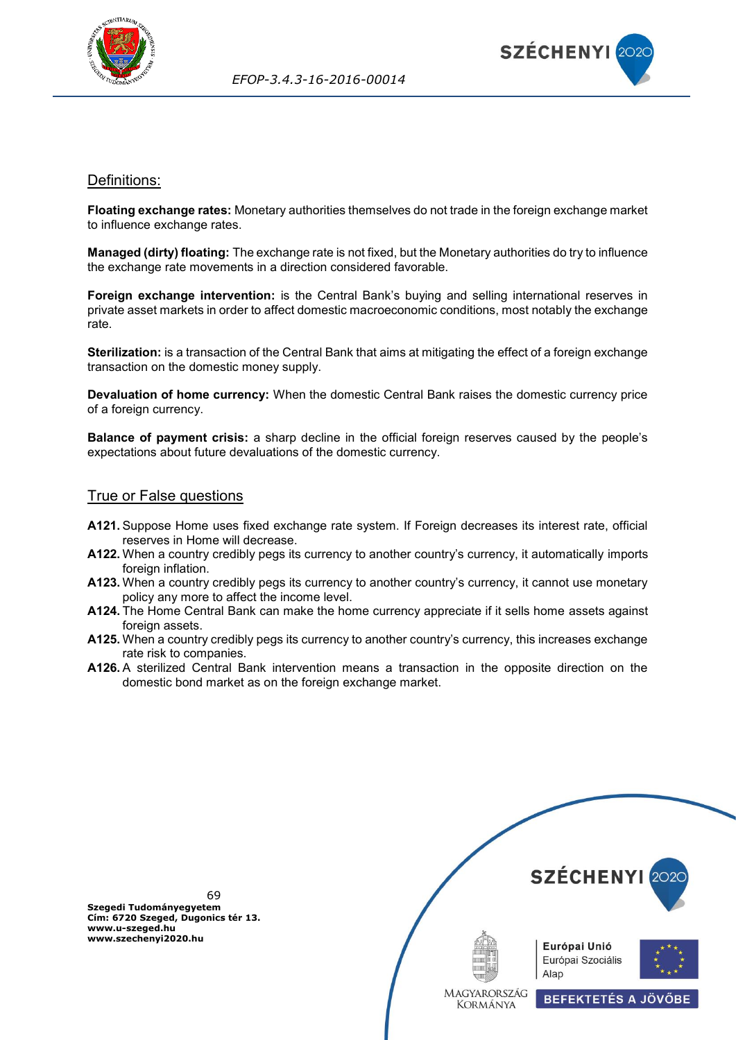



## Definitions:

**Floating exchange rates:** Monetary authorities themselves do not trade in the foreign exchange market to influence exchange rates.

**Managed (dirty) floating:** The exchange rate is not fixed, but the Monetary authorities do try to influence the exchange rate movements in a direction considered favorable.

**Foreign exchange intervention:** is the Central Bank's buying and selling international reserves in private asset markets in order to affect domestic macroeconomic conditions, most notably the exchange rate.

**Sterilization:** is a transaction of the Central Bank that aims at mitigating the effect of a foreign exchange transaction on the domestic money supply.

**Devaluation of home currency:** When the domestic Central Bank raises the domestic currency price of a foreign currency.

**Balance of payment crisis:** a sharp decline in the official foreign reserves caused by the people's expectations about future devaluations of the domestic currency.

# **True or False questions**

- **A121.** Suppose Home uses fixed exchange rate system. If Foreign decreases its interest rate, official reserves in Home will decrease.
- **A122.** When a country credibly pegs its currency to another country's currency, it automatically imports foreign inflation.
- **A123.** When a country credibly pegs its currency to another country's currency, it cannot use monetary policy any more to affect the income level.
- **A124.** The Home Central Bank can make the home currency appreciate if it sells home assets against foreign assets.
- **A125.** When a country credibly pegs its currency to another country's currency, this increases exchange rate risk to companies.
- **A126.** A sterilized Central Bank intervention means a transaction in the opposite direction on the domestic bond market as on the foreign exchange market.



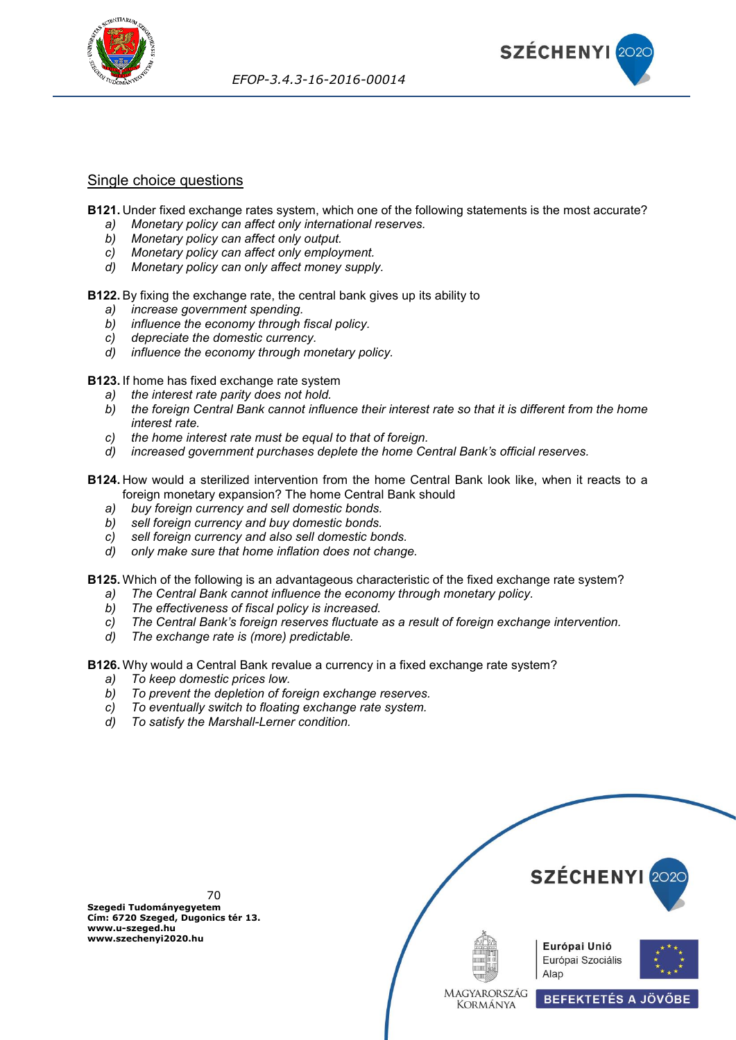



## Single choice questions

**B121.** Under fixed exchange rates system, which one of the following statements is the most accurate?

- *a) Monetary policy can affect only international reserves.*
- *b) Monetary policy can affect only output.*
- *c) Monetary policy can affect only employment.*
- *d) Monetary policy can only affect money supply.*

**B122.** By fixing the exchange rate, the central bank gives up its ability to

- *a) increase government spending.*
- *b) influence the economy through fiscal policy.*
- *c) depreciate the domestic currency.*
- *d) influence the economy through monetary policy.*

**B123.** If home has fixed exchange rate system

- *a) the interest rate parity does not hold.*
- *b) the foreign Central Bank cannot influence their interest rate so that it is different from the home interest rate.*
- *c) the home interest rate must be equal to that of foreign.*
- *d) increased government purchases deplete the home Central Bank's official reserves.*

**B124.** How would a sterilized intervention from the home Central Bank look like, when it reacts to a foreign monetary expansion? The home Central Bank should

- *a) buy foreign currency and sell domestic bonds.*
- *b) sell foreign currency and buy domestic bonds.*
- *c) sell foreign currency and also sell domestic bonds.*
- *d) only make sure that home inflation does not change.*

**B125.** Which of the following is an advantageous characteristic of the fixed exchange rate system?

- *a) The Central Bank cannot influence the economy through monetary policy.*
- *b) The effectiveness of fiscal policy is increased.*
- *c) The Central Bank's foreign reserves fluctuate as a result of foreign exchange intervention.*
- *d) The exchange rate is (more) predictable.*

**B126.** Why would a Central Bank revalue a currency in a fixed exchange rate system?

- *a) To keep domestic prices low.*
- *b) To prevent the depletion of foreign exchange reserves.*
- *c) To eventually switch to floating exchange rate system.*
- *d) To satisfy the Marshall-Lerner condition.*



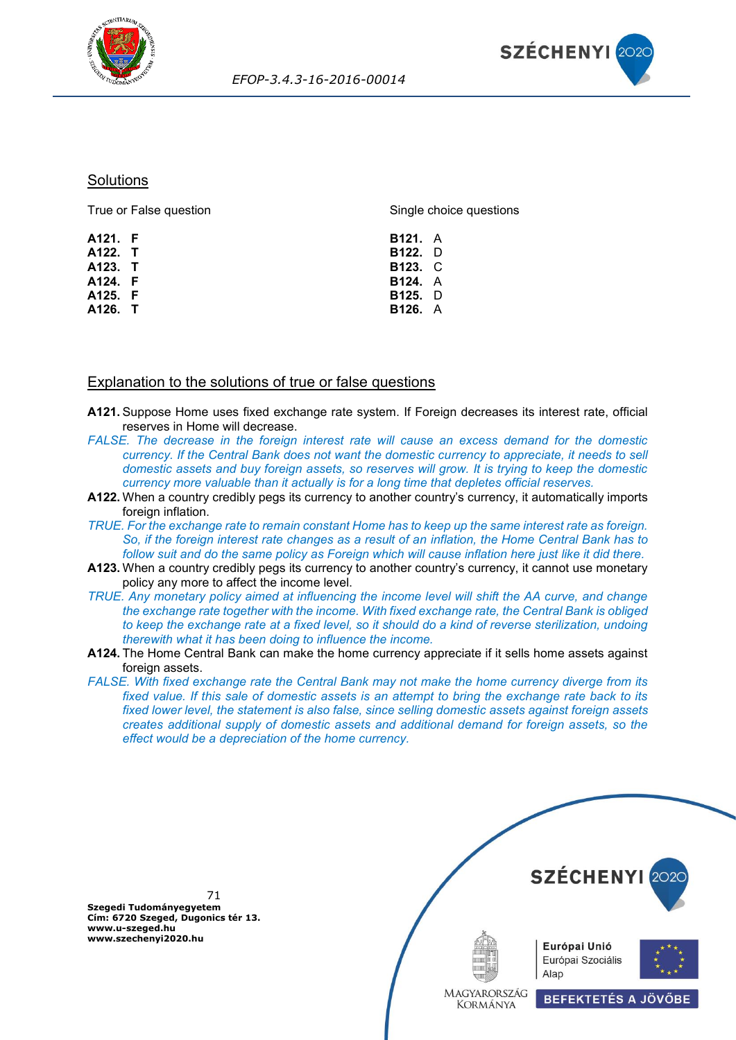



### **Solutions**

True or False question

Single choice questions

| A121. F | <b>B121.</b> A |  |
|---------|----------------|--|
| A122. T | B122. D        |  |
| A123. T | <b>B123. C</b> |  |
| A124. F | <b>B124.</b> A |  |
| A125. F | <b>B125.</b> D |  |
| A126. T | <b>B126.</b> A |  |
|         |                |  |

## Explanation to the solutions of true or false questions

- **A121.** Suppose Home uses fixed exchange rate system. If Foreign decreases its interest rate, official reserves in Home will decrease.
- *FALSE. The decrease in the foreign interest rate will cause an excess demand for the domestic currency. If the Central Bank does not want the domestic currency to appreciate, it needs to sell domestic assets and buy foreign assets, so reserves will grow. It is trying to keep the domestic currency more valuable than it actually is for a long time that depletes official reserves.*
- **A122.** When a country credibly pegs its currency to another country's currency, it automatically imports foreign inflation.
- *TRUE. For the exchange rate to remain constant Home has to keep up the same interest rate as foreign. So, if the foreign interest rate changes as a result of an inflation, the Home Central Bank has to follow suit and do the same policy as Foreign which will cause inflation here just like it did there.*
- **A123.** When a country credibly pegs its currency to another country's currency, it cannot use monetary policy any more to affect the income level.
- *TRUE. Any monetary policy aimed at influencing the income level will shift the AA curve, and change the exchange rate together with the income. With fixed exchange rate, the Central Bank is obliged to keep the exchange rate at a fixed level, so it should do a kind of reverse sterilization, undoing therewith what it has been doing to influence the income.*
- **A124.** The Home Central Bank can make the home currency appreciate if it sells home assets against foreign assets.
- *FALSE. With fixed exchange rate the Central Bank may not make the home currency diverge from its fixed value. If this sale of domestic assets is an attempt to bring the exchange rate back to its fixed lower level, the statement is also false, since selling domestic assets against foreign assets creates additional supply of domestic assets and additional demand for foreign assets, so the effect would be a depreciation of the home currency.*



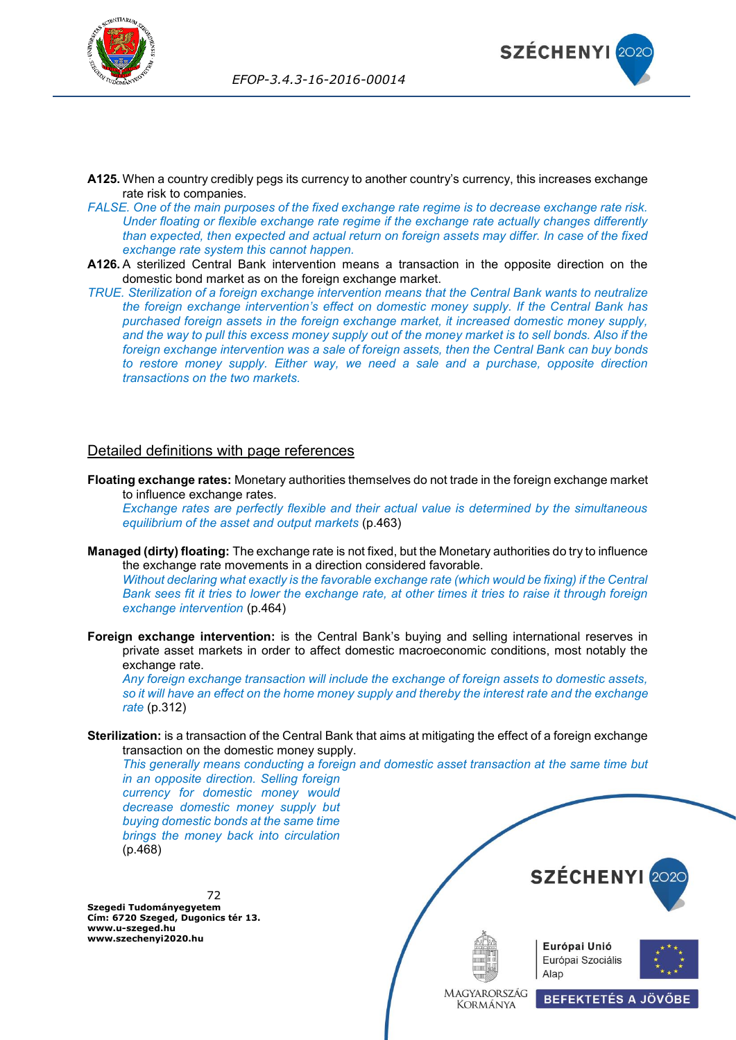



- **A125.** When a country credibly pegs its currency to another country's currency, this increases exchange rate risk to companies.
- *FALSE. One of the main purposes of the fixed exchange rate regime is to decrease exchange rate risk. Under floating or flexible exchange rate regime if the exchange rate actually changes differently than expected, then expected and actual return on foreign assets may differ. In case of the fixed exchange rate system this cannot happen.*
- **A126.** A sterilized Central Bank intervention means a transaction in the opposite direction on the domestic bond market as on the foreign exchange market.
- *TRUE. Sterilization of a foreign exchange intervention means that the Central Bank wants to neutralize the foreign exchange intervention's effect on domestic money supply. If the Central Bank has purchased foreign assets in the foreign exchange market, it increased domestic money supply, and the way to pull this excess money supply out of the money market is to sell bonds. Also if the foreign exchange intervention was a sale of foreign assets, then the Central Bank can buy bonds to restore money supply. Either way, we need a sale and a purchase, opposite direction transactions on the two markets.*

## Detailed definitions with page references

**Floating exchange rates:** Monetary authorities themselves do not trade in the foreign exchange market to influence exchange rates.

*Exchange rates are perfectly flexible and their actual value is determined by the simultaneous equilibrium of the asset and output markets* (p.463)

**Managed (dirty) floating:** The exchange rate is not fixed, but the Monetary authorities do try to influence the exchange rate movements in a direction considered favorable.

*Without declaring what exactly is the favorable exchange rate (which would be fixing) if the Central Bank sees fit it tries to lower the exchange rate, at other times it tries to raise it through foreign exchange intervention* (p.464)

**Foreign exchange intervention:** is the Central Bank's buying and selling international reserves in private asset markets in order to affect domestic macroeconomic conditions, most notably the exchange rate.

*Any foreign exchange transaction will include the exchange of foreign assets to domestic assets, so it will have an effect on the home money supply and thereby the interest rate and the exchange rate* (p.312)

**Sterilization:** is a transaction of the Central Bank that aims at mitigating the effect of a foreign exchange transaction on the domestic money supply.

*This generally means conducting a foreign and domestic asset transaction at the same time but in an opposite direction. Selling foreign* 

*currency for domestic money would decrease domestic money supply but buying domestic bonds at the same time brings the money back into circulation*  (p.468)

72 **Szegedi Tudományegyetem Cím: 6720 Szeged, Dugonics tér 13. www.u-szeged.hu www.szechenyi2020.hu**



**BEFEKTETÉS A JÖVŐBE** 







MAGYARORSZÁG **KORMÁNYA**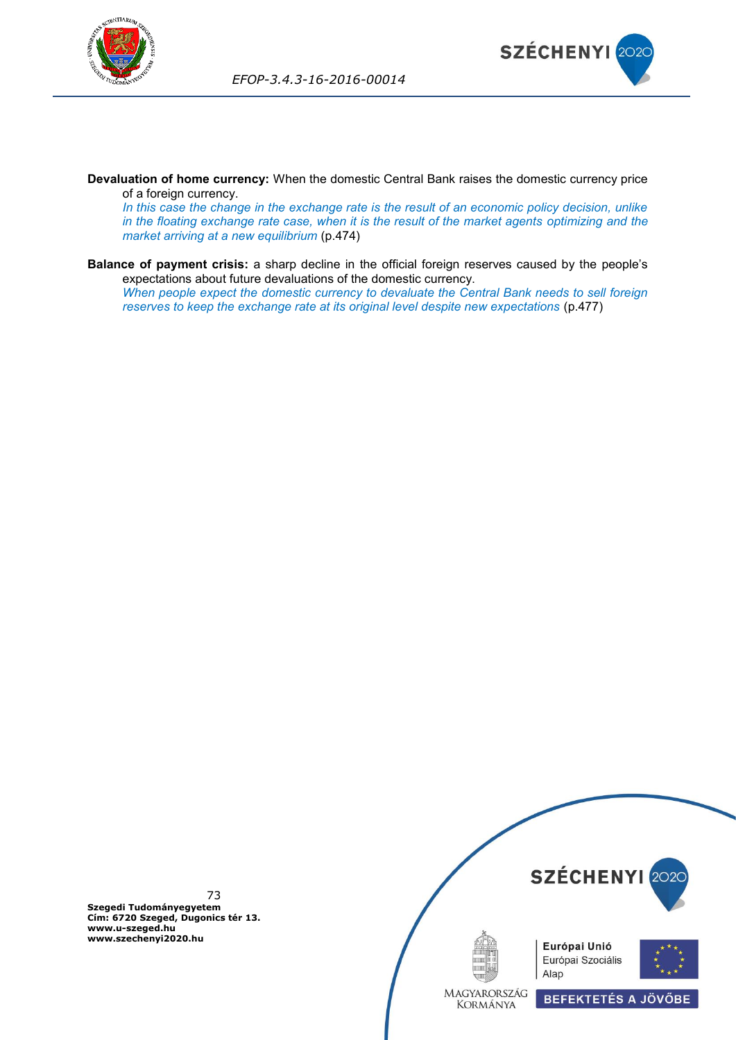



**Devaluation of home currency:** When the domestic Central Bank raises the domestic currency price of a foreign currency.

*In this case the change in the exchange rate is the result of an economic policy decision, unlike in the floating exchange rate case, when it is the result of the market agents optimizing and the market arriving at a new equilibrium* (p.474)

**Balance of payment crisis:** a sharp decline in the official foreign reserves caused by the people's expectations about future devaluations of the domestic currency. *When people expect the domestic currency to devaluate the Central Bank needs to sell foreign reserves to keep the exchange rate at its original level despite new expectations* (p.477)



73 **Szegedi Tudományegyetem Cím: 6720 Szeged, Dugonics tér 13. www.u-szeged.hu www.szechenyi2020.hu**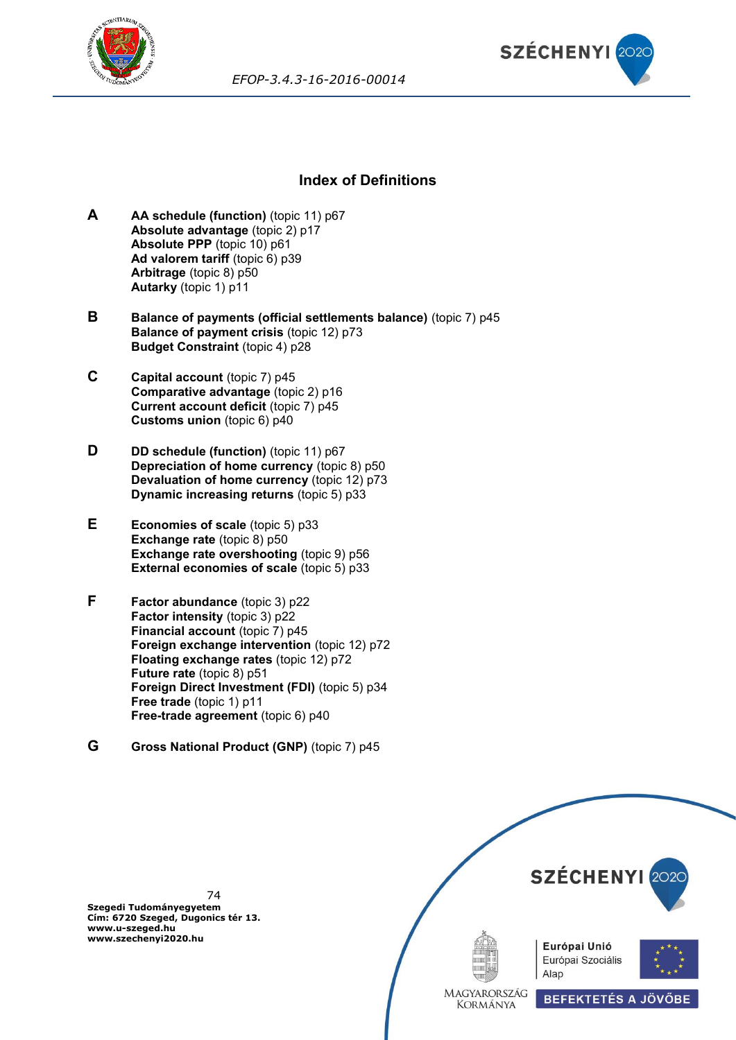



*EFOP-3.4.3-16-2016-00014*

## **Index of Definitions**

- **A AA schedule (function)** (topic 11) p67 **Absolute advantage** (topic 2) p17 **Absolute PPP** (topic 10) p61 **Ad valorem tariff** (topic 6) p39 **Arbitrage** (topic 8) p50 **Autarky** (topic 1) p11
- **B Balance of payments (official settlements balance)** (topic 7) p45 **Balance of payment crisis** (topic 12) p73 **Budget Constraint** (topic 4) p28
- **C Capital account** (topic 7) p45 **Comparative advantage** (topic 2) p16 **Current account deficit** (topic 7) p45 **Customs union** (topic 6) p40
- **D DD** schedule (function) (topic 11) p67 **Depreciation of home currency** (topic 8) p50 **Devaluation of home currency** (topic 12) p73 **Dynamic increasing returns** (topic 5) p33
- **E Economies of scale** (topic 5) p33 **Exchange rate** (topic 8) p50 **Exchange rate overshooting** (topic 9) p56 **External economies of scale** (topic 5) p33
- **F Factor abundance** (topic 3) p22 **Factor intensity** (topic 3) p22 **Financial account** (topic 7) p45 **Foreign exchange intervention** (topic 12) p72 **Floating exchange rates** (topic 12) p72 **Future rate** (topic 8) p51 **Foreign Direct Investment (FDI)** (topic 5) p34 **Free trade** (topic 1) p11 **Free-trade agreement** (topic 6) p40
- **G Gross National Product (GNP)** (topic 7) p45

74 **Szegedi Tudományegyetem Cím: 6720 Szeged, Dugonics tér 13. www.u-szeged.hu www.szechenyi2020.hu**

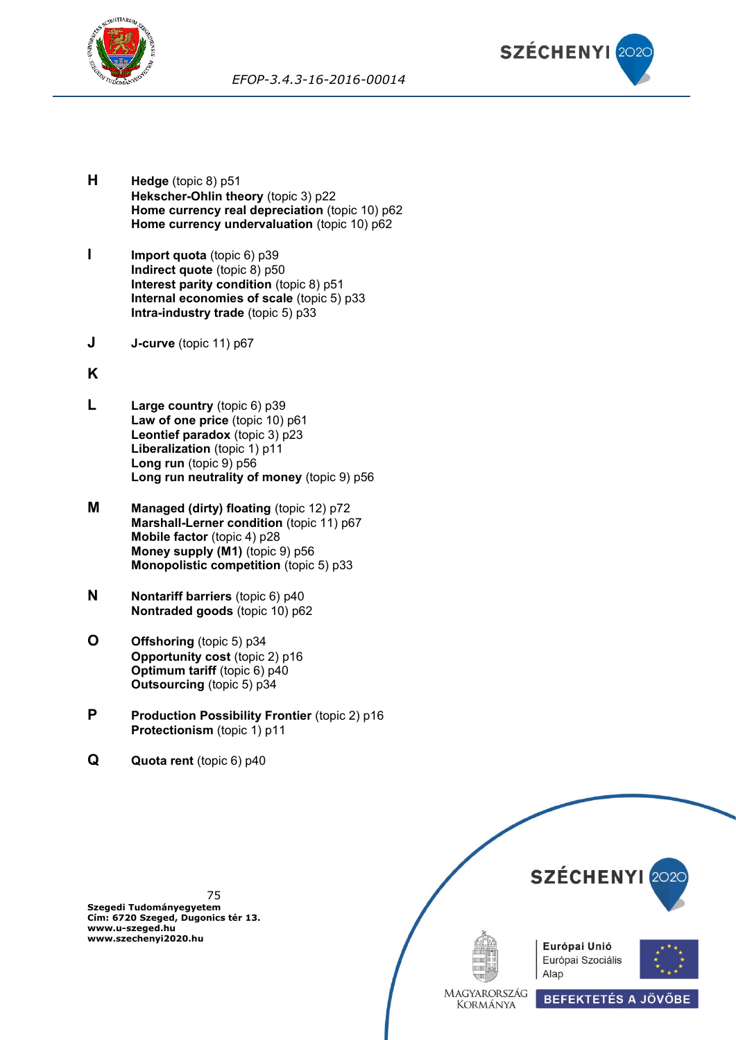



- **H Hedge** (topic 8) p51 **Hekscher-Ohlin theory** (topic 3) p22 **Home currency real depreciation** (topic 10) p62 **Home currency undervaluation** (topic 10) p62
- **I Import quota** (topic 6) p39 **Indirect quote** (topic 8) p50 **Interest parity condition** (topic 8) p51 **Internal economies of scale** (topic 5) p33 **Intra-industry trade** (topic 5) p33
- **J J-curve** (topic 11) p67
- **K**
- **L Large country** (topic 6) p39 **Law of one price** (topic 10) p61 **Leontief paradox** (topic 3) p23 **Liberalization** (topic 1) p11 **Long run** (topic 9) p56 **Long run neutrality of money** (topic 9) p56
- **M Managed (dirty) floating** (topic 12) p72 **Marshall-Lerner condition** (topic 11) p67 **Mobile factor** (topic 4) p28 **Money supply (M1)** (topic 9) p56 **Monopolistic competition** (topic 5) p33
- **N Nontariff barriers** (topic 6) p40 **Nontraded goods** (topic 10) p62
- **O Offshoring** (topic 5) p34 **Opportunity cost** (topic 2) p16 **Optimum tariff** (topic 6) p40 **Outsourcing** (topic 5) p34
- **P Production Possibility Frontier** (topic 2) p16 **Protectionism** (topic 1) p11
- **Q Quota rent** (topic 6) p40